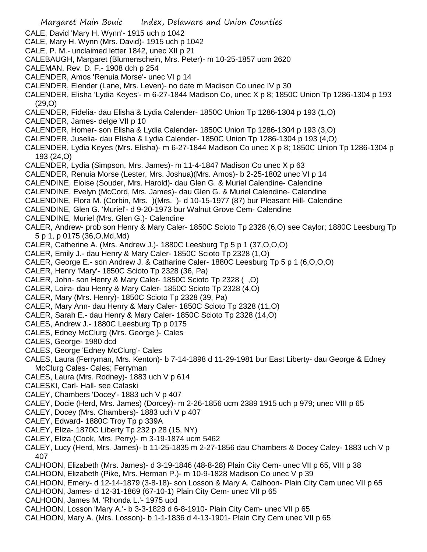- Margaret Main Bouic Index, Delaware and Union Counties CALE, David 'Mary H. Wynn'- 1915 uch p 1042 CALE, Mary H. Wynn (Mrs. David)- 1915 uch p 1042 CALE, P. M.- unclaimed letter 1842, unec XII p 21 CALEBAUGH, Margaret (Blumenschein, Mrs. Peter)- m 10-25-1857 ucm 2620 CALEMAN, Rev. D. F.- 1908 dch p 254 CALENDER, Amos 'Renuia Morse'- unec VI p 14 CALENDER, Elender (Lane, Mrs. Leven)- no date m Madison Co unec IV p 30 CALENDER, Elisha 'Lydia Keyes'- m 6-27-1844 Madison Co, unec X p 8; 1850C Union Tp 1286-1304 p 193 (29,O) CALENDER, Fidelia- dau Elisha & Lydia Calender- 1850C Union Tp 1286-1304 p 193 (1,O) CALENDER, James- delge VII p 10 CALENDER, Homer- son Elisha & Lydia Calender- 1850C Union Tp 1286-1304 p 193 (3,O) CALENDER, Juselia- dau Elisha & Lydia Calender- 1850C Union Tp 1286-1304 p 193 (4,O) CALENDER, Lydia Keyes (Mrs. Elisha)- m 6-27-1844 Madison Co unec X p 8; 1850C Union Tp 1286-1304 p 193 (24,O) CALENDER, Lydia (Simpson, Mrs. James)- m 11-4-1847 Madison Co unec X p 63 CALENDER, Renuia Morse (Lester, Mrs. Joshua)(Mrs. Amos)- b 2-25-1802 unec VI p 14 CALENDINE, Eloise (Souder, Mrs. Harold)- dau Glen G. & Muriel Calendine- Calendine CALENDINE, Evelyn (McCord, Mrs. James)- dau Glen G. & Muriel Calendine- Calendine CALENDINE, Flora M. (Corbin, Mrs. )(Mrs. )- d 10-15-1977 (87) bur Pleasant Hill- Calendine CALENDINE, Glen G. 'Muriel'- d 9-20-1973 bur Walnut Grove Cem- Calendine CALENDINE, Muriel (Mrs. Glen G.)- Calendine CALER, Andrew- prob son Henry & Mary Caler- 1850C Scioto Tp 2328 (6,O) see Caylor; 1880C Leesburg Tp 5 p 1, p 0175 (36,O,Md,Md) CALER, Catherine A. (Mrs. Andrew J.)- 1880C Leesburg Tp 5 p 1 (37,O,O,O) CALER, Emily J.- dau Henry & Mary Caler- 1850C Scioto Tp 2328 (1,O) CALER, George E.- son Andrew J. & Catharine Caler- 1880C Leesburg Tp 5 p 1 (6,O,O,O) CALER, Henry 'Mary'- 1850C Scioto Tp 2328 (36, Pa) CALER, John- son Henry & Mary Caler- 1850C Scioto Tp 2328 ( ,O) CALER, Loira- dau Henry & Mary Caler- 1850C Scioto Tp 2328 (4,O) CALER, Mary (Mrs. Henry)- 1850C Scioto Tp 2328 (39, Pa) CALER, Mary Ann- dau Henry & Mary Caler- 1850C Scioto Tp 2328 (11,O) CALER, Sarah E.- dau Henry & Mary Caler- 1850C Scioto Tp 2328 (14,O) CALES, Andrew J.- 1880C Leesburg Tp p 0175 CALES, Edney McClurg (Mrs. George )- Cales CALES, George- 1980 dcd CALES, George 'Edney McClurg'- Cales CALES, Laura (Ferryman, Mrs. Kenton)- b 7-14-1898 d 11-29-1981 bur East Liberty- dau George & Edney McClurg Cales- Cales; Ferryman CALES, Laura (Mrs. Rodney)- 1883 uch V p 614 CALESKI, Carl- Hall- see Calaski CALEY, Chambers 'Docey'- 1883 uch V p 407 CALEY, Docie (Herd, Mrs. James) (Dorcey)- m 2-26-1856 ucm 2389 1915 uch p 979; unec VIII p 65 CALEY, Docey (Mrs. Chambers)- 1883 uch V p 407 CALEY, Edward- 1880C Troy Tp p 339A CALEY, Eliza- 1870C Liberty Tp 232 p 28 (15, NY) CALEY, Eliza (Cook, Mrs. Perry)- m 3-19-1874 ucm 5462 CALEY, Lucy (Herd, Mrs. James)- b 11-25-1835 m 2-27-1856 dau Chambers & Docey Caley- 1883 uch V p 407 CALHOON, Elizabeth (Mrs. James)- d 3-19-1846 (48-8-28) Plain City Cem- unec VII p 65, VIII p 38 CALHOON, Elizabeth (Pike, Mrs. Herman P.)- m 10-9-1828 Madison Co unec V p 39 CALHOON, Emery- d 12-14-1879 (3-8-18)- son Losson & Mary A. Calhoon- Plain City Cem unec VII p 65 CALHOON, James- d 12-31-1869 (67-10-1) Plain City Cem- unec VII p 65 CALHOON, James M. 'Rhonda L.'- 1975 ucd
- CALHOON, Losson 'Mary A.'- b 3-3-1828 d 6-8-1910- Plain City Cem- unec VII p 65
- CALHOON, Mary A. (Mrs. Losson)- b 1-1-1836 d 4-13-1901- Plain City Cem unec VII p 65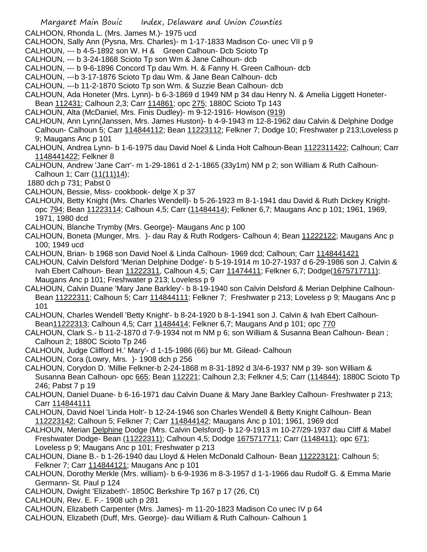CALHOON, Rhonda L. (Mrs. James M.)- 1975 ucd

- CALHOON, Sally Ann (Pysna, Mrs. Charles)- m 1-17-1833 Madison Co- unec VII p 9
- CALHOUN, --- b 4-5-1892 son W. H & Green Calhoun- Dcb Scioto Tp
- CALHOUN, --- b 3-24-1868 Scioto Tp son Wm & Jane Calhoun- dcb
- CALHOUN, --- b 9-6-1896 Concord Tp dau Wm. H. & Fanny H. Green Calhoun- dcb
- CALHOUN, ---b 3-17-1876 Scioto Tp dau Wm. & Jane Bean Calhoun- dcb
- CALHOUN, ---b 11-2-1870 Scioto Tp son Wm. & Suzzie Bean Calhoun- dcb
- CALHOUN, Ada Honeter (Mrs. Lynn)- b 6-3-1869 d 1949 NM p 34 dau Henry N. & Amelia Liggett Honeter-Bean 112431; Calhoun 2,3; Carr 114861; opc 275; 1880C Scioto Tp 143
- CALHOUN, Alta (McDaniel, Mrs. Finis Dudley)- m 9-12-1916- Howison (919)
- CALHOUN, Ann Lynn(Janssen, Mrs. James Huston)- b 4-9-1943 m 12-8-1962 dau Calvin & Delphine Dodge Calhoun- Calhoun 5; Carr 114844112; Bean 11223112; Felkner 7; Dodge 10; Freshwater p 213;Loveless p 9; Maugans Anc p 101
- CALHOUN, Andrea Lynn- b 1-6-1975 dau David Noel & Linda Holt Calhoun-Bean 1122311422; Calhoun; Carr 1148441422; Felkner 8
- CALHOUN, Andrew 'Jane Carr'- m 1-29-1861 d 2-1-1865 (33y1m) NM p 2; son William & Ruth Calhoun-Calhoun 1; Carr (11(11)14);
- 1880 dch p 731; Pabst 0
- CALHOUN, Bessie, Miss- cookbook- delge X p 37
- CALHOUN, Betty Knight (Mrs. Charles Wendell)- b 5-26-1923 m 8-1-1941 dau David & Ruth Dickey Knightopc 794; Bean 11223114; Calhoun 4,5; Carr (11484414); Felkner 6,7; Maugans Anc p 101; 1961, 1969, 1971, 1980 dcd
- CALHOUN, Blanche Trymby (Mrs. George)- Maugans Anc p 100
- CALHOUN, Boneta (Munger, Mrs. )- dau Ray & Ruth Rodgers- Calhoun 4; Bean 11222122; Maugans Anc p 100; 1949 ucd
- CALHOUN, Brian- b 1968 son David Noel & Linda Calhoun- 1969 dcd; Calhoun; Carr 1148441421
- CALHOUN, Calvin Delsford 'Merian Delphine Dodge'- b 5-19-1914 m 10-27-1937 d 6-29-1986 son J. Calvin & Ivah Ebert Calhoun- Bean 11222311, Calhoun 4,5; Carr 11474411; Felkner 6,7; Dodge(1675717711); Maugans Anc p 101; Freshwater p 213; Loveless p 9
- CALHOUN, Calvin Duane 'Mary Jane Barkley'- b 8-19-1940 son Calvin Delsford & Merian Delphine Calhoun-Bean 11222311; Calhoun 5; Carr 114844111; Felkner 7; Freshwater p 213; Loveless p 9; Maugans Anc p 101
- CALHOUN, Charles Wendell 'Betty Knight'- b 8-24-1920 b 8-1-1941 son J. Calvin & Ivah Ebert Calhoun-Bean11222313; Calhoun 4,5; Carr 11484414; Felkner 6,7; Maugans And p 101; opc 770
- CALHOUN, Clark S.- b 11-2-1870 d 7-9-1934 not m NM p 6; son William & Susanna Bean Calhoun- Bean ; Calhoun 2; 1880C Scioto Tp 246
- CALHOUN, Judge Clifford H.' Mary'- d 1-15-1986 (66) bur Mt. Gilead- Calhoun
- CALHOUN, Cora (Lowry, Mrs. )- 1908 dch p 256
- CALHOUN, Corydon D. 'Millie Felkner-b 2-24-1868 m 8-31-1892 d 3/4-6-1937 NM p 39- son William & Susanna Bean Calhoun- opc 665; Bean 112221; Calhoun 2,3; Felkner 4,5; Carr (114844); 1880C Scioto Tp 246; Pabst 7 p 19
- CALHOUN, Daniel Duane- b 6-16-1971 dau Calvin Duane & Mary Jane Barkley Calhoun- Freshwater p 213; Carr 114844111
- CALHOUN, David Noel 'Linda Holt'- b 12-24-1946 son Charles Wendell & Betty Knight Calhoun- Bean 112223142; Calhoun 5; Felkner 7; Carr 114844142; Maugans Anc p 101; 1961, 1969 dcd
- CALHOUN, Merian Delphine Dodge (Mrs. Calvin Delsford)- b 12-9-1913 m 10-27/29-1937 dau Cliff & Mabel Freshwater Dodge- Bean (11222311); Calhoun 4,5; Dodge 1675717711; Carr (1148411); opc 671; Loveless p 9; Maugans Anc p 101; Freshwater p 213
- CALHOUN, Diane B.- b 1-26-1940 dau Lloyd & Helen McDonald Calhoun- Bean 112223121; Calhoun 5; Felkner 7; Carr 114844121; Maugans Anc p 101
- CALHOUN, Dorothy Merkle (Mrs. william)- b 6-9-1936 m 8-3-1957 d 1-1-1966 dau Rudolf G. & Emma Marie Germann- St. Paul p 124
- CALHOUN, Dwight 'Elizabeth'- 1850C Berkshire Tp 167 p 17 (26, Ct)
- CALHOUN, Rev. E. F.- 1908 uch p 281
- CALHOUN, Elizabeth Carpenter (Mrs. James)- m 11-20-1823 Madison Co unec IV p 64
- CALHOUN, Elizabeth (Duff, Mrs. George)- dau William & Ruth Calhoun- Calhoun 1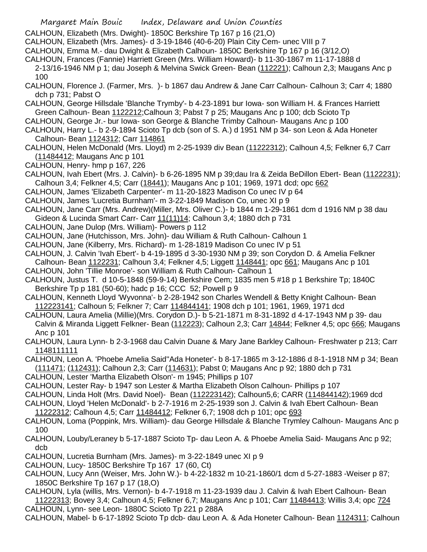- Margaret Main Bouic Index, Delaware and Union Counties
- CALHOUN, Elizabeth (Mrs. Dwight)- 1850C Berkshire Tp 167 p 16 (21,O)
- CALHOUN, Elizabeth (Mrs. James)- d 3-19-1846 (40-6-20) Plain City Cem- unec VIII p 7
- CALHOUN, Emma M.- dau Dwight & Elizabeth Calhoun- 1850C Berkshire Tp 167 p 16 (3/12,O)
- CALHOUN, Frances (Fannie) Harriett Green (Mrs. William Howard)- b 11-30-1867 m 11-17-1888 d
- 2-13/16-1946 NM p 1; dau Joseph & Melvina Swick Green- Bean (112221); Calhoun 2,3; Maugans Anc p 100
- CALHOUN, Florence J. (Farmer, Mrs. )- b 1867 dau Andrew & Jane Carr Calhoun- Calhoun 3; Carr 4; 1880 dch p 731; Pabst O
- CALHOUN, George Hillsdale 'Blanche Trymby'- b 4-23-1891 bur Iowa- son William H. & Frances Harriett Green Calhoun- Bean 1122212;Calhoun 3; Pabst 7 p 25; Maugans Anc p 100; dcb Scioto Tp
- CALHOUN, George Jr.- bur Iowa- son George & Blanche Trimby Calhoun- Maugans Anc p 100
- CALHOUN, Harry L.- b 2-9-1894 Scioto Tp dcb (son of S. A.) d 1951 NM p 34- son Leon & Ada Honeter Calhoun- Bean 1124312; Carr 114861
- CALHOUN, Helen McDonald (Mrs. Lloyd) m 2-25-1939 div Bean (11222312); Calhoun 4,5; Felkner 6,7 Carr (11484412; Maugans Anc p 101
- CALHOUN, Henry- hmp p 167, 226
- CALHOUN, Ivah Ebert (Mrs. J. Calvin)- b 6-26-1895 NM p 39;dau Ira & Zeida BeDillon Ebert- Bean (1122231); Calhoun 3,4; Felkner 4,5; Carr (18441); Maugans Anc p 101; 1969, 1971 dcd; opc 662
- CALHOUN, James 'Elizabeth Carpenter'- m 11-20-1823 Madison Co unec IV p 64
- CALHOUN, James 'Lucretia Burnham'- m 3-22-1849 Madison Co, unec XI p 9
- CALHOUN, Jane Carr (Mrs. Andrew)(Miller, Mrs. Oliver C.)- b 1844 m 1-29-1861 dcm d 1916 NM p 38 dau Gideon & Lucinda Smart Carr- Carr 11(11)14; Calhoun 3,4; 1880 dch p 731
- CALHOUN, Jane Dulop (Mrs. William)- Powers p 112
- CALHOUN, Jane (Hutchisson, Mrs. John)- dau William & Ruth Calhoun- Calhoun 1
- CALHOUN, Jane (Kilberry, Mrs. Richard)- m 1-28-1819 Madison Co unec IV p 51
- CALHOUN, J. Calvin 'Ivah Ebert'- b 4-19-1895 d 3-30-1930 NM p 39; son Corydon D. & Amelia Felkner
- Calhoun- Bean 1122231; Calhoun 3,4; Felkner 4,5; Liggett 1148441; opc 661; Maugans Anc p 101 CALHOUN, John 'Tillie Monroe'- son William & Ruth Calhoun- Calhoun 1
- CALHOUN, Justus T. d 10-5-1848 (59-9-14) Berkshire Cem; 1835 men 5 #18 p 1 Berkshire Tp; 1840C Berkshire Tp p 181 (50-60); hadc p 16; CCC 52; Powell p 9
- CALHOUN, Kenneth Lloyd 'Wyvonna'- b 2-28-1942 son Charles Wendell & Betty Knight Calhoun- Bean 112223141; Calhoun 5; Felkner 7; Carr 114844141; 1908 dch p 101; 1961, 1969, 1971 dcd
- CALHOUN, Laura Amelia (Millie)(Mrs. Corydon D.)- b 5-21-1871 m 8-31-1892 d 4-17-1943 NM p 39- dau Calvin & Miranda Liggett Felkner- Bean (112223); Calhoun 2,3; Carr 14844; Felkner 4,5; opc 666; Maugans Anc p 101
- CALHOUN, Laura Lynn- b 2-3-1968 dau Calvin Duane & Mary Jane Barkley Calhoun- Freshwater p 213; Carr 1148111111
- CALHOUN, Leon A. 'Phoebe Amelia Said''Ada Honeter'- b 8-17-1865 m 3-12-1886 d 8-1-1918 NM p 34; Bean (111471; (112431); Calhoun 2,3; Carr (114631); Pabst 0; Maugans Anc p 92; 1880 dch p 731
- CALHOUN, Lester 'Martha Elizabeth Olson'- m 1945; Phillips p 107
- CALHOUN, Lester Ray- b 1947 son Lester & Martha Elizabeth Olson Calhoun- Phillips p 107
- CALHOUN, Linda Holt (Mrs. David Noel)- Bean (112223142); Calhoun5,6; CARR (114844142);1969 dcd
- CALHOUN, Lloyd 'Helen McDonald'- b 2-7-1916 m 2-25-1939 son J. Calvin & Ivah Ebert Calhoun- Bean 11222312; Calhoun 4,5; Carr 11484412; Felkner 6,7; 1908 dch p 101; opc 693
- CALHOUN, Loma (Poppink, Mrs. William)- dau George Hillsdale & Blanche Trymley Calhoun- Maugans Anc p 100
- CALHOUN, Louby/Leraney b 5-17-1887 Scioto Tp- dau Leon A. & Phoebe Amelia Said- Maugans Anc p 92; dcb
- CALHOUN, Lucretia Burnham (Mrs. James)- m 3-22-1849 unec XI p 9
- CALHOUN, Lucy- 1850C Berkshire Tp 167 17 (60, Ct)
- CALHOUN, Lucy Ann (Weiser, Mrs. John W.)- b 4-22-1832 m 10-21-1860/1 dcm d 5-27-1883 -Weiser p 87; 1850C Berkshire Tp 167 p 17 (18,O)
- CALHOUN, Lyla (willis, Mrs. Vernon)- b 4-7-1918 m 11-23-1939 dau J. Calvin & Ivah Ebert Calhoun- Bean 11222313; Bovey 3,4; Calhoun 4,5; Felkner 6,7; Maugans Anc p 101; Carr 11484413; Willis 3,4; opc 724 CALHOUN, Lynn- see Leon- 1880C Scioto Tp 221 p 288A
- CALHOUN, Mabel- b 6-17-1892 Scioto Tp dcb- dau Leon A. & Ada Honeter Calhoun- Bean 1124311; Calhoun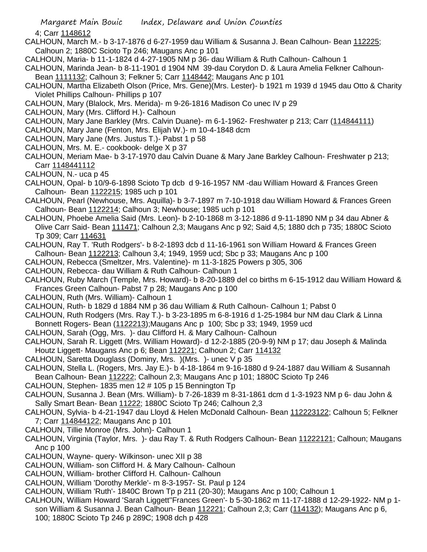4; Carr 1148612

- CALHOUN, March M.- b 3-17-1876 d 6-27-1959 dau William & Susanna J. Bean Calhoun- Bean 112225; Calhoun 2; 1880C Scioto Tp 246; Maugans Anc p 101
- CALHOUN, Maria- b 11-1-1824 d 4-27-1905 NM p 36- dau William & Ruth Calhoun- Calhoun 1
- CALHOUN, Marinda Jean- b 8-11-1901 d 1904 NM 39-dau Corydon D. & Laura Amelia Felkner Calhoun-Bean 1111132; Calhoun 3; Felkner 5; Carr 1148442; Maugans Anc p 101
- CALHOUN, Martha Elizabeth Olson (Price, Mrs. Gene)(Mrs. Lester)- b 1921 m 1939 d 1945 dau Otto & Charity Violet Phillips Calhoun- Phillips p 107
- CALHOUN, Mary (Blalock, Mrs. Merida)- m 9-26-1816 Madison Co unec IV p 29
- CALHOUN, Mary (Mrs. Clifford H.)- Calhoun
- CALHOUN, Mary Jane Barkley (Mrs. Calvin Duane)- m 6-1-1962- Freshwater p 213; Carr (114844111)
- CALHOUN, Mary Jane (Fenton, Mrs. Elijah W.)- m 10-4-1848 dcm
- CALHOUN, Mary Jane (Mrs. Justus T.)- Pabst 1 p 58
- CALHOUN, Mrs. M. E.- cookbook- delge X p 37
- CALHOUN, Meriam Mae- b 3-17-1970 dau Calvin Duane & Mary Jane Barkley Calhoun- Freshwater p 213; Carr 1148441112
- CALHOUN, N.- uca p 45
- CALHOUN, Opal- b 10/9-6-1898 Scioto Tp dcb d 9-16-1957 NM -dau William Howard & Frances Green Calhoun- Bean 1122215; 1985 uch p 101
- CALHOUN, Pearl (Newhouse, Mrs. Aquilla)- b 3-7-1897 m 7-10-1918 dau William Howard & Frances Green Calhoun- Bean 1122214; Calhoun 3; Newhouse; 1985 uch p 101
- CALHOUN, Phoebe Amelia Said (Mrs. Leon)- b 2-10-1868 m 3-12-1886 d 9-11-1890 NM p 34 dau Abner & Olive Carr Said- Bean 111471; Calhoun 2,3; Maugans Anc p 92; Said 4,5; 1880 dch p 735; 1880C Scioto Tp 309; Carr 114631
- CALHOUN, Ray T. 'Ruth Rodgers'- b 8-2-1893 dcb d 11-16-1961 son William Howard & Frances Green Calhoun- Bean 1122213; Calhoun 3,4; 1949, 1959 ucd; Sbc p 33; Maugans Anc p 100
- CALHOUN, Rebecca (Smeltzer, Mrs. Valentine)- m 11-3-1825 Powers p 305, 306
- CALHOUN, Rebecca- dau William & Ruth Calhoun- Calhoun 1
- CALHOUN, Ruby March (Temple, Mrs. Howard)- b 8-20-1889 del co births m 6-15-1912 dau William Howard & Frances Green Calhoun- Pabst 7 p 28; Maugans Anc p 100
- CALHOUN, Ruth (Mrs. William)- Calhoun 1
- CALHOUN, Ruth- b 1829 d 1884 NM p 36 dau William & Ruth Calhoun- Calhoun 1; Pabst 0
- CALHOUN, Ruth Rodgers (Mrs. Ray T.)- b 3-23-1895 m 6-8-1916 d 1-25-1984 bur NM dau Clark & Linna Bonnett Rogers- Bean (1122213);Maugans Anc p 100; Sbc p 33; 1949, 1959 ucd
- CALHOUN, Sarah (Ogg, Mrs. )- dau Clifford H. & Mary Calhoun- Calhoun
- CALHOUN, Sarah R. Liggett (Mrs. William Howard)- d 12-2-1885 (20-9-9) NM p 17; dau Joseph & Malinda Houtz Liggett- Maugans Anc p 6; Bean 112221; Calhoun 2; Carr 114132
- CALHOUN, Saretta Douglass (Dominy, Mrs. )(Mrs. )- unec V p 35
- CALHOUN, Stella L. (Rogers, Mrs. Jay E.)- b 4-18-1864 m 9-16-1880 d 9-24-1887 dau William & Susannah Bean Calhoun- Bean 112222; Calhoun 2,3; Maugans Anc p 101; 1880C Scioto Tp 246
- CALHOUN, Stephen- 1835 men 12 # 105 p 15 Bennington Tp
- CALHOUN, Susanna J. Bean (Mrs. William)- b 7-26-1839 m 8-31-1861 dcm d 1-3-1923 NM p 6- dau John & Sally Smart Bean- Bean 11222; 1880C Scioto Tp 246; Calhoun 2,3
- CALHOUN, Sylvia- b 4-21-1947 dau Lloyd & Helen McDonald Calhoun- Bean 112223122; Calhoun 5; Felkner 7; Carr 114844122; Maugans Anc p 101
- CALHOUN, Tillie Monroe (Mrs. John)- Calhoun 1
- CALHOUN, Virginia (Taylor, Mrs. )- dau Ray T. & Ruth Rodgers Calhoun- Bean 11222121; Calhoun; Maugans Anc p 100
- CALHOUN, Wayne- query- Wilkinson- unec XII p 38
- CALHOUN, William- son Clifford H. & Mary Calhoun- Calhoun
- CALHOUN, William- brother Clifford H. Calhoun- Calhoun
- CALHOUN, William 'Dorothy Merkle'- m 8-3-1957- St. Paul p 124
- CALHOUN, William 'Ruth'- 1840C Brown Tp p 211 (20-30); Maugans Anc p 100; Calhoun 1
- CALHOUN, William Howard 'Sarah Liggett''Frances Green'- b 5-30-1862 m 11-17-1888 d 12-29-1922- NM p 1 son William & Susanna J. Bean Calhoun- Bean 112221; Calhoun 2,3; Carr (114132); Maugans Anc p 6, 100; 1880C Scioto Tp 246 p 289C; 1908 dch p 428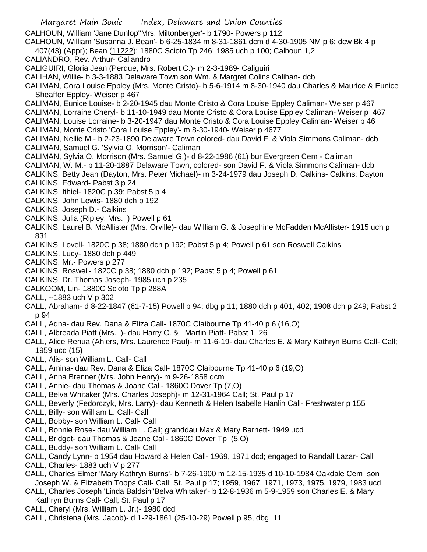- Margaret Main Bouic Index, Delaware and Union Counties CALHOUN, William 'Jane Dunlop''Mrs. Miltonberger'- b 1790- Powers p 112 CALHOUN, William 'Susanna J. Bean'- b 6-25-1834 m 8-31-1861 dcm d 4-30-1905 NM p 6; dcw Bk 4 p 407(43) (Appr); Bean (11222); 1880C Scioto Tp 246; 1985 uch p 100; Calhoun 1,2 CALIANDRO, Rev. Arthur- Caliandro CALIGUIRI, Gloria Jean (Perdue, Mrs. Robert C.)- m 2-3-1989- Caliguiri CALIHAN, Willie- b 3-3-1883 Delaware Town son Wm. & Margret Colins Calihan- dcb CALIMAN, Cora Louise Eppley (Mrs. Monte Cristo)- b 5-6-1914 m 8-30-1940 dau Charles & Maurice & Eunice Sheaffer Eppley- Weiser p 467 CALIMAN, Eunice Louise- b 2-20-1945 dau Monte Cristo & Cora Louise Eppley Caliman- Weiser p 467 CALIMAN, Lorraine Cheryl- b 11-10-1949 dau Monte Cristo & Cora Louise Eppley Caliman- Weiser p 467 CALIMAN, Louise Lorraine- b 3-20-1947 dau Monte Cristo & Cora Louise Eppley Caliman- Weiser p 46 CALIMAN, Monte Cristo 'Cora Louise Eppley'- m 8-30-1940- Weiser p 4677 CALIMAN, Nellie M.- b 2-23-1890 Delaware Town colored- dau David F. & Viola Simmons Caliman- dcb CALIMAN, Samuel G. 'Sylvia O. Morrison'- Caliman CALIMAN, Sylvia O. Morrison (Mrs. Samuel G.)- d 8-22-1986 (61) bur Evergreen Cem - Caliman CALIMAN, W. M.- b 11-20-1887 Delaware Town, colored- son David F. & Viola Simmons Caliman- dcb CALKINS, Betty Jean (Dayton, Mrs. Peter Michael)- m 3-24-1979 dau Joseph D. Calkins- Calkins; Dayton CALKINS, Edward- Pabst 3 p 24 CALKINS, Ithiel- 1820C p 39; Pabst 5 p 4 CALKINS, John Lewis- 1880 dch p 192 CALKINS, Joseph D.- Calkins CALKINS, Julia (Ripley, Mrs. ) Powell p 61 CALKINS, Laurel B. McAllister (Mrs. Orville)- dau William G. & Josephine McFadden McAllister- 1915 uch p 831 CALKINS, Lovell- 1820C p 38; 1880 dch p 192; Pabst 5 p 4; Powell p 61 son Roswell Calkins CALKINS, Lucy- 1880 dch p 449 CALKINS, Mr.- Powers p 277 CALKINS, Roswell- 1820C p 38; 1880 dch p 192; Pabst 5 p 4; Powell p 61 CALKINS, Dr. Thomas Joseph- 1985 uch p 235 CALKOOM, Lin- 1880C Scioto Tp p 288A CALL, --1883 uch V p 302 CALL, Abraham- d 8-22-1847 (61-7-15) Powell p 94; dbg p 11; 1880 dch p 401, 402; 1908 dch p 249; Pabst 2 p 94 CALL, Adna- dau Rev. Dana & Eliza Call- 1870C Claibourne Tp 41-40 p 6 (16,O) CALL, Albreada Piatt (Mrs. )- dau Harry C. & Martin Piatt- Pabst 1 26 CALL, Alice Renua (Ahlers, Mrs. Laurence Paul)- m 11-6-19- dau Charles E. & Mary Kathryn Burns Call- Call; 1959 ucd (15) CALL, Alis- son William L. Call- Call CALL, Amina- dau Rev. Dana & Eliza Call- 1870C Claibourne Tp 41-40 p 6 (19,O) CALL, Anna Brenner (Mrs. John Henry)- m 9-26-1858 dcm CALL, Annie- dau Thomas & Joane Call- 1860C Dover Tp (7,O) CALL, Belva Whitaker (Mrs. Charles Joseph)- m 12-31-1964 Call; St. Paul p 17 CALL, Beverly (Fedorczyk, Mrs. Larry)- dau Kenneth & Helen Isabelle Hanlin Call- Freshwater p 155 CALL, Billy- son William L. Call- Call CALL, Bobby- son William L. Call- Call CALL, Bonnie Rose- dau William L. Call; granddau Max & Mary Barnett- 1949 ucd CALL, Bridget- dau Thomas & Joane Call- 1860C Dover Tp (5,O) CALL, Buddy- son William L. Call- Call
- CALL, Candy Lynn- b 1954 dau Howard & Helen Call- 1969, 1971 dcd; engaged to Randall Lazar- Call
- CALL, Charles- 1883 uch V p 277
- CALL, Charles Elmer 'Mary Kathryn Burns'- b 7-26-1900 m 12-15-1935 d 10-10-1984 Oakdale Cem son Joseph W. & Elizabeth Toops Call- Call; St. Paul p 17; 1959, 1967, 1971, 1973, 1975, 1979, 1983 ucd CALL, Charles Joseph 'Linda Baldsin''Belva Whitaker'- b 12-8-1936 m 5-9-1959 son Charles E. & Mary
- Kathryn Burns Call- Call; St. Paul p 17
- CALL, Cheryl (Mrs. William L. Jr.)- 1980 dcd
- CALL, Christena (Mrs. Jacob)- d 1-29-1861 (25-10-29) Powell p 95, dbg 11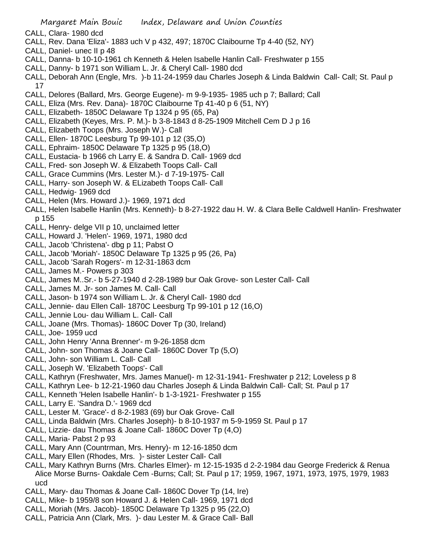- CALL, Clara- 1980 dcd
- CALL, Rev. Dana 'Eliza'- 1883 uch V p 432, 497; 1870C Claibourne Tp 4-40 (52, NY)
- CALL, Daniel- unec II p 48
- CALL, Danna- b 10-10-1961 ch Kenneth & Helen Isabelle Hanlin Call- Freshwater p 155
- CALL, Danny- b 1971 son William L. Jr. & Cheryl Call- 1980 dcd
- CALL, Deborah Ann (Engle, Mrs. )-b 11-24-1959 dau Charles Joseph & Linda Baldwin Call- Call; St. Paul p 17
- CALL, Delores (Ballard, Mrs. George Eugene)- m 9-9-1935- 1985 uch p 7; Ballard; Call
- CALL, Eliza (Mrs. Rev. Dana)- 1870C Claibourne Tp 41-40 p 6 (51, NY)
- CALL, Elizabeth- 1850C Delaware Tp 1324 p 95 (65, Pa)
- CALL, Elizabeth (Keyes, Mrs. P. M.)- b 3-8-1843 d 8-25-1909 Mitchell Cem D J p 16
- CALL, Elizabeth Toops (Mrs. Joseph W.)- Call
- CALL, Ellen- 1870C Leesburg Tp 99-101 p 12 (35,O)
- CALL, Ephraim- 1850C Delaware Tp 1325 p 95 (18,O)
- CALL, Eustacia- b 1966 ch Larry E. & Sandra D. Call- 1969 dcd
- CALL, Fred- son Joseph W. & Elizabeth Toops Call- Call
- CALL, Grace Cummins (Mrs. Lester M.)- d 7-19-1975- Call
- CALL, Harry- son Joseph W. & ELizabeth Toops Call- Call
- CALL, Hedwig- 1969 dcd
- CALL, Helen (Mrs. Howard J.)- 1969, 1971 dcd
- CALL, Helen Isabelle Hanlin (Mrs. Kenneth)- b 8-27-1922 dau H. W. & Clara Belle Caldwell Hanlin- Freshwater p 155
- CALL, Henry- delge VII p 10, unclaimed letter
- CALL, Howard J. 'Helen'- 1969, 1971, 1980 dcd
- CALL, Jacob 'Christena'- dbg p 11; Pabst O
- CALL, Jacob 'Moriah'- 1850C Delaware Tp 1325 p 95 (26, Pa)
- CALL, Jacob 'Sarah Rogers'- m 12-31-1863 dcm
- CALL, James M.- Powers p 303
- CALL, James M..Sr.- b 5-27-1940 d 2-28-1989 bur Oak Grove- son Lester Call- Call
- CALL, James M. Jr- son James M. Call- Call
- CALL, Jason- b 1974 son William L. Jr. & Cheryl Call- 1980 dcd
- CALL, Jennie- dau Ellen Call- 1870C Leesburg Tp 99-101 p 12 (16,O)
- CALL, Jennie Lou- dau William L. Call- Call
- CALL, Joane (Mrs. Thomas)- 1860C Dover Tp (30, Ireland)
- CALL, Joe- 1959 ucd
- CALL, John Henry 'Anna Brenner'- m 9-26-1858 dcm
- CALL, John- son Thomas & Joane Call- 1860C Dover Tp (5,O)
- CALL, John- son William L. Call- Call
- CALL, Joseph W. 'Elizabeth Toops'- Call
- CALL, Kathryn (Freshwater, Mrs. James Manuel)- m 12-31-1941- Freshwater p 212; Loveless p 8
- CALL, Kathryn Lee- b 12-21-1960 dau Charles Joseph & Linda Baldwin Call- Call; St. Paul p 17
- CALL, Kenneth 'Helen Isabelle Hanlin'- b 1-3-1921- Freshwater p 155
- CALL, Larry E. 'Sandra D.'- 1969 dcd
- CALL, Lester M. 'Grace'- d 8-2-1983 (69) bur Oak Grove- Call
- CALL, Linda Baldwin (Mrs. Charles Joseph)- b 8-10-1937 m 5-9-1959 St. Paul p 17
- CALL, Lizzie- dau Thomas & Joane Call- 1860C Dover Tp (4,O)
- CALL, Maria- Pabst 2 p 93
- CALL, Mary Ann (Countrman, Mrs. Henry)- m 12-16-1850 dcm
- CALL, Mary Ellen (Rhodes, Mrs. )- sister Lester Call- Call
- CALL, Mary Kathryn Burns (Mrs. Charles Elmer)- m 12-15-1935 d 2-2-1984 dau George Frederick & Renua Alice Morse Burns- Oakdale Cem -Burns; Call; St. Paul p 17; 1959, 1967, 1971, 1973, 1975, 1979, 1983 ucd
- CALL, Mary- dau Thomas & Joane Call- 1860C Dover Tp (14, Ire)
- CALL, Mike- b 1959/8 son Howard J. & Helen Call- 1969, 1971 dcd
- CALL, Moriah (Mrs. Jacob)- 1850C Delaware Tp 1325 p 95 (22,O)
- CALL, Patricia Ann (Clark, Mrs. )- dau Lester M. & Grace Call- Ball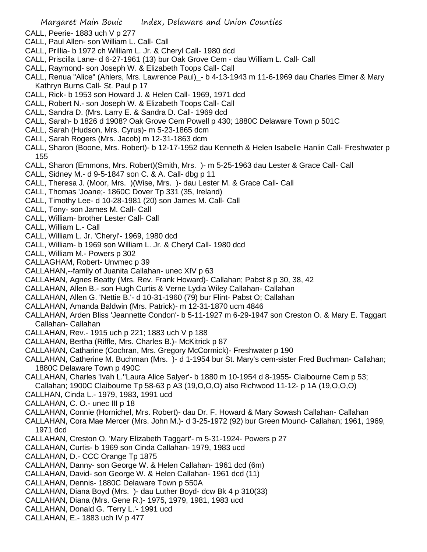- CALL, Peerie- 1883 uch V p 277
- CALL, Paul Allen- son William L. Call- Call
- CALL, Prillia- b 1972 ch William L. Jr. & Cheryl Call- 1980 dcd
- CALL, Priscilla Lane- d 6-27-1961 (13) bur Oak Grove Cem dau William L. Call- Call
- CALL, Raymond- son Joseph W. & Elizabeth Toops Call- Call
- CALL, Renua "Alice" (Ahlers, Mrs. Lawrence Paul)\_- b 4-13-1943 m 11-6-1969 dau Charles Elmer & Mary Kathryn Burns Call- St. Paul p 17
- CALL, Rick- b 1953 son Howard J. & Helen Call- 1969, 1971 dcd
- CALL, Robert N.- son Joseph W. & Elizabeth Toops Call- Call
- CALL, Sandra D. (Mrs. Larry E. & Sandra D. Call- 1969 dcd
- CALL, Sarah- b 1826 d 1908? Oak Grove Cem Powell p 430; 1880C Delaware Town p 501C
- CALL, Sarah (Hudson, Mrs. Cyrus)- m 5-23-1865 dcm
- CALL, Sarah Rogers (Mrs. Jacob) m 12-31-1863 dcm
- CALL, Sharon (Boone, Mrs. Robert)- b 12-17-1952 dau Kenneth & Helen Isabelle Hanlin Call- Freshwater p 155
- CALL, Sharon (Emmons, Mrs. Robert)(Smith, Mrs. )- m 5-25-1963 dau Lester & Grace Call- Call
- CALL, Sidney M.- d 9-5-1847 son C. & A. Call- dbg p 11
- CALL, Theresa J. (Moor, Mrs. )(Wise, Mrs. )- dau Lester M. & Grace Call- Call
- CALL, Thomas 'Joane;- 1860C Dover Tp 331 (35, Ireland)
- CALL, Timothy Lee- d 10-28-1981 (20) son James M. Call- Call
- CALL, Tony- son James M. Call- Call
- CALL, William- brother Lester Call- Call
- CALL, William L.- Call
- CALL, William L. Jr. 'Cheryl'- 1969, 1980 dcd
- CALL, William- b 1969 son William L. Jr. & Cheryl Call- 1980 dcd
- CALL, William M.- Powers p 302
- CALLAGHAM, Robert- Unvmec p 39
- CALLAHAN,--family of Juanita Callahan- unec XIV p 63
- CALLAHAN, Agnes Beatty (Mrs. Rev. Frank Howard)- Callahan; Pabst 8 p 30, 38, 42
- CALLAHAN, Allen B.- son Hugh Curtis & Verne Lydia Wiley Callahan- Callahan
- CALLAHAN, Allen G. 'Nettie B.'- d 10-31-1960 (79) bur Flint- Pabst O; Callahan
- CALLAHAN, Amanda Baldwin (Mrs. Patrick)- m 12-31-1870 ucm 4846
- CALLAHAN, Arden Bliss 'Jeannette Condon'- b 5-11-1927 m 6-29-1947 son Creston O. & Mary E. Taggart Callahan- Callahan
- CALLAHAN, Rev.- 1915 uch p 221; 1883 uch V p 188
- CALLAHAN, Bertha (Riffle, Mrs. Charles B.)- McKitrick p 87
- CALLAHAN, Catharine (Cochran, Mrs. Gregory McCormick)- Freshwater p 190
- CALLAHAN, Catherine M. Buchman (Mrs. )- d 1-1954 bur St. Mary's cem-sister Fred Buchman- Callahan; 1880C Delaware Town p 490C
- CALLAHAN, Charles 'Ivah L.''Laura Alice Salyer'- b 1880 m 10-1954 d 8-1955- Claibourne Cem p 53; Callahan; 1900C Claibourne Tp 58-63 p A3 (19,O,O,O) also Richwood 11-12- p 1A (19,O,O,O)
- CALLHAN, Cinda L.- 1979, 1983, 1991 ucd
- CALLAHAN, C. O.- unec III p 18
- CALLAHAN, Connie (Hornichel, Mrs. Robert)- dau Dr. F. Howard & Mary Sowash Callahan- Callahan
- CALLAHAN, Cora Mae Mercer (Mrs. John M.)- d 3-25-1972 (92) bur Green Mound- Callahan; 1961, 1969, 1971 dcd
- CALLAHAN, Creston O. 'Mary Elizabeth Taggart'- m 5-31-1924- Powers p 27
- CALLAHAN, Curtis- b 1969 son Cinda Callahan- 1979, 1983 ucd
- CALLAHAN, D.- CCC Orange Tp 1875
- CALLAHAN, Danny- son George W. & Helen Callahan- 1961 dcd (6m)
- CALLAHAN, David- son George W. & Helen Callahan- 1961 dcd (11)
- CALLAHAN, Dennis- 1880C Delaware Town p 550A
- CALLAHAN, Diana Boyd (Mrs. )- dau Luther Boyd- dcw Bk 4 p 310(33)
- CALLAHAN, Diana (Mrs. Gene R.)- 1975, 1979, 1981, 1983 ucd
- CALLAHAN, Donald G. 'Terry L.'- 1991 ucd
- CALLAHAN, E.- 1883 uch IV p 477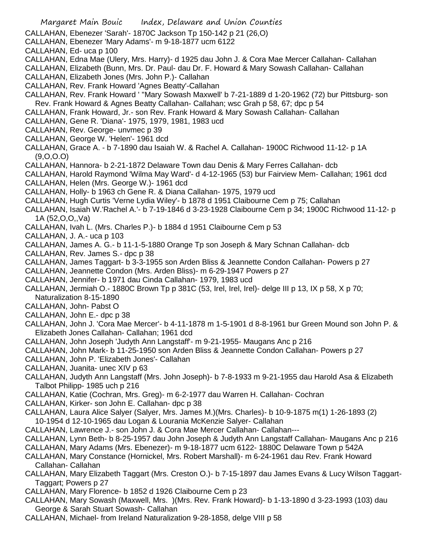- CALLAHAN, Ebenezer 'Sarah'- 1870C Jackson Tp 150-142 p 21 (26,O)
- CALLAHAN, Ebenezer 'Mary Adams'- m 9-18-1877 ucm 6122
- CALLAHAN, Ed- uca p 100
- CALLAHAN, Edna Mae (Ulery, Mrs. Harry)- d 1925 dau John J. & Cora Mae Mercer Callahan- Callahan
- CALLAHAN, Elizabeth (Bunn, Mrs. Dr. Paul- dau Dr. F. Howard & Mary Sowash Callahan- Callahan
- CALLAHAN, Elizabeth Jones (Mrs. John P.)- Callahan
- CALLAHAN, Rev. Frank Howard 'Agnes Beatty'-Callahan
- CALLAHAN, Rev. Frank Howard ' ''Mary Sowash Maxwell' b 7-21-1889 d 1-20-1962 (72) bur Pittsburg- son Rev. Frank Howard & Agnes Beatty Callahan- Callahan; wsc Grah p 58, 67; dpc p 54
- CALLAHAN, Frank Howard, Jr.- son Rev. Frank Howard & Mary Sowash Callahan- Callahan
- CALLAHAN, Gene R. 'Diana'- 1975, 1979, 1981, 1983 ucd
- CALLAHAN, Rev. George- unvmec p 39
- CALLAHAN, George W. 'Helen'- 1961 dcd
- CALLAHAN, Grace A. b 7-1890 dau Isaiah W. & Rachel A. Callahan- 1900C Richwood 11-12- p 1A (9,O,O.O)
- CALLAHAN, Hannora- b 2-21-1872 Delaware Town dau Denis & Mary Ferres Callahan- dcb
- CALLAHAN, Harold Raymond 'Wilma May Ward'- d 4-12-1965 (53) bur Fairview Mem- Callahan; 1961 dcd CALLAHAN, Helen (Mrs. George W.)- 1961 dcd
- CALLAHAN, Holly- b 1963 ch Gene R. & Diana Callahan- 1975, 1979 ucd
- CALLAHAN, Hugh Curtis 'Verne Lydia Wiley'- b 1878 d 1951 Claibourne Cem p 75; Callahan
- CALLAHAN, Isaiah W.'Rachel A.'- b 7-19-1846 d 3-23-1928 Claibourne Cem p 34; 1900C Richwood 11-12- p 1A (52,O,O,,Va)
- CALLAHAN, Ivah L. (Mrs. Charles P.)- b 1884 d 1951 Claibourne Cem p 53
- CALLAHAN, J. A.- uca p 103
- CALLAHAN, James A. G.- b 11-1-5-1880 Orange Tp son Joseph & Mary Schnan Callahan- dcb
- CALLAHAN, Rev. James S.- dpc p 38
- CALLAHAN, James Taggart- b 3-3-1955 son Arden Bliss & Jeannette Condon Callahan- Powers p 27
- CALLAHAN, Jeannette Condon (Mrs. Arden Bliss)- m 6-29-1947 Powers p 27
- CALLAHAN, Jennifer- b 1971 dau Cinda Callahan- 1979, 1983 ucd
- CALLAHAN, Jermiah O.- 1880C Brown Tp p 381C (53, Irel, Irel, Irel)- delge III p 13, IX p 58, X p 70; Naturalization 8-15-1890
- CALLAHAN, John- Pabst O
- CALLAHAN, John E.- dpc p 38
- CALLAHAN, John J. 'Cora Mae Mercer'- b 4-11-1878 m 1-5-1901 d 8-8-1961 bur Green Mound son John P. & Elizabeth Jones Callahan- Callahan; 1961 dcd
- CALLAHAN, John Joseph 'Judyth Ann Langstaff'- m 9-21-1955- Maugans Anc p 216
- CALLAHAN, John Mark- b 11-25-1950 son Arden Bliss & Jeannette Condon Callahan- Powers p 27
- CALLAHAN, John P. 'Elizabeth Jones'- Callahan
- CALLAHAN, Juanita- unec XIV p 63
- CALLAHAN, Judyth Ann Langstaff (Mrs. John Joseph)- b 7-8-1933 m 9-21-1955 dau Harold Asa & Elizabeth Talbot Philipp- 1985 uch p 216
- CALLAHAN, Katie (Cochran, Mrs. Greg)- m 6-2-1977 dau Warren H. Callahan- Cochran
- CALLAHAN, Kirker- son John E. Callahan- dpc p 38
- CALLAHAN, Laura Alice Salyer (Salyer, Mrs. James M.)(Mrs. Charles)- b 10-9-1875 m(1) 1-26-1893 (2)
- 10-1954 d 12-10-1965 dau Logan & Lourania McKenzie Salyer- Callahan
- CALLAHAN, Lawrence J.- son John J. & Cora Mae Mercer Callahan- Callahan---
- CALLAHAN, Lynn Beth- b 8-25-1957 dau John Joseph & Judyth Ann Langstaff Callahan- Maugans Anc p 216
- CALLAHAN, Mary Adams (Mrs. Ebenezer)- m 9-18-1877 ucm 6122- 1880C Delaware Town p 542A
- CALLAHAN, Mary Constance (Hornickel, Mrs. Robert Marshall)- m 6-24-1961 dau Rev. Frank Howard Callahan- Callahan
- CALLAHAN, Mary Elizabeth Taggart (Mrs. Creston O.)- b 7-15-1897 dau James Evans & Lucy Wilson Taggart-Taggart; Powers p 27
- CALLAHAN, Mary Florence- b 1852 d 1926 Claibourne Cem p 23
- CALLAHAN, Mary Sowash (Maxwell, Mrs. )(Mrs. Rev. Frank Howard)- b 1-13-1890 d 3-23-1993 (103) dau George & Sarah Stuart Sowash- Callahan
- CALLAHAN, Michael- from Ireland Naturalization 9-28-1858, delge VIII p 58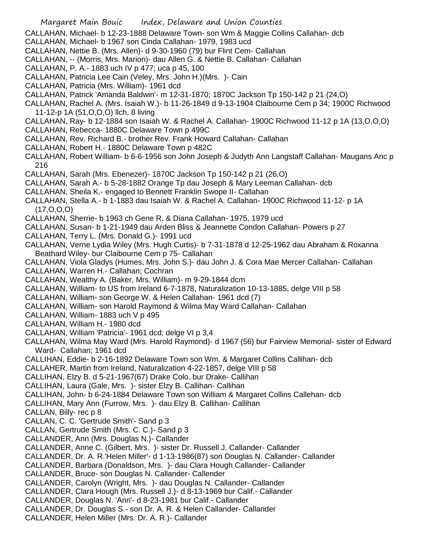CALLAHAN, Michael- b 12-23-1888 Delaware Town- son Wm & Maggie Collins Callahan- dcb

- CALLAHAN, Michael- b 1967 son Cinda Callahan- 1979, 1983 ucd
- CALLAHAN, Nettie B. (Mrs. Allen)- d 9-30-1960 (79) bur Flint Cem- Callahan
- CALLAHAN, -- (Morris, Mrs. Marion)- dau Allen G. & Nettie B. Callahan- Callahan
- CALLAHAN, P. A.- 1883 uch IV p 477; uca p 45, 100
- CALLAHAN, Patricia Lee Cain (Veley, Mrs. John H.)(Mrs. )- Cain
- CALLAHAN, Patricia (Mrs. William)- 1961 dcd
- CALLAHAN, Patrick 'Amanda Baldwin'- m 12-31-1870; 1870C Jackson Tp 150-142 p 21 (24,O)
- CALLAHAN, Rachel A. (Mrs. Isaiah W.)- b 11-26-1849 d 9-13-1904 Claibourne Cem p 34; 1900C Richwood 11-12-p 1A (51,O,O,O) llch, 8 living
- CALLAHAN, Ray- b 12-1884 son Isaiah W. & Rachel A. Callahan- 1900C Richwood 11-12 p 1A (13,O,O,O)
- CALLAHAN, Rebecca- 1880C Delaware Town p 499C
- CALLAHAN, Rev. Richard B.- brother Rev. Frank Howard Callahan- Callahan
- CALLAHAN, Robert H.- 1880C Delaware Town p 482C
- CALLAHAN, Robert William- b 6-6-1956 son John Joseph & Judyth Ann Langstaff Callahan- Maugans Anc p 216
- CALLAHAN, Sarah (Mrs. Ebenezer)- 1870C Jackson Tp 150-142 p 21 (26,O)
- CALLAHAN, Sarah A.- b 5-28-1882 Orange Tp dau Joseph & Mary Leeman Callahan- dcb
- CALLAHAN, Sheila K.- engaged to Bennett Franklin Swope II- Callahan
- CALLAHAN, Stella A.- b 1-1883 dau Isaiah W. & Rachel A. Callahan- 1900C Richwood 11-12- p 1A (17,O,O,O)
- CALLAHAN, Sherrie- b 1963 ch Gene R. & Diana Callahan- 1975, 1979 ucd
- CALLAHAN, Susan- b 1-21-1949 dau Arden Bliss & Jeannette Condon Callahan- Powers p 27
- CALLAHAN, Terry L. (Mrs. Donald G.)- 1991 ucd
- CALLAHAN, Verne Lydia Wiley (Mrs. Hugh Curtis)- b 7-31-1878 d 12-25-1962 dau Abraham & Roxanna Beathard Wiley- bur Claibourne Cem p 75- Callahan
- CALLAHAN, Viola Gladys (Humes, Mrs. John S.)- dau John J. & Cora Mae Mercer Callahan- Callahan
- CALLAHAN, Warren H.- Callahan; Cochran
- CALLAHAN, Wealthy A. (Baker, Mrs. William)- m 9-29-1844 dcm
- CALLAHAN, William- to US from Ireland 6-7-1878, Naturalization 10-13-1885, delge VIII p 58
- CALLAHAN, William- son George W. & Helen Callahan- 1961 dcd (7)
- CALLAHAN, William- son Harold Raymond & Wilma May Ward Callahan- Callahan
- CALLAHAN, William- 1883 uch V p 495
- CALLAHAN, William H.- 1980 dcd
- CALLAHAN, William 'Patricia'- 1961 dcd; delge VI p 3,4
- CALLAHAN, Wilma May Ward (Mrs. Harold Raymond)- d 1967 (56) bur Fairview Memorial- sister of Edward Ward- Callahan; 1961 dcd
- CALLIHAN, Eddie- b 2-16-1892 Delaware Town son Wm. & Margaret Collins Callihan- dcb
- CALLAHER, Martin from Ireland, Naturalization 4-22-1857, delge VIII p 58
- CALLIHAN, Elzy B. d 5-21-1967(67) Drake Colo. bur Drake- Callihan
- CALLIHAN, Laura (Gale, Mrs. )- sister Elzy B. Callihan- Callihan
- CALLIHAN, John- b 6-24-1884 Delaware Town son William & Margaret Collins Callehan- dcb
- CALLIHAN, Mary Ann (Furrow, Mrs. )- dau Elzy B. Callihan- Callihan
- CALLAN, Billy- rec p 8
- CALLAN, C. C. 'Gertrude Smith'- Sand p 3
- CALLAN, Gertrude Smith (Mrs. C. C.)- Sand p 3
- CALLANDER, Ann (Mrs. Douglas N.)- Callander
- CALLANDER, Anne C. (Gilbert, Mrs. )- sister Dr. Russell J. Callander- Callander
- CALLANDER, Dr. A. R.'Helen Miller'- d 1-13-1986(87) son Douglas N. Callander- Callander
- CALLANDER, Barbara (Donaldson, Mrs. )- dau Clara Hough Callander- Callander
- CALLANDER, Bruce- son Douglas N. Callander- Callender
- CALLANDER, Carolyn (Wright, Mrs. )- dau Douglas N. Callander- Callander
- CALLANDER, Clara Hough (Mrs. Russell J.)- d 8-13-1969 bur Calif.- Callander
- CALLANDER, Douglas N. 'Ann'- d 8-23-1981 bur Calif.- Callander
- CALLANDER, Dr. Douglas S.- son Dr. A. R. & Helen Callander- Callander
- CALLANDER, Helen Miller (Mrs. Dr. A. R.)- Callander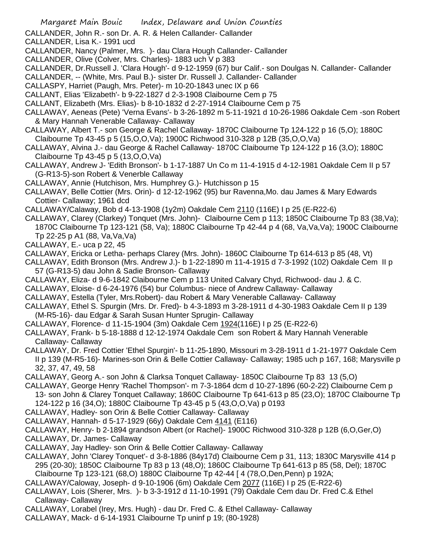CALLANDER, John R.- son Dr. A. R. & Helen Callander- Callander

CALLANDER, Lisa K.- 1991 ucd

CALLANDER, Nancy (Palmer, Mrs. )- dau Clara Hough Callander- Callander

- CALLANDER, Olive (Colver, Mrs. Charles)- 1883 uch V p 383
- CALLANDER, Dr.Russell J. 'Clara Hough'- d 9-12-1959 (67) bur Calif.- son Doulgas N. Callander- Callander

CALLANDER, -- (White, Mrs. Paul B.)- sister Dr. Russell J. Callander- Callander

- CALLASPY, Harriet (Paugh, Mrs. Peter)- m 10-20-1843 unec IX p 66
- CALLANT, Elias 'Elizabeth'- b 9-22-1827 d 2-3-1908 Claibourne Cem p 75
- CALLANT, Elizabeth (Mrs. Elias)- b 8-10-1832 d 2-27-1914 Claibourne Cem p 75
- CALLAWAY, Aeneas (Pete) 'Verna Evans'- b 3-26-1892 m 5-11-1921 d 10-26-1986 Oakdale Cem -son Robert & Mary Hannah Venerable Callaway- Callaway
- CALLAWAY, Albert T.- son George & Rachel Callaway- 1870C Claibourne Tp 124-122 p 16 (5,O); 1880C Claibourne Tp 43-45 p 5 (15,O,O,Va); 1900C Richwood 310-328 p 12B (35,O,O,Va)
- CALLAWAY, Alvina J.- dau George & Rachel Callaway- 1870C Claibourne Tp 124-122 p 16 (3,O); 1880C Claibourne Tp 43-45 p 5 (13,O,O,Va)
- CALLAWAY, Andrew J- 'Edith Bronson'- b 1-17-1887 Un Co m 11-4-1915 d 4-12-1981 Oakdale Cem II p 57 (G-R13-5)-son Robert & Venerble Callaway
- CALLAWAY, Annie (Hutchison, Mrs. Humphrey G.)- Hutchisson p 15
- CALLAWAY, Belle Cottier (Mrs. Orin)- d 12-12-1962 (95) bur Ravenna,Mo. dau James & Mary Edwards Cottier- Callaway; 1961 dcd
- CALLAWAY/Calaway, Bob d 4-13-1908 (1y2m) Oakdale Cem 2110 (116E) I p 25 (E-R22-6)
- CALLAWAY, Clarey (Clarkey) Tonquet (Mrs. John)- Claibourne Cem p 113; 1850C Claibourne Tp 83 (38,Va); 1870C Claibourne Tp 123-121 (58, Va); 1880C Claibourne Tp 42-44 p 4 (68, Va,Va,Va); 1900C Claibourne Tp 22-25 p A1 (88, Va,Va,Va)
- CALLAWAY, E.- uca p 22, 45
- CALLAWAY, Ericka or Letha- perhaps Clarey (Mrs. John)- 1860C Claibourne Tp 614-613 p 85 (48, Vt)
- CALLAWAY, Edith Bronson (Mrs. Andrew J.)- b 1-22-1890 m 11-4-1915 d 7-3-1992 (102) Oakdale Cem II p 57 (G-R13-5) dau John & Sadie Bronson- Callaway
- CALLAWAY, Eliza- d 9-6-1842 Claibourne Cem p 113 United Calvary Chyd, Richwood- dau J. & C.
- CALLAWAY, Eloise- d 6-24-1976 (54) bur Columbus- niece of Andrew Callaway- Callaway
- CALLAWAY, Estella (Tyler, Mrs.Robert)- dau Robert & Mary Venerable Callaway- Callaway
- CALLAWAY, Ethel S. Spurgin (Mrs. Dr. Fred)- b 4-3-1893 m 3-28-1911 d 4-30-1983 Oakdale Cem II p 139 (M-R5-16)- dau Edgar & Sarah Susan Hunter Sprugin- Callaway
- CALLAWAY, Florence- d 11-15-1904 (3m) Oakdale Cem 1924(116E) I p 25 (E-R22-6)
- CALLAWAY, Frank- b 5-18-1888 d 12-12-1974 Oakdale Cem son Robert & Mary Hannah Venerable Callaway- Callaway
- CALLAWAY, Dr. Fred Cottier 'Ethel Spurgin'- b 11-25-1890, Missouri m 3-28-1911 d 1-21-1977 Oakdale Cem II p 139 (M-R5-16)- Marines-son Orin & Belle Cottier Callaway- Callaway; 1985 uch p 167, 168; Marysville p 32, 37, 47, 49, 58
- CALLAWAY, Georg A.- son John & Clarksa Tonquet Callaway- 1850C Claibourne Tp 83 13 (5,O)
- CALLAWAY, George Henry 'Rachel Thompson'- m 7-3-1864 dcm d 10-27-1896 (60-2-22) Claibourne Cem p 13- son John & Clarey Tonquet Callaway; 1860C Claibourne Tp 641-613 p 85 (23,O); 1870C Claibourne Tp 124-122 p 16 (34,O); 1880C Claibourne Tp 43-45 p 5 (43,O,O,Va) p 0193
- CALLAWAY, Hadley- son Orin & Belle Cottier Callaway- Callaway
- CALLAWAY, Hannah- d 5-17-1929 (66y) Oakdale Cem 4141 (E116)
- CALLAWAY, Henry- b 2-1894 grandson Albert (or Rachel)- 1900C Richwood 310-328 p 12B (6,O,Ger,O)
- CALLAWAY, Dr. James- Callaway
- CALLAWAY, Jay Hadley- son Orin & Belle Cottier Callaway- Callaway
- CALLAWAY, John 'Clarey Tonquet'- d 3-8-1886 (84y17d) Claibourne Cem p 31, 113; 1830C Marysville 414 p 295 (20-30); 1850C Claibourne Tp 83 p 13 (48,O); 1860C Claibourne Tp 641-613 p 85 (58, Del); 1870C Claibourne Tp 123-121 (68,O) 1880C Claibourne Tp 42-44 [ 4 (78,O,Den,Penn) p 192A;
- CALLAWAY/Caloway, Joseph- d 9-10-1906 (6m) Oakdale Cem 2077 (116E) I p 25 (E-R22-6)
- CALLAWAY, Lois (Sherer, Mrs. )- b 3-3-1912 d 11-10-1991 (79) Oakdale Cem dau Dr. Fred C.& Ethel Callaway- Callaway
- CALLAWAY, Lorabel (Irey, Mrs. Hugh) dau Dr. Fred C. & Ethel Callaway- Callaway
- CALLAWAY, Mack- d 6-14-1931 Claibourne Tp uninf p 19; (80-1928)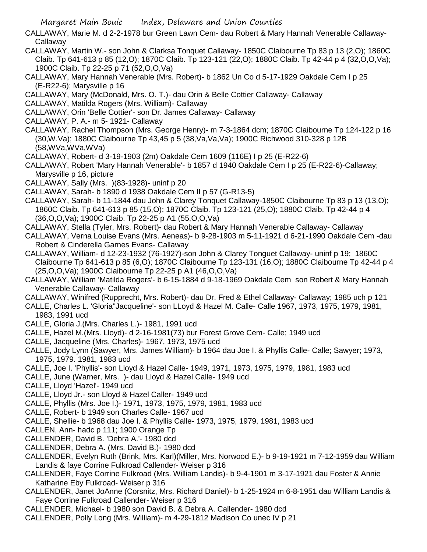- CALLAWAY, Marie M. d 2-2-1978 bur Green Lawn Cem- dau Robert & Mary Hannah Venerable Callaway-**Callaway**
- CALLAWAY, Martin W.- son John & Clarksa Tonquet Callaway- 1850C Claibourne Tp 83 p 13 (2,O); 1860C Claib. Tp 641-613 p 85 (12,O); 1870C Claib. Tp 123-121 (22,O); 1880C Claib. Tp 42-44 p 4 (32,O,O,Va); 1900C Claib. Tp 22-25 p 71 (52,O,O,Va)
- CALLAWAY, Mary Hannah Venerable (Mrs. Robert)- b 1862 Un Co d 5-17-1929 Oakdale Cem I p 25 (E-R22-6); Marysville p 16
- CALLAWAY, Mary (McDonald, Mrs. O. T.)- dau Orin & Belle Cottier Callaway- Callaway
- CALLAWAY, Matilda Rogers (Mrs. William)- Callaway
- CALLAWAY, Orin 'Belle Cottier'- son Dr. James Callaway- Callaway
- CALLAWAY, P. A.- m 5- 1921- Callaway
- CALLAWAY, Rachel Thompson (Mrs. George Henry)- m 7-3-1864 dcm; 1870C Claibourne Tp 124-122 p 16 (30,W.Va); 1880C Claibourne Tp 43,45 p 5 (38,Va,Va,Va); 1900C Richwood 310-328 p 12B (58,WVa,WVa,WVa)
- CALLAWAY, Robert- d 3-19-1903 (2m) Oakdale Cem 1609 (116E) I p 25 (E-R22-6)
- CALLAWAY, Robert 'Mary Hannah Venerable'- b 1857 d 1940 Oakdale Cem I p 25 (E-R22-6)-Callaway; Marysville p 16, picture
- CALLAWAY, Sally (Mrs. )(83-1928)- uninf p 20
- CALLAWAY, Sarah- b 1890 d 1938 Oakdale Cem II p 57 (G-R13-5)
- CALLAWAY, Sarah- b 11-1844 dau John & Clarey Tonquet Callaway-1850C Claibourne Tp 83 p 13 (13,O); 1860C Claib. Tp 641-613 p 85 (15,O); 1870C Claib. Tp 123-121 (25,O); 1880C Claib. Tp 42-44 p 4 (36,O,O,Va); 1900C Claib. Tp 22-25 p A1 (55,O,O,Va)
- CALLAWAY, Stella (Tyler, Mrs. Robert)- dau Robert & Mary Hannah Venerable Callaway- Callaway
- CALLAWAY, Verna Louise Evans (Mrs. Aeneas)- b 9-28-1903 m 5-11-1921 d 6-21-1990 Oakdale Cem -dau Robert & Cinderella Garnes Evans- Callaway
- CALLAWAY, William- d 12-23-1932 (76-1927)-son John & Clarey Tonguet Callaway- uninf p 19; 1860C Claibourne Tp 641-613 p 85 (6,O); 1870C Claibourne Tp 123-131 (16,O); 1880C Claibourne Tp 42-44 p 4 (25,O,O,Va); 1900C Claibourne Tp 22-25 p A1 (46,O,O,Va)
- CALLAWAY, William 'Matilda Rogers'- b 6-15-1884 d 9-18-1969 Oakdale Cem son Robert & Mary Hannah Venerable Callaway- Callaway
- CALLAWAY, Winifred (Rupprecht, Mrs. Robert)- dau Dr. Fred & Ethel Callaway- Callaway; 1985 uch p 121
- CALLE, Charles L. 'Gloria''Jacqueline'- son LLoyd & Hazel M. Calle- Calle 1967, 1973, 1975, 1979, 1981, 1983, 1991 ucd
- CALLE, Gloria J.(Mrs. Charles L.)- 1981, 1991 ucd
- CALLE, Hazel M.(Mrs. Lloyd)- d 2-16-1981(73) bur Forest Grove Cem- Calle; 1949 ucd
- CALLE, Jacqueline (Mrs. Charles)- 1967, 1973, 1975 ucd
- CALLE, Jody Lynn (Sawyer, Mrs. James William)- b 1964 dau Joe I. & Phyllis Calle- Calle; Sawyer; 1973, 1975, 1979. 1981, 1983 ucd
- CALLE, Joe I. 'Phyllis'- son Lloyd & Hazel Calle- 1949, 1971, 1973, 1975, 1979, 1981, 1983 ucd
- CALLE, June (Warner, Mrs. )- dau Lloyd & Hazel Calle- 1949 ucd
- CALLE, Lloyd 'Hazel'- 1949 ucd
- CALLE, Lloyd Jr.- son Lloyd & Hazel Caller- 1949 ucd
- CALLE, Phyllis (Mrs. Joe I.)- 1971, 1973, 1975, 1979, 1981, 1983 ucd
- CALLE, Robert- b 1949 son Charles Calle- 1967 ucd
- CALLE, Shellie- b 1968 dau Joe I. & Phyllis Calle- 1973, 1975, 1979, 1981, 1983 ucd
- CALLEN, Ann- hadc p 111; 1900 Orange Tp
- CALLENDER, David B. 'Debra A.'- 1980 dcd
- CALLENDER, Debra A. (Mrs. David B.)- 1980 dcd
- CALLENDER, Evelyn Ruth (Brink, Mrs. Karl)(Miller, Mrs. Norwood E.)- b 9-19-1921 m 7-12-1959 dau William Landis & faye Corrine Fulkroad Callender- Weiser p 316
- CALLENDER, Faye Corrine Fulkroad (Mrs. William Landis)- b 9-4-1901 m 3-17-1921 dau Foster & Annie Katharine Eby Fulkroad- Weiser p 316
- CALLENDER, Janet JoAnne (Corsnitz, Mrs. Richard Daniel)- b 1-25-1924 m 6-8-1951 dau William Landis & Faye Corrine Fulkroad Callender- Weiser p 316
- CALLENDER, Michael- b 1980 son David B. & Debra A. Callender- 1980 dcd
- CALLENDER, Polly Long (Mrs. William)- m 4-29-1812 Madison Co unec IV p 21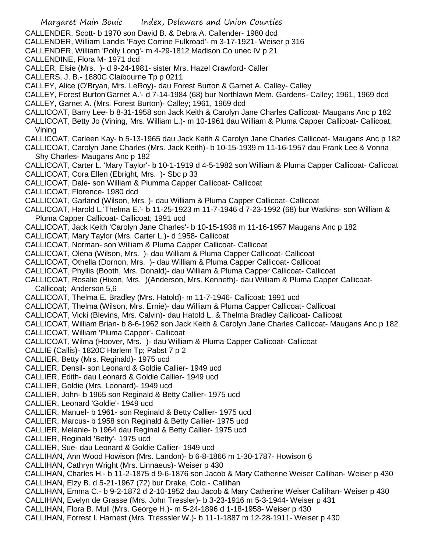- Margaret Main Bouic Index, Delaware and Union Counties CALLENDER, Scott- b 1970 son David B. & Debra A. Callender- 1980 dcd CALLENDER, William Landis 'Faye Corrine Fulkroad'- m 3-17-1921- Weiser p 316 CALLENDER, William 'Polly Long'- m 4-29-1812 Madison Co unec IV p 21 CALLENDINE, Flora M- 1971 dcd CALLER, Elsie (Mrs. )- d 9-24-1981- sister Mrs. Hazel Crawford- Caller CALLERS, J. B.- 1880C Claibourne Tp p 0211 CALLEY, Alice (O'Bryan, Mrs. LeRoy)- dau Forest Burton & Garnet A. Calley- Calley CALLEY, Forest Burton'Garnet A.'- d 7-14-1984 (68) bur Northlawn Mem. Gardens- Calley; 1961, 1969 dcd CALLEY, Garnet A. (Mrs. Forest Burton)- Calley; 1961, 1969 dcd CALLICOAT, Barry Lee- b 8-31-1958 son Jack Keith & Carolyn Jane Charles Callicoat- Maugans Anc p 182 CALLICOAT, Betty Jo (Vining, Mrs. William L.)- m 10-1961 dau William & Pluma Capper Callicoat- Callicoat; Vining CALLICOAT, Carleen Kay- b 5-13-1965 dau Jack Keith & Carolyn Jane Charles Callicoat- Maugans Anc p 182 CALLICOAT, Carolyn Jane Charles (Mrs. Jack Keith)- b 10-15-1939 m 11-16-1957 dau Frank Lee & Vonna Shy Charles- Maugans Anc p 182 CALLICOAT, Carter L. 'Mary Taylor'- b 10-1-1919 d 4-5-1982 son William & Pluma Capper Callicoat- Callicoat CALLICOAT, Cora Ellen (Ebright, Mrs. )- Sbc p 33 CALLICOAT, Dale- son William & Plumma Capper Callicoat- Callicoat CALLICOAT, Florence- 1980 dcd CALLICOAT, Garland (Wilson, Mrs. )- dau William & Pluma Capper Callicoat- Callicoat CALLICOAT, Harold L.'Thelma E.'- b 11-25-1923 m 11-7-1946 d 7-23-1992 (68) bur Watkins- son William & Pluma Capper Callicoat- Callicoat; 1991 ucd CALLICOAT, Jack Keith 'Carolyn Jane Charles'- b 10-15-1936 m 11-16-1957 Maugans Anc p 182 CALLICOAT, Mary Taylor (Mrs. Carter L.)- d 1958- Callicoat CALLICOAT, Norman- son William & Pluma Capper Callicoat- Callicoat CALLICOAT, Olena (Wilson, Mrs. )- dau William & Pluma Capper Callicoat- Callicoat CALLICOAT, Othella (Dornon, Mrs. )- dau William & Pluma Capper Callicoat- Callicoat CALLICOAT, Phyllis (Booth, Mrs. Donald)- dau William & Pluma Capper Callicoat- Callicoat CALLICOAT, Rosalie (Hixon, Mrs. )(Anderson, Mrs. Kenneth)- dau William & Pluma Capper Callicoat-Callicoat; Anderson 5,6 CALLICOAT, Thelma E. Bradley (Mrs. Hatold)- m 11-7-1946- Callicoat; 1991 ucd CALLICOAT, Thelma (Wilson, Mrs. Ernie)- dau William & Pluma Capper Callicoat- Callicoat CALLICOAT, Vicki (Blevins, Mrs. Calvin)- dau Hatold L. & Thelma Bradley Callicoat- Callicoat CALLICOAT, William Brian- b 8-6-1962 son Jack Keith & Carolyn Jane Charles Callicoat- Maugans Anc p 182 CALLICOAT, William 'Pluma Capper'- Callicoat CALLICOAT, Wilma (Hoover, Mrs. )- dau William & Pluma Capper Callicoat- Callicoat CALLIE (Callis)- 1820C Harlem Tp; Pabst 7 p 2 CALLIER, Betty (Mrs. Reginald)- 1975 ucd CALLIER, Densil- son Leonard & Goldie Callier- 1949 ucd CALLIER, Edith- dau Leonard & Goldie Callier- 1949 ucd CALLIER, Goldie (Mrs. Leonard)- 1949 ucd CALLIER, John- b 1965 son Reginald & Betty Callier- 1975 ucd CALLIER, Leonard 'Goldie'- 1949 ucd CALLIER, Manuel- b 1961- son Reginald & Betty Callier- 1975 ucd CALLIER, Marcus- b 1958 son Reginald & Betty Callier- 1975 ucd CALLIER, Melanie- b 1964 dau Reginal & Betty Callier- 1975 ucd CALLIER, Reginald 'Betty'- 1975 ucd CALLIER, Sue- dau Leonard & Goldie Callier- 1949 ucd CALLIHAN, Ann Wood Howison (Mrs. Landon)- b 6-8-1866 m 1-30-1787- Howison 6 CALLIHAN, Cathryn Wright (Mrs. Linnaeus)- Weiser p 430 CALLIHAN, Charles H.- b 11-2-1875 d 9-6-1876 son Jacob & Mary Catherine Weiser Callihan- Weiser p 430 CALLIHAN, Elzy B. d 5-21-1967 (72) bur Drake, Colo.- Callihan CALLIHAN, Emma C.- b 9-2-1872 d 2-10-1952 dau Jacob & Mary Catherine Weiser Callihan- Weiser p 430
- CALLIHAN, Evelyn de Grasse (Mrs. John Tressler)- b 3-23-1916 m 5-3-1944- Weiser p 431
- CALLIHAN, Flora B. Mull (Mrs. George H.)- m 5-24-1896 d 1-18-1958- Weiser p 430
- CALLIHAN, Forrest I. Harnest (Mrs. Tresssler W.)- b 11-1-1887 m 12-28-1911- Weiser p 430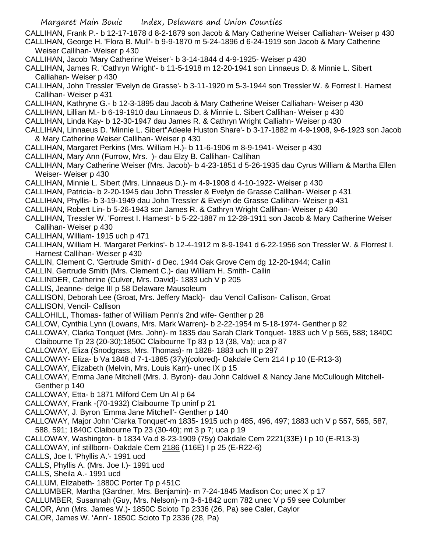- Margaret Main Bouic Index, Delaware and Union Counties
- CALLIHAN, Frank P.- b 12-17-1878 d 8-2-1879 son Jacob & Mary Catherine Weiser Calliahan- Weiser p 430 CALLIHAN, George H. 'Flora B. Mull'- b 9-9-1870 m 5-24-1896 d 6-24-1919 son Jacob & Mary Catherine Weiser Callihan- Weiser p 430
- CALLIHAN, Jacob 'Mary Catherine Weiser'- b 3-14-1844 d 4-9-1925- Weiser p 430
- CALLIHAN, James R. 'Cathryn Wright'- b 11-5-1918 m 12-20-1941 son Linnaeus D. & Minnie L. Sibert Calliahan- Weiser p 430
- CALLIHAN, John Tressler 'Evelyn de Grasse'- b 3-11-1920 m 5-3-1944 son Tressler W. & Forrest I. Harnest Callihan- Weiser p 431
- CALLIHAN, Kathryne G.- b 12-3-1895 dau Jacob & Mary Catherine Weiser Calliahan- Weiser p 430
- CALLIHAN, Lillian M.- b 6-19-1910 dau Linnaeus D. & Minnie L. Sibert Callihan- Weiser p 430
- CALLIHAN, Linda Kay- b 12-30-1947 dau James R. & Cathryn Wright Calliahn- Weiser p 430
- CALLIHAN, Linnaeus D. 'Minnie L. Sibert''Adeele Huston Share'- b 3-17-1882 m 4-9-1908, 9-6-1923 son Jacob & Mary Catherine Weiser Callihan- Weiser p 430
- CALLIHAN, Margaret Perkins (Mrs. William H.)- b 11-6-1906 m 8-9-1941- Weiser p 430
- CALLIHAN, Mary Ann (Furrow, Mrs. )- dau Elzy B. Callihan- Callihan
- CALLIHAN, Mary Catherine Weiser (Mrs. Jacob)- b 4-23-1851 d 5-26-1935 dau Cyrus William & Martha Ellen Weiser- Weiser p 430
- CALLIHAN, Minnie L. Sibert (Mrs. Linnaeus D.)- m 4-9-1908 d 4-10-1922- Weiser p 430
- CALLIHAN, Patricia- b 2-20-1945 dau John Tressler & Evelyn de Grasse Callihan- Weiser p 431
- CALLIHAN, Phyllis- b 3-19-1949 dau John Tressler & Evelyn de Grasse Callihan- Weiser p 431
- CALLIHAN, Robert Lin- b 5-26-1943 son James R. & Cathryn Wright Callihan- Weiser p 430
- CALLIHAN, Tressler W. 'Forrest I. Harnest'- b 5-22-1887 m 12-28-1911 son Jacob & Mary Catherine Weiser Callihan- Weiser p 430
- CALLIHAN, William- 1915 uch p 471
- CALLIHAN, William H. 'Margaret Perkins'- b 12-4-1912 m 8-9-1941 d 6-22-1956 son Tressler W. & Florrest I. Harnest Callihan- Weiser p 430
- CALLIN, Clement C. 'Gertrude Smith'- d Dec. 1944 Oak Grove Cem dg 12-20-1944; Callin
- CALLIN, Gertrude Smith (Mrs. Clement C.)- dau William H. Smith- Callin
- CALLINDER, Catherine (Culver, Mrs. David)- 1883 uch V p 205
- CALLIS, Jeanne- delge III p 58 Delaware Mausoleum
- CALLISON, Deborah Lee (Groat, Mrs. Jeffery Mack)- dau Vencil Callison- Callison, Groat
- CALLISON, Vencil- Callison
- CALLOHILL, Thomas- father of William Penn's 2nd wife- Genther p 28
- CALLOW, Cynthia Lynn (Lowans, Mrs. Mark Warren)- b 2-22-1954 m 5-18-1974- Genther p 92
- CALLOWAY, Clarka Tonquet (Mrs. John)- m 1835 dau Sarah Clark Tonquet- 1883 uch V p 565, 588; 1840C Claibourne Tp 23 (20-30);1850C Claibourne Tp 83 p 13 (38, Va); uca p 87
- CALLOWAY, Eliza (Snodgrass, Mrs. Thomas)- m 1828- 1883 uch III p 297
- CALLOWAY- Eliza- b Va 1848 d 7-1-1885 (37y)(colored)- Oakdale Cem 214 I p 10 (E-R13-3)
- CALLOWAY, Elizabeth (Melvin, Mrs. Louis Karr)- unec IX p 15
- CALLOWAY, Emma Jane Mitchell (Mrs. J. Byron)- dau John Caldwell & Nancy Jane McCullough Mitchell-Genther p 140
- CALLOWAY, Etta- b 1871 Milford Cem Un Al p 64
- CALLOWAY, Frank -(70-1932) Claibourne Tp uninf p 21
- CALLOWAY, J. Byron 'Emma Jane Mitchell'- Genther p 140
- CALLOWAY, Major John 'Clarka Tonquet'-m 1835- 1915 uch p 485, 496, 497; 1883 uch V p 557, 565, 587, 588, 591; 1840C Claibourne Tp 23 (30-40); mt 3 p 7; uca p 19
- CALLOWAY, Washington- b 1834 Va.d 8-23-1909 (75y) Oakdale Cem 2221(33E) I p 10 (E-R13-3)
- CALLOWAY, inf stillborn- Oakdale Cem 2186 (116E) I p 25 (E-R22-6)
- CALLS, Joe I. 'Phyllis A.'- 1991 ucd
- CALLS, Phyllis A. (Mrs. Joe I.)- 1991 ucd
- CALLS, Sheila A.- 1991 ucd
- CALLUM, Elizabeth- 1880C Porter Tp p 451C
- CALLUMBER, Martha (Gardner, Mrs. Benjamin)- m 7-24-1845 Madison Co; unec X p 17
- CALLUMBER, Susannah (Guy, Mrs. Nelson)- m 3-6-1842 ucm 782 unec V p 59 see Columber
- CALOR, Ann (Mrs. James W.)- 1850C Scioto Tp 2336 (26, Pa) see Caler, Caylor
- CALOR, James W. 'Ann'- 1850C Scioto Tp 2336 (28, Pa)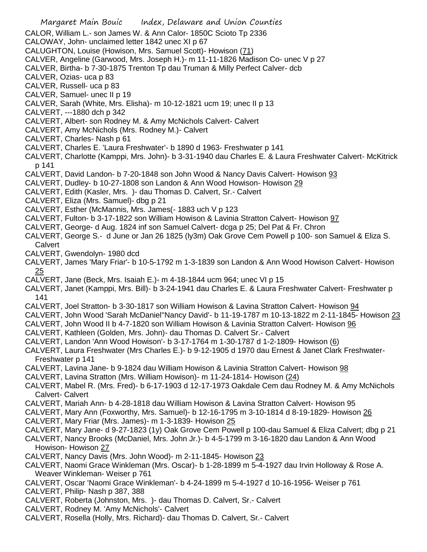- Margaret Main Bouic Index, Delaware and Union Counties CALOR, William L.- son James W. & Ann Calor- 1850C Scioto Tp 2336 CALOWAY, John- unclaimed letter 1842 unec XI p 67 CALUGHTON, Louise (Howison, Mrs. Samuel Scott)- Howison (71) CALVER, Angeline (Garwood, Mrs. Joseph H.)- m 11-11-1826 Madison Co- unec V p 27 CALVER, Birtha- b 7-30-1875 Trenton Tp dau Truman & Milly Perfect Calver- dcb CALVER, Ozias- uca p 83 CALVER, Russell- uca p 83 CALVER, Samuel- unec II p 19 CALVER, Sarah (White, Mrs. Elisha)- m 10-12-1821 ucm 19; unec II p 13 CALVERT, ---1880 dch p 342 CALVERT, Albert- son Rodney M. & Amy McNichols Calvert- Calvert CALVERT, Amy McNichols (Mrs. Rodney M.)- Calvert CALVERT, Charles- Nash p 61 CALVERT, Charles E. 'Laura Freshwater'- b 1890 d 1963- Freshwater p 141 CALVERT, Charlotte (Kamppi, Mrs. John)- b 3-31-1940 dau Charles E. & Laura Freshwater Calvert- McKitrick p 141 CALVERT, David Landon- b 7-20-1848 son John Wood & Nancy Davis Calvert- Howison 93 CALVERT, Dudley- b 10-27-1808 son Landon & Ann Wood Howison- Howison 29 CALVERT, Edith (Kasler, Mrs. )- dau Thomas D. Calvert, Sr.- Calvert CALVERT, Eliza (Mrs. Samuel)- dbg p 21 CALVERT, Esther (McMannis, Mrs. James(- 1883 uch V p 123 CALVERT, Fulton- b 3-17-1822 son William Howison & Lavinia Stratton Calvert- Howison 97 CALVERT, George- d Aug. 1824 inf son Samuel Calvert- dcga p 25; Del Pat & Fr. Chron CALVERT, George S.- d June or Jan 26 1825 (ly3m) Oak Grove Cem Powell p 100- son Samuel & Eliza S. **Calvert** CALVERT, Gwendolyn- 1980 dcd CALVERT, James 'Mary Friar'- b 10-5-1792 m 1-3-1839 son Landon & Ann Wood Howison Calvert- Howison 25 CALVERT, Jane (Beck, Mrs. Isaiah E.)- m 4-18-1844 ucm 964; unec VI p 15 CALVERT, Janet (Kamppi, Mrs. Bill)- b 3-24-1941 dau Charles E. & Laura Freshwater Calvert- Freshwater p 141 CALVERT, Joel Stratton- b 3-30-1817 son William Howison & Lavina Stratton Calvert- Howison 94 CALVERT, John Wood 'Sarah McDaniel''Nancy David'- b 11-19-1787 m 10-13-1822 m 2-11-1845- Howison 23 CALVERT, John Wood II b 4-7-1820 son William Howison & Lavinia Stratton Calvert- Howison 96 CALVERT, Kathleen (Golden, Mrs. John)- dau Thomas D. Calvert Sr.- Calvert CALVERT, Landon 'Ann Wood Howison'- b 3-17-1764 m 1-30-1787 d 1-2-1809- Howison (6) CALVERT, Laura Freshwater (Mrs Charles E.)- b 9-12-1905 d 1970 dau Ernest & Janet Clark Freshwater-Freshwater p 141 CALVERT, Lavina Jane- b 9-1824 dau William Howison & Lavinia Stratton Calvert- Howison 98 CALVERT, Lavina Stratton (Mrs. William Howison)- m 11-24-1814- Howison (24) CALVERT, Mabel R. (Mrs. Fred)- b 6-17-1903 d 12-17-1973 Oakdale Cem dau Rodney M. & Amy McNichols Calvert- Calvert CALVERT, Mariah Ann- b 4-28-1818 dau William Howison & Lavina Stratton Calvert- Howison 95 CALVERT, Mary Ann (Foxworthy, Mrs. Samuel)- b 12-16-1795 m 3-10-1814 d 8-19-1829- Howison 26 CALVERT, Mary Friar (Mrs. James)- m 1-3-1839- Howison 25 CALVERT, Mary Jane- d 9-27-1823 (1y) Oak Grove Cem Powell p 100-dau Samuel & Eliza Calvert; dbg p 21 CALVERT, Nancy Brooks (McDaniel, Mrs. John Jr.)- b 4-5-1799 m 3-16-1820 dau Landon & Ann Wood Howison- Howison 27 CALVERT, Nancy Davis (Mrs. John Wood)- m 2-11-1845- Howison 23 CALVERT, Naomi Grace Winkleman (Mrs. Oscar)- b 1-28-1899 m 5-4-1927 dau Irvin Holloway & Rose A. Weaver Winkleman- Weiser p 761 CALVERT, Oscar 'Naomi Grace Winkleman'- b 4-24-1899 m 5-4-1927 d 10-16-1956- Weiser p 761 CALVERT, Philip- Nash p 387, 388 CALVERT, Roberta (Johnston, Mrs. )- dau Thomas D. Calvert, Sr.- Calvert CALVERT, Rodney M. 'Amy McNichols'- Calvert
- CALVERT, Rosella (Holly, Mrs. Richard)- dau Thomas D. Calvert, Sr.- Calvert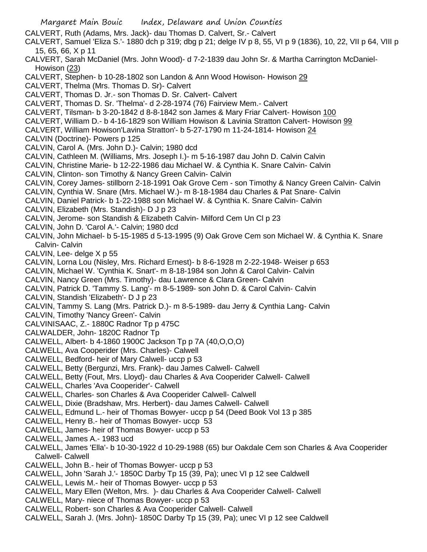Margaret Main Bouic Index, Delaware and Union Counties CALVERT, Ruth (Adams, Mrs. Jack)- dau Thomas D. Calvert, Sr.- Calvert CALVERT, Samuel 'Eliza S.'- 1880 dch p 319; dbg p 21; delge IV p 8, 55, VI p 9 (1836), 10, 22, VII p 64, VIII p 15, 65, 66, X p 11 CALVERT, Sarah McDaniel (Mrs. John Wood)- d 7-2-1839 dau John Sr. & Martha Carrington McDaniel-Howison (23) CALVERT, Stephen- b 10-28-1802 son Landon & Ann Wood Howison- Howison 29 CALVERT, Thelma (Mrs. Thomas D. Sr)- Calvert CALVERT, Thomas D. Jr.- son Thomas D. Sr. Calvert- Calvert CALVERT, Thomas D. Sr. 'Thelma'- d 2-28-1974 (76) Fairview Mem.- Calvert CALVERT, Tilsman- b 3-20-1842 d 8-8-1842 son James & Mary Friar Calvert- Howison 100 CALVERT, William D.- b 4-16-1829 son William Howison & Lavinia Stratton Calvert- Howison 99 CALVERT, William Howison'Lavina Stratton'- b 5-27-1790 m 11-24-1814- Howison 24 CALVIN (Doctrine)- Powers p 125 CALVIN, Carol A. (Mrs. John D.)- Calvin; 1980 dcd CALVIN, Cathleen M. (Williams, Mrs. Joseph I.)- m 5-16-1987 dau John D. Calvin Calvin CALVIN, Christine Marie- b 12-22-1986 dau Michael W. & Cynthia K. Snare Calvin- Calvin CALVIN, Clinton- son Timothy & Nancy Green Calvin- Calvin CALVIN, Corey James- stillborn 2-18-1991 Oak Grove Cem - son Timothy & Nancy Green Calvin- Calvin CALVIN, Cynthia W. Snare (Mrs. Michael W.)- m 8-18-1984 dau Charles & Pat Snare- Calvin CALVIN, Daniel Patrick- b 1-22-1988 son Michael W. & Cynthia K. Snare Calvin- Calvin CALVIN, Elizabeth (Mrs. Standish)- D J p 23 CALVIN, Jerome- son Standish & Elizabeth Calvin- Milford Cem Un Cl p 23 CALVIN, John D. 'Carol A.'- Calvin; 1980 dcd CALVIN, John Michael- b 5-15-1985 d 5-13-1995 (9) Oak Grove Cem son Michael W. & Cynthia K. Snare Calvin- Calvin CALVIN, Lee- delge X p 55 CALVIN, Lorna Lou (Nisley, Mrs. Richard Ernest)- b 8-6-1928 m 2-22-1948- Weiser p 653 CALVIN, Michael W. 'Cynthia K. Snart'- m 8-18-1984 son John & Carol Calvin- Calvin CALVIN, Nancy Green (Mrs. Timothy)- dau Lawrence & Clara Green- Calvin CALVIN, Patrick D. 'Tammy S. Lang'- m 8-5-1989- son John D. & Carol Calvin- Calvin CALVIN, Standish 'Elizabeth'- D J p 23 CALVIN, Tammy S. Lang (Mrs. Patrick D.)- m 8-5-1989- dau Jerry & Cynthia Lang- Calvin CALVIN, Timothy 'Nancy Green'- Calvin CALVINISAAC, Z.- 1880C Radnor Tp p 475C CALWALDER, John- 1820C Radnor Tp CALWELL, Albert- b 4-1860 1900C Jackson Tp p 7A (40,O,O,O) CALWELL, Ava Cooperider (Mrs. Charles)- Calwell CALWELL, Bedford- heir of Mary Calwell- uccp p 53 CALWELL, Betty (Bergunzi, Mrs. Frank)- dau James Calwell- Calwell CALWELL, Betty (Fout, Mrs. Lloyd)- dau Charles & Ava Cooperider Calwell- Calwell CALWELL, Charles 'Ava Cooperider'- Calwell CALWELL, Charles- son Charles & Ava Cooperider Calwell- Calwell CALWELL, Dixie (Bradshaw, Mrs. Herbert)- dau James Calwell- Calwell CALWELL, Edmund L.- heir of Thomas Bowyer- uccp p 54 (Deed Book Vol 13 p 385 CALWELL, Henry B.- heir of Thomas Bowyer- uccp 53 CALWELL, James- heir of Thomas Bowyer- uccp p 53 CALWELL, James A.- 1983 ucd CALWELL, James 'Ella'- b 10-30-1922 d 10-29-1988 (65) bur Oakdale Cem son Charles & Ava Cooperider Calwell- Calwell CALWELL, John B.- heir of Thomas Bowyer- uccp p 53 CALWELL, John 'Sarah J.'- 1850C Darby Tp 15 (39, Pa); unec VI p 12 see Caldwell CALWELL, Lewis M.- heir of Thomas Bowyer- uccp p 53 CALWELL, Mary Ellen (Welton, Mrs. )- dau Charles & Ava Cooperider Calwell- Calwell CALWELL, Mary- niece of Thomas Bowyer- uccp p 53 CALWELL, Robert- son Charles & Ava Cooperider Calwell- Calwell

CALWELL, Sarah J. (Mrs. John)- 1850C Darby Tp 15 (39, Pa); unec VI p 12 see Caldwell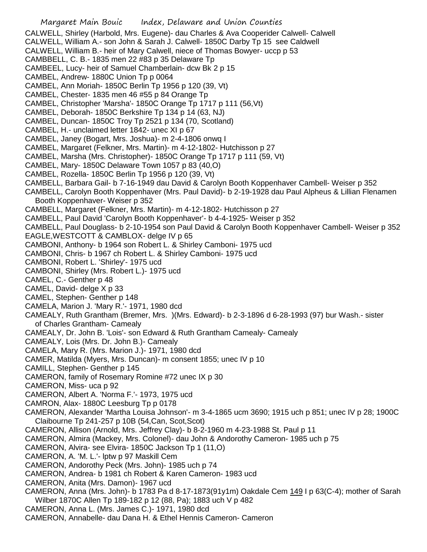Margaret Main Bouic Index, Delaware and Union Counties CALWELL, Shirley (Harbold, Mrs. Eugene)- dau Charles & Ava Cooperider Calwell- Calwell CALWELL, William A.- son John & Sarah J. Calwell- 1850C Darby Tp 15 see Caldwell CALWELL, William B.- heir of Mary Calwell, niece of Thomas Bowyer- uccp p 53 CAMBBELL, C. B.- 1835 men 22 #83 p 35 Delaware Tp CAMBEEL, Lucy- heir of Samuel Chamberlain- dcw Bk 2 p 15 CAMBEL, Andrew- 1880C Union Tp p 0064 CAMBEL, Ann Moriah- 1850C Berlin Tp 1956 p 120 (39, Vt) CAMBEL, Chester- 1835 men 46 #55 p 84 Orange Tp CAMBEL, Christopher 'Marsha'- 1850C Orange Tp 1717 p 111 (56,Vt) CAMBEL, Deborah- 1850C Berkshire Tp 134 p 14 (63, NJ) CAMBEL, Duncan- 1850C Troy Tp 2521 p 134 (70, Scotland) CAMBEL, H.- unclaimed letter 1842- unec XI p 67 CAMBEL, Janey (Bogart, Mrs. Joshua)- m 2-4-1806 onwq I CAMBEL, Margaret (Felkner, Mrs. Martin)- m 4-12-1802- Hutchisson p 27 CAMBEL, Marsha (Mrs. Christopher)- 1850C Orange Tp 1717 p 111 (59, Vt) CAMBEL, Mary- 1850C Delaware Town 1057 p 83 (40,O) CAMBEL, Rozella- 1850C Berlin Tp 1956 p 120 (39, Vt) CAMBELL, Barbara Gail- b 7-16-1949 dau David & Carolyn Booth Koppenhaver Cambell- Weiser p 352 CAMBELL, Carolyn Booth Koppenhaver (Mrs. Paul David)- b 2-19-1928 dau Paul Alpheus & Lillian Flenamen Booth Koppenhaver- Weiser p 352 CAMBELL, Margaret (Felkner, Mrs. Martin)- m 4-12-1802- Hutchisson p 27 CAMBELL, Paul David 'Carolyn Booth Koppenhaver'- b 4-4-1925- Weiser p 352 CAMBELL, Paul Douglass- b 2-10-1954 son Paul David & Carolyn Booth Koppenhaver Cambell- Weiser p 352 EAGLE,WESTCOTT & CAMBLOX- delge IV p 65 CAMBONI, Anthony- b 1964 son Robert L. & Shirley Camboni- 1975 ucd CAMBONI, Chris- b 1967 ch Robert L. & Shirley Camboni- 1975 ucd CAMBONI, Robert L. 'Shirley'- 1975 ucd CAMBONI, Shirley (Mrs. Robert L.)- 1975 ucd CAMEL, C.- Genther p 48 CAMEL, David- delge X p 33 CAMEL, Stephen- Genther p 148 CAMELA, Marion J. 'Mary R.'- 1971, 1980 dcd CAMEALY, Ruth Grantham (Bremer, Mrs. )(Mrs. Edward)- b 2-3-1896 d 6-28-1993 (97) bur Wash.- sister of Charles Grantham- Camealy CAMEALY, Dr. John B. 'Lois'- son Edward & Ruth Grantham Camealy- Camealy CAMEALY, Lois (Mrs. Dr. John B.)- Camealy CAMELA, Mary R. (Mrs. Marion J.)- 1971, 1980 dcd CAMER, Matilda (Myers, Mrs. Duncan)- m consent 1855; unec IV p 10 CAMILL, Stephen- Genther p 145 CAMERON, family of Rosemary Romine #72 unec IX p 30 CAMERON, Miss- uca p 92 CAMERON, Albert A. 'Norma F.'- 1973, 1975 ucd CAMRON, Alax- 1880C Leesburg Tp p 0178 CAMERON, Alexander 'Martha Louisa Johnson'- m 3-4-1865 ucm 3690; 1915 uch p 851; unec IV p 28; 1900C Claibourne Tp 241-257 p 10B (54,Can, Scot,Scot) CAMERON, Allison (Arnold, Mrs. Jeffrey Clay)- b 8-2-1960 m 4-23-1988 St. Paul p 11 CAMERON, Almira (Mackey, Mrs. Colonel)- dau John & Andorothy Cameron- 1985 uch p 75 CAMERON, Alvira- see Elvira- 1850C Jackson Tp 1 (11,O) CAMERON, A. 'M. L.'- lptw p 97 Maskill Cem CAMERON, Andorothy Peck (Mrs. John)- 1985 uch p 74 CAMERON, Andrea- b 1981 ch Robert & Karen Cameron- 1983 ucd CAMERON, Anita (Mrs. Damon)- 1967 ucd CAMERON, Anna (Mrs. John)- b 1783 Pa d 8-17-1873(91y1m) Oakdale Cem 149 I p 63(C-4); mother of Sarah Wilber 1870C Allen Tp 189-182 p 12 (88, Pa); 1883 uch V p 482 CAMERON, Anna L. (Mrs. James C.)- 1971, 1980 dcd CAMERON, Annabelle- dau Dana H. & Ethel Hennis Cameron- Cameron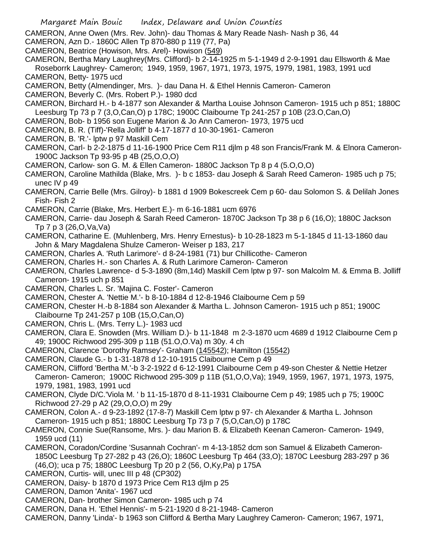CAMERON, Anne Owen (Mrs. Rev. John)- dau Thomas & Mary Reade Nash- Nash p 36, 44

- CAMERON, Azn D.- 1860C Allen Tp 870-880 p 119 (77, Pa)
- CAMERON, Beatrice (Howison, Mrs. Arel)- Howison (549)
- CAMERON, Bertha Mary Laughrey(Mrs. Clifford)- b 2-14-1925 m 5-1-1949 d 2-9-1991 dau Ellsworth & Mae Roseborrk Laughrey- Cameron; 1949, 1959, 1967, 1971, 1973, 1975, 1979, 1981, 1983, 1991 ucd CAMERON, Betty- 1975 ucd
- CAMERON, Betty (Almendinger, Mrs. )- dau Dana H. & Ethel Hennis Cameron- Cameron
- CAMERON, Beverly C. (Mrs. Robert P.)- 1980 dcd
- CAMERON, Birchard H.- b 4-1877 son Alexander & Martha Louise Johnson Cameron- 1915 uch p 851; 1880C Leesburg Tp 73 p 7 (3,O,Can,O) p 178C; 1900C Claibourne Tp 241-257 p 10B (23.O,Can,O)
- CAMERON, Bob- b 1956 son Eugene Marion & Jo Ann Cameron- 1973, 1975 ucd
- CAMERON, B. R. (Tiff)-'Rella Jolliff' b 4-17-1877 d 10-30-1961- Cameron
- CAMERON, B. 'R.'- lptw p 97 Maskill Cem
- CAMERON, Carl- b 2-2-1875 d 11-16-1900 Price Cem R11 djlm p 48 son Francis/Frank M. & Elnora Cameron-1900C Jackson Tp 93-95 p 4B (25,O,O,O)
- CAMERON, Carlow- son G. M. & Ellen Cameron- 1880C Jackson Tp 8 p 4 (5.O,O,O)
- CAMERON, Caroline Mathilda (Blake, Mrs. )- b c 1853- dau Joseph & Sarah Reed Cameron- 1985 uch p 75; unec IV p 49
- CAMERON, Carrie Belle (Mrs. Gilroy)- b 1881 d 1909 Bokescreek Cem p 60- dau Solomon S. & Delilah Jones Fish- Fish 2
- CAMERON, Carrie (Blake, Mrs. Herbert E.)- m 6-16-1881 ucm 6976
- CAMERON, Carrie- dau Joseph & Sarah Reed Cameron- 1870C Jackson Tp 38 p 6 (16,O); 1880C Jackson Tp 7 p 3 (26,O,Va,Va)
- CAMERON, Catharine E. (Muhlenberg, Mrs. Henry Ernestus)- b 10-28-1823 m 5-1-1845 d 11-13-1860 dau John & Mary Magdalena Shulze Cameron- Weiser p 183, 217
- CAMERON, Charles A. 'Ruth Larimore'- d 8-24-1981 (71) bur Chillicothe- Cameron
- CAMERON, Charles H.- son Charles A. & Ruth Larimore Cameron- Cameron

CAMERON, Charles Lawrence- d 5-3-1890 (8m,14d) Maskill Cem lptw p 97- son Malcolm M. & Emma B. Jolliff Cameron- 1915 uch p 851

- CAMERON, Charles L. Sr. 'Majina C. Foster'- Cameron
- CAMERON, Chester A. 'Nettie M.'- b 8-10-1884 d 12-8-1946 Claibourne Cem p 59
- CAMERON, Chester H.-b 8-1884 son Alexander & Martha L. Johnson Cameron- 1915 uch p 851; 1900C Claibourne Tp 241-257 p 10B (15,O,Can,O)
- CAMERON, Chris L. (Mrs. Terry L.)- 1983 ucd
- CAMERON, Clara E. Snowden (Mrs. William D.)- b 11-1848 m 2-3-1870 ucm 4689 d 1912 Claibourne Cem p 49; 1900C Richwood 295-309 p 11B (51.O,O.Va) m 30y. 4 ch
- CAMERON, Clarence 'Dorothy Ramsey'- Graham (145542); Hamilton (15542)
- CAMERON, Claude G.- b 1-31-1878 d 12-10-1915 Claibourne Cem p 49
- CAMERON, Clifford 'Bertha M.'-b 3-2-1922 d 6-12-1991 Claibourne Cem p 49-son Chester & Nettie Hetzer Cameron- Cameron; 1900C Richwood 295-309 p 11B (51,O,O,Va); 1949, 1959, 1967, 1971, 1973, 1975, 1979, 1981, 1983, 1991 ucd
- CAMERON, Clyde D/C.'Viola M. ' b 11-15-1870 d 8-11-1931 Claibourne Cem p 49; 1985 uch p 75; 1900C Richwood 27-29 p A2 (29,O,O,O) m 29y
- CAMERON, Colon A.- d 9-23-1892 (17-8-7) Maskill Cem lptw p 97- ch Alexander & Martha L. Johnson Cameron- 1915 uch p 851; 1880C Leesburg Tp 73 p 7 (5,O,Can,O) p 178C
- CAMERON, Connie Sue(Ransome, Mrs. )- dau Marion B. & Elizabeth Keenan Cameron- Cameron- 1949, 1959 ucd (11)
- CAMERON, Coradon/Cordine 'Susannah Cochran'- m 4-13-1852 dcm son Samuel & Elizabeth Cameron-1850C Leesburg Tp 27-282 p 43 (26,O); 1860C Leesburg Tp 464 (33,O); 1870C Leesburg 283-297 p 36
	- (46,O); uca p 75; 1880C Leesburg Tp 20 p 2 (56, O,Ky,Pa) p 175A
- CAMERON, Curtis- will, unec III p 48 (CP302)
- CAMERON, Daisy- b 1870 d 1973 Price Cem R13 djlm p 25
- CAMERON, Damon 'Anita'- 1967 ucd
- CAMERON, Dan- brother Simon Cameron- 1985 uch p 74
- CAMERON, Dana H. 'Ethel Hennis'- m 5-21-1920 d 8-21-1948- Cameron
- CAMERON, Danny 'Linda'- b 1963 son Clifford & Bertha Mary Laughrey Cameron- Cameron; 1967, 1971,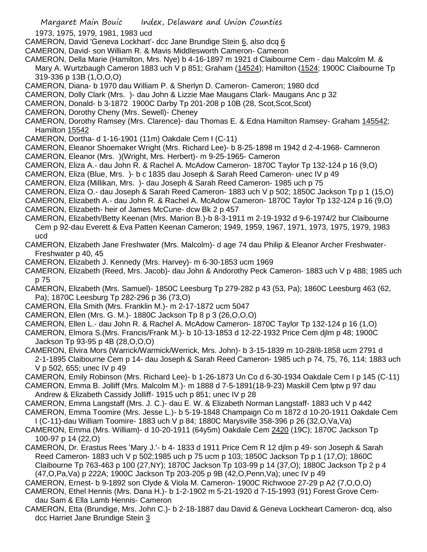1973, 1975, 1979, 1981, 1983 ucd

- CAMERON, David 'Geneva Lockhart'- dcc Jane Brundige Stein 6, also dcq 6
- CAMERON, David- son William R. & Mavis Middlesworth Cameron- Cameron
- CAMERON, Della Marie (Hamilton, Mrs. Nye) b 4-16-1897 m 1921 d Claibourne Cem dau Malcolm M. &
- Mary A. Wurtzbaugh Cameron 1883 uch V p 851; Graham (14524); Hamilton (1524; 1900C Claibourne Tp 319-336 p 13B (1,O,O,O)
- CAMERON, Diana- b 1970 dau William P. & Sherlyn D. Cameron- Cameron; 1980 dcd
- CAMERON, Dolly Clark (Mrs. )- dau John & Lizzie Mae Maugans Clark- Maugans Anc p 32
- CAMERON, Donald- b 3-1872 1900C Darby Tp 201-208 p 10B (28, Scot,Scot,Scot)
- CAMERON, Dorothy Cheny (Mrs. Sewell)- Cheney
- CAMERON, Dorothy Ramsey (Mrs. Clarence)- dau Thomas E. & Edna Hamilton Ramsey- Graham 145542; Hamilton 15542
- CAMERON, Dortha- d 1-16-1901 (11m) Oakdale Cem I (C-11)
- CAMERON, Eleanor Shoemaker Wright (Mrs. Richard Lee)- b 8-25-1898 m 1942 d 2-4-1968- Camneron
- CAMERON, Eleanor (Mrs. )(Wright, Mrs. Herbert)- m 9-25-1965- Cameron
- CAMERON, Eliza A.- dau John R. & Rachel A. McAdow Cameron- 1870C Taylor Tp 132-124 p 16 (9,O)
- CAMERON, Eliza (Blue, Mrs. )- b c 1835 dau Joseph & Sarah Reed Cameron- unec IV p 49
- CAMERON, Eliza (Millikan, Mrs. )- dau Joseph & Sarah Reed Cameron- 1985 uch p 75
- CAMERON, Eliza O.- dau Joseph & Sarah Reed Cameron- 1883 uch V p 502; 1850C Jackson Tp p 1 (15,O)
- CAMERON, Elizabeth A.- dau John R. & Rachel A. McAdow Cameron- 1870C Taylor Tp 132-124 p 16 (9,O)
- CAMERON, Elizabeth- heir of James McCune- dcw Bk 2 p 457
- CAMERON, Elizabeth/Betty Keenan (Mrs. Marion B.)-b 8-3-1911 m 2-19-1932 d 9-6-1974/2 bur Claibourne Cem p 92-dau Everett & Eva Patten Keenan Cameron; 1949, 1959, 1967, 1971, 1973, 1975, 1979, 1983 ucd
- CAMERON, Elizabeth Jane Freshwater (Mrs. Malcolm)- d age 74 dau Philip & Eleanor Archer Freshwater-Freshwater p 40, 45
- CAMERON, Elizabeth J. Kennedy (Mrs. Harvey)- m 6-30-1853 ucm 1969
- CAMERON, Elizabeth (Reed, Mrs. Jacob)- dau John & Andorothy Peck Cameron- 1883 uch V p 488; 1985 uch p 75
- CAMERON, Elizabeth (Mrs. Samuel)- 1850C Leesburg Tp 279-282 p 43 (53, Pa); 1860C Leesburg 463 (62, Pa); 1870C Leesburg Tp 282-296 p 36 (73,O)
- CAMERON, Ella Smith (Mrs. Franklin M.)- m 2-17-1872 ucm 5047
- CAMERON, Ellen (Mrs. G. M.)- 1880C Jackson Tp 8 p 3 (26,O,O,O)
- CAMERON, Ellen L.- dau John R. & Rachel A. McAdow Cameron- 1870C Taylor Tp 132-124 p 16 (1,O)
- CAMERON, Elmora S.(Mrs. Francis/Frank M.)- b 10-13-1853 d 12-22-1932 Price Cem djlm p 48; 1900C Jackson Tp 93-95 p 4B (28,O,O,O)
- CAMERON, Elvira Mors (Warrick/Warmick/Werrick, Mrs. John)- b 3-15-1839 m 10-28/8-1858 ucm 2791 d 2-1-1895 Claibourne Cem p 14- dau Joseph & Sarah Reed Cameron- 1985 uch p 74, 75, 76, 114; 1883 uch V p 502, 655; unec IV p 49
- CAMERON, Emily Robinson (Mrs. Richard Lee)- b 1-26-1873 Un Co d 6-30-1934 Oakdale Cem I p 145 (C-11)
- CAMERON, Emma B. Jolliff (Mrs. Malcolm M.)- m 1888 d 7-5-1891(18-9-23) Maskill Cem lptw p 97 dau Andrew & Elizabeth Cassidy Jolliff- 1915 uch p 851; unec IV p 28
- CAMERON, Emma Langstaff (Mrs. J. C.)- dau E. W. & Elizabeth Norman Langstaff- 1883 uch V p 442 CAMERON, Emma Toomire (Mrs. Jesse L.)- b 5-19-1848 Champaign Co m 1872 d 10-20-1911 Oakdale Cem
- I (C-11)-dau William Toomire- 1883 uch V p 84; 1880C Marysville 358-396 p 26 (32,O,Va,Va)
- CAMERON, Emma (Mrs. William)- d 10-20-1911 (64y5m) Oakdale Cem 2420 (19C); 1870C Jackson Tp 100-97 p 14 (22,O)
- CAMERON, Dr. Erastus Rees 'Mary J.'- b 4- 1833 d 1911 Price Cem R 12 djlm p 49- son Joseph & Sarah Reed Cameron- 1883 uch V p 502;1985 uch p 75 ucm p 103; 1850C Jackson Tp p 1 (17,O); 1860C Claibourne Tp 763-463 p 100 (27,NY); 1870C Jackson Tp 103-99 p 14 (37,O); 1880C Jackson Tp 2 p 4 (47,O,Pa,Va) p 222A; 1900C Jackson Tp 203-205 p 9B (42,O,Penn,Va); unec IV p 49
- CAMERON, Ernest- b 9-1892 son Clyde & Viola M. Cameron- 1900C Richwooe 27-29 p A2 (7,O,O,O)
- CAMERON, Ethel Hennis (Mrs. Dana H.)- b 1-2-1902 m 5-21-1920 d 7-15-1993 (91) Forest Grove Cemdau Sam & Ella Lamb Hennis- Cameron
- CAMERON, Etta (Brundige, Mrs. John C.)- b 2-18-1887 dau David & Geneva Lockheart Cameron- dcq, also dcc Harriet Jane Brundige Stein 3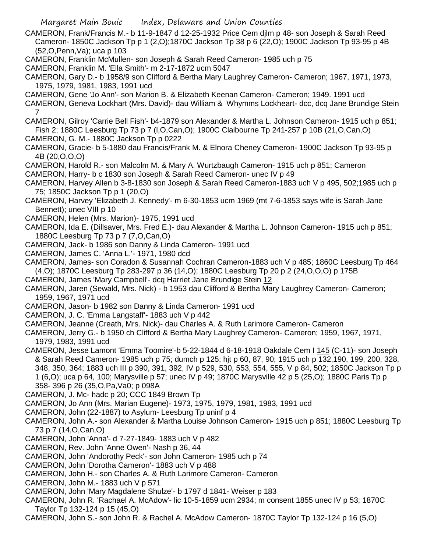- CAMERON, Frank/Francis M.- b 11-9-1847 d 12-25-1932 Price Cem djlm p 48- son Joseph & Sarah Reed Cameron- 1850C Jackson Tp p 1 (2,O);1870C Jackson Tp 38 p 6 (22,O); 1900C Jackson Tp 93-95 p 4B (52,O,Penn,Va); uca p 103
- CAMERON, Franklin McMullen- son Joseph & Sarah Reed Cameron- 1985 uch p 75
- CAMERON, Franklin M. 'Ella Smith'- m 2-17-1872 ucm 5047
- CAMERON, Gary D.- b 1958/9 son Clifford & Bertha Mary Laughrey Cameron- Cameron; 1967, 1971, 1973, 1975, 1979, 1981, 1983, 1991 ucd
- CAMERON, Gene 'Jo Ann'- son Marion B. & Elizabeth Keenan Cameron- Cameron; 1949. 1991 ucd
- CAMERON, Geneva Lockhart (Mrs. David)- dau William & Whymms Lockheart- dcc, dcq Jane Brundige Stein 7
- CAMERON, Gilroy 'Carrie Bell Fish'- b4-1879 son Alexander & Martha L. Johnson Cameron- 1915 uch p 851; Fish 2; 1880C Leesburg Tp 73 p 7 (l,O,Can,O); 1900C Claibourne Tp 241-257 p 10B (21,O,Can,O)
- CAMERON, G. M.- 1880C Jackson Tp p 0222
- CAMERON, Gracie- b 5-1880 dau Francis/Frank M. & Elnora Cheney Cameron- 1900C Jackson Tp 93-95 p 4B (20,O,O,O)
- CAMERON, Harold R.- son Malcolm M. & Mary A. Wurtzbaugh Cameron- 1915 uch p 851; Cameron
- CAMERON, Harry- b c 1830 son Joseph & Sarah Reed Cameron- unec IV p 49
- CAMERON, Harvey Allen b 3-8-1830 son Joseph & Sarah Reed Cameron-1883 uch V p 495, 502;1985 uch p 75; 1850C Jackson Tp p 1 (20,O)
- CAMERON, Harvey 'Elizabeth J. Kennedy'- m 6-30-1853 ucm 1969 (mt 7-6-1853 says wife is Sarah Jane Bennett); unec VIII p 10
- CAMERON, Helen (Mrs. Marion)- 1975, 1991 ucd
- CAMERON, Ida E. (Dillsaver, Mrs. Fred E.)- dau Alexander & Martha L. Johnson Cameron- 1915 uch p 851; 1880C Leesburg Tp 73 p 7 (7,O,Can,O)
- CAMERON, Jack- b 1986 son Danny & Linda Cameron- 1991 ucd
- CAMERON, James C. 'Anna L.'- 1971, 1980 dcd
- CAMERON, James- son Coradon & Susannah Cochran Cameron-1883 uch V p 485; 1860C Leesburg Tp 464 (4,O); 1870C Leesburg Tp 283-297 p 36 (14,O); 1880C Leesburg Tp 20 p 2 (24,O,O,O) p 175B
- CAMERON, James 'Mary Campbell'- dcq Harriet Jane Brundige Stein 12
- CAMERON, Jaren (Sewald, Mrs. Nick) b 1953 dau Clifford & Bertha Mary Laughrey Cameron- Cameron; 1959, 1967, 1971 ucd
- CAMERON, Jason- b 1982 son Danny & Linda Cameron- 1991 ucd
- CAMERON, J. C. 'Emma Langstaff'- 1883 uch V p 442
- CAMERON, Jeanne (Creath, Mrs. Nick)- dau Charles A. & Ruth Larimore Cameron- Cameron
- CAMERON, Jerry G.- b 1950 ch Clifford & Bertha Mary Laughrey Cameron- Cameron; 1959, 1967, 1971, 1979, 1983, 1991 ucd
- CAMERON, Jesse Lamont 'Emma Toomire'-b 5-22-1844 d 6-18-1918 Oakdale Cem I 145 (C-11)- son Joseph & Sarah Reed Cameron- 1985 uch p 75; dumch p 125; hjt p 60, 87, 90; 1915 uch p 132,190, 199, 200, 328, 348, 350, 364; 1883 uch III p 390, 391, 392, IV p 529, 530, 553, 554, 555, V p 84, 502; 1850C Jackson Tp p 1 (6,O); uca p 64, 100; Marysville p 57; unec IV p 49; 1870C Marysville 42 p 5 (25,O); 1880C Paris Tp p 358- 396 p 26 (35,O,Pa,Va0; p 098A
- CAMERON, J. Mc- hadc p 20; CCC 1849 Brown Tp
- CAMERON, Jo Ann (Mrs. Marian Eugene)- 1973, 1975, 1979, 1981, 1983, 1991 ucd
- CAMERON, John (22-1887) to Asylum- Leesburg Tp uninf p 4
- CAMERON, John A.- son Alexander & Martha Louise Johnson Cameron- 1915 uch p 851; 1880C Leesburg Tp 73 p 7 (14,O,Can,O)
- CAMERON, John 'Anna'- d 7-27-1849- 1883 uch V p 482
- CAMERON, Rev. John 'Anne Owen'- Nash p 36, 44
- CAMERON, John 'Andorothy Peck'- son John Cameron- 1985 uch p 74
- CAMERON, John 'Dorotha Cameron'- 1883 uch V p 488
- CAMERON, John H.- son Charles A. & Ruth Larimore Cameron- Cameron
- CAMERON, John M.- 1883 uch V p 571
- CAMERON, John 'Mary Magdalene Shulze'- b 1797 d 1841- Weiser p 183
- CAMERON, John R. 'Rachael A. McAdow'- lic 10-5-1859 ucm 2934; m consent 1855 unec IV p 53; 1870C Taylor Tp 132-124 p 15 (45,O)
- CAMERON, John S.- son John R. & Rachel A. McAdow Cameron- 1870C Taylor Tp 132-124 p 16 (5,O)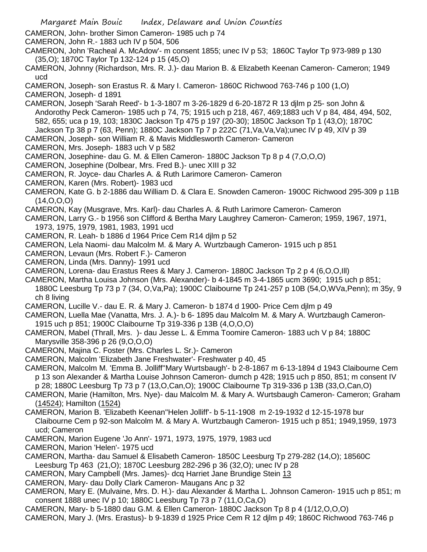- Margaret Main Bouic Index, Delaware and Union Counties
- CAMERON, John- brother Simon Cameron- 1985 uch p 74
- CAMERON, John R.- 1883 uch IV p 504, 506
- CAMERON, John 'Racheal A. McAdow'- m consent 1855; unec IV p 53; 1860C Taylor Tp 973-989 p 130 (35,O); 1870C Taylor Tp 132-124 p 15 (45,O)
- CAMERON, Johnny (Richardson, Mrs. R. J.)- dau Marion B. & Elizabeth Keenan Cameron- Cameron; 1949 ucd
- CAMERON, Joseph- son Erastus R. & Mary I. Cameron- 1860C Richwood 763-746 p 100 (1,O)
- CAMERON, Joseph- d 1891
- CAMERON, Joseph 'Sarah Reed'- b 1-3-1807 m 3-26-1829 d 6-20-1872 R 13 djlm p 25- son John & Andorothy Peck Cameron- 1985 uch p 74, 75; 1915 uch p 218, 467, 469;1883 uch V p 84, 484, 494, 502, 582, 655; uca p 19, 103; 1830C Jackson Tp 475 p 197 (20-30); 1850C Jackson Tp 1 (43,O); 1870C Jackson Tp 38 p 7 (63, Penn); 1880C Jackson Tp 7 p 222C (71,Va,Va,Va);unec IV p 49, XIV p 39
- CAMERON, Joseph- son William R. & Mavis Middlesworth Cameron- Cameron
- CAMERON, Mrs. Joseph- 1883 uch V p 582
- CAMERON, Josephine- dau G. M. & Ellen Cameron- 1880C Jackson Tp 8 p 4 (7,O,O,O)
- CAMERON, Josephine (Dolbear, Mrs. Fred B.)- unec XIII p 32
- CAMERON, R. Joyce- dau Charles A. & Ruth Larimore Cameron- Cameron
- CAMERON, Karen (Mrs. Robert)- 1983 ucd
- CAMERON, Kate G. b 2-1886 dau William D. & Clara E. Snowden Cameron- 1900C Richwood 295-309 p 11B  $(14, 0, 0, 0)$
- CAMERON, Kay (Musgrave, Mrs. Karl)- dau Charles A. & Ruth Larimore Cameron- Cameron
- CAMERON, Larry G.- b 1956 son Clifford & Bertha Mary Laughrey Cameron- Cameron; 1959, 1967, 1971, 1973, 1975, 1979, 1981, 1983, 1991 ucd
- CAMERON, R. Leah- b 1886 d 1964 Price Cem R14 djlm p 52
- CAMERON, Lela Naomi- dau Malcolm M. & Mary A. Wurtzbaugh Cameron- 1915 uch p 851
- CAMERON, Levaun (Mrs. Robert F.)- Cameron
- CAMERON, Linda (Mrs. Danny)- 1991 ucd
- CAMERON, Lorena- dau Erastus Rees & Mary J. Cameron- 1880C Jackson Tp 2 p 4 (6,O,O,Ill)
- CAMERON, Martha Louisa Johnson (Mrs. Alexander)- b 4-1845 m 3-4-1865 ucm 3690; 1915 uch p 851; 1880C Leesburg Tp 73 p 7 (34, O,Va,Pa); 1900C Claibourne Tp 241-257 p 10B (54,O,WVa,Penn); m 35y, 9 ch 8 living
- CAMERON, Lucille V.- dau E. R. & Mary J. Cameron- b 1874 d 1900- Price Cem djlm p 49
- CAMERON, Luella Mae (Vanatta, Mrs. J. A.)- b 6- 1895 dau Malcolm M. & Mary A. Wurtzbaugh Cameron-1915 uch p 851; 1900C Claibourne Tp 319-336 p 13B (4,O,O,O)
- CAMERON, Mabel (Thrall, Mrs. )- dau Jesse L. & Emma Toomire Cameron- 1883 uch V p 84; 1880C Marysville 358-396 p 26 (9,O,O,O)
- CAMERON, Majina C. Foster (Mrs. Charles L. Sr.)- Cameron
- CAMERON, Malcolm 'Elizabeth Jane Freshwater'- Freshwater p 40, 45
- CAMERON, Malcolm M. 'Emma B. Jolliff''Mary Wurtsbaugh'- b 2-8-1867 m 6-13-1894 d 1943 Claibourne Cem p 13 son Alexander & Martha Louise Johnson Cameron- dumch p 428; 1915 uch p 850, 851; m consent IV p 28; 1880C Leesburg Tp 73 p 7 (13,O,Can,O); 1900C Claibourne Tp 319-336 p 13B (33,O,Can,O)
- CAMERON, Marie (Hamilton, Mrs. Nye)- dau Malcolm M. & Mary A. Wurtsbaugh Cameron- Cameron; Graham (14524); Hamilton (1524)
- CAMERON, Marion B. 'Elizabeth Keenan''Helen Jolliff'- b 5-11-1908 m 2-19-1932 d 12-15-1978 bur Claibourne Cem p 92-son Malcolm M. & Mary A. Wurtzbaugh Cameron- 1915 uch p 851; 1949,1959, 1973 ucd; Cameron
- CAMERON, Marion Eugene 'Jo Ann'- 1971, 1973, 1975, 1979, 1983 ucd
- CAMERON, Marion 'Helen'- 1975 ucd
- CAMERON, Martha- dau Samuel & Elisabeth Cameron- 1850C Leesburg Tp 279-282 (14,O); 18560C
- Leesburg Tp 463 (21,O); 1870C Leesburg 282-296 p 36 (32,O); unec IV p 28
- CAMERON, Mary Campbell (Mrs. James)- dcq Harriet Jane Brundige Stein 13
- CAMERON, Mary- dau Dolly Clark Cameron- Maugans Anc p 32
- CAMERON, Mary E. (Mulvaine, Mrs. D. H.)- dau Alexander & Martha L. Johnson Cameron- 1915 uch p 851; m consent 1888 unec IV p 10; 1880C Leesburg Tp 73 p 7 (11,O,Ca,O)
- CAMERON, Mary- b 5-1880 dau G.M. & Ellen Cameron- 1880C Jackson Tp 8 p 4 (1/12,O,O,O)
- CAMERON, Mary J. (Mrs. Erastus)- b 9-1839 d 1925 Price Cem R 12 djlm p 49; 1860C Richwood 763-746 p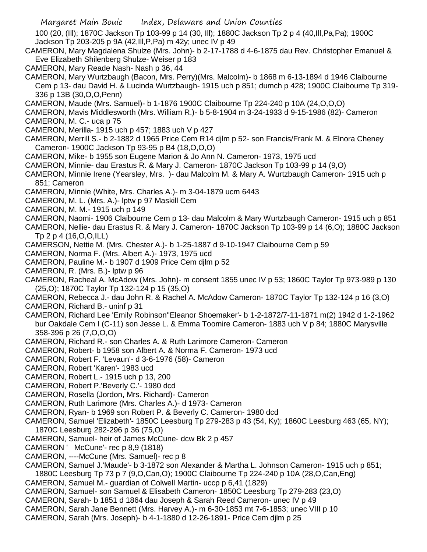100 (20, (Ill); 1870C Jackson Tp 103-99 p 14 (30, Ill); 1880C Jackson Tp 2 p 4 (40,Ill,Pa,Pa); 1900C Jackson Tp 203-205 p 9A (42,Ill,P,Pa) m 42y; unec IV p 49

- CAMERON, Mary Magdalena Shulze (Mrs. John)- b 2-17-1788 d 4-6-1875 dau Rev. Christopher Emanuel & Eve Elizabeth Shilenberg Shulze- Weiser p 183
- CAMERON, Mary Reade Nash- Nash p 36, 44
- CAMERON, Mary Wurtzbaugh (Bacon, Mrs. Perry)(Mrs. Malcolm)- b 1868 m 6-13-1894 d 1946 Claibourne Cem p 13- dau David H. & Lucinda Wurtzbaugh- 1915 uch p 851; dumch p 428; 1900C Claibourne Tp 319- 336 p 13B (30,O,O,Penn)
- CAMERON, Maude (Mrs. Samuel)- b 1-1876 1900C Claibourne Tp 224-240 p 10A (24,O,O,O)
- CAMERON, Mavis Middlesworth (Mrs. William R.)- b 5-8-1904 m 3-24-1933 d 9-15-1986 (82)- Cameron
- CAMERON, M. C.- uca p 75
- CAMERON, Merilla- 1915 uch p 457; 1883 uch V p 427
- CAMERON, Merrill S.- b 2-1882 d 1965 Price Cem R14 djlm p 52- son Francis/Frank M. & Elnora Cheney Cameron- 1900C Jackson Tp 93-95 p B4 (18,O,O,O)
- CAMERON, Mike- b 1955 son Eugene Marion & Jo Ann N. Cameron- 1973, 1975 ucd
- CAMERON, Minnie- dau Erastus R. & Mary J. Cameron- 1870C Jackson Tp 103-99 p 14 (9,O)
- CAMERON, Minnie Irene (Yearsley, Mrs. )- dau Malcolm M. & Mary A. Wurtzbaugh Cameron- 1915 uch p 851; Cameron
- CAMERON, Minnie (White, Mrs. Charles A.)- m 3-04-1879 ucm 6443
- CAMERON, M. L. (Mrs. A.)- lptw p 97 Maskill Cem
- CAMERON, M. M.- 1915 uch p 149
- CAMERON, Naomi- 1906 Claibourne Cem p 13- dau Malcolm & Mary Wurtzbaugh Cameron- 1915 uch p 851
- CAMERON, Nellie- dau Erastus R. & Mary J. Cameron- 1870C Jackson Tp 103-99 p 14 (6,O); 1880C Jackson Tp 2 p 4 (16,O,O,ILL)
- CAMERSON, Nettie M. (Mrs. Chester A.)- b 1-25-1887 d 9-10-1947 Claibourne Cem p 59
- CAMERON, Norma F. (Mrs. Albert A.)- 1973, 1975 ucd
- CAMERON, Pauline M.- b 1907 d 1909 Price Cem djlm p 52
- CAMERON, R. (Mrs. B.)- lptw p 96
- CAMERON, Racheal A. McAdow (Mrs. John)- m consent 1855 unec IV p 53; 1860C Taylor Tp 973-989 p 130 (25,O); 1870C Taylor Tp 132-124 p 15 (35,O)
- CAMERON, Rebecca J.- dau John R. & Rachel A. McAdow Cameron- 1870C Taylor Tp 132-124 p 16 (3,O)
- CAMERON, Richard B.- uninf p 31
- CAMERON, Richard Lee 'Emily Robinson''Eleanor Shoemaker'- b 1-2-1872/7-11-1871 m(2) 1942 d 1-2-1962 bur Oakdale Cem I (C-11) son Jesse L. & Emma Toomire Cameron- 1883 uch V p 84; 1880C Marysville 358-396 p 26 (7,O,O,O)
- CAMERON, Richard R.- son Charles A. & Ruth Larimore Cameron- Cameron
- CAMERON, Robert- b 1958 son Albert A. & Norma F. Cameron- 1973 ucd
- CAMERON, Robert F. 'Levaun'- d 3-6-1976 (58)- Cameron
- CAMERON, Robert 'Karen'- 1983 ucd
- CAMERON, Robert L.- 1915 uch p 13, 200
- CAMERON, Robert P.'Beverly C.'- 1980 dcd
- CAMERON, Rosella (Jordon, Mrs. Richard)- Cameron
- CAMERON, Ruth Larimore (Mrs. Charles A.)- d 1973- Cameron
- CAMERON, Ryan- b 1969 son Robert P. & Beverly C. Cameron- 1980 dcd
- CAMERON, Samuel 'Elizabeth'- 1850C Leesburg Tp 279-283 p 43 (54, Ky); 1860C Leesburg 463 (65, NY); 1870C Leesburg 282-296 p 36 (75,O)
- CAMERON, Samuel- heir of James McCune- dcw Bk 2 p 457
- CAMERON ' McCune'- rec p 8,9 (1818)
- CAMERON, ----McCune (Mrs. Samuel)- rec p 8
- CAMERON, Samuel J.'Maude'- b 3-1872 son Alexander & Martha L. Johnson Cameron- 1915 uch p 851; 1880C Leesburg Tp 73 p 7 (9,O,Can,O); 1900C Claibourne Tp 224-240 p 10A (28,O,Can,Eng)
- CAMERON, Samuel M.- guardian of Colwell Martin- uccp p 6,41 (1829)
- CAMERON, Samuel- son Samuel & Elisabeth Cameron- 1850C Leesburg Tp 279-283 (23,O)
- CAMERON, Sarah- b 1851 d 1864 dau Joseph & Sarah Reed Cameron- unec IV p 49
- CAMERON, Sarah Jane Bennett (Mrs. Harvey A.)- m 6-30-1853 mt 7-6-1853; unec VIII p 10
- CAMERON, Sarah (Mrs. Joseph)- b 4-1-1880 d 12-26-1891- Price Cem djlm p 25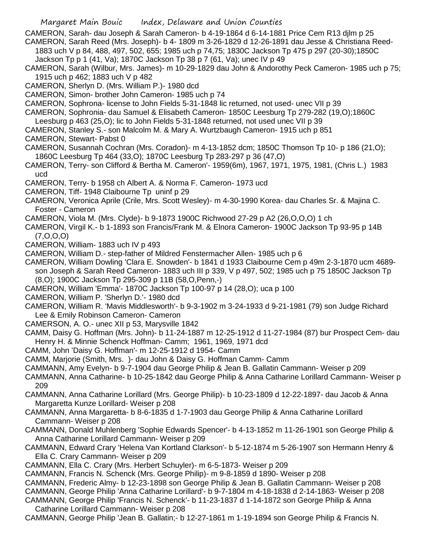CAMERON, Sarah- dau Joseph & Sarah Cameron- b 4-19-1864 d 6-14-1881 Price Cem R13 djlm p 25 CAMERON, Sarah Reed (Mrs. Joseph)- b 4- 1809 m 3-26-1829 d 12-26-1891 dau Jesse & Christiana Reed-

1883 uch V p 84, 488, 497, 502, 655; 1985 uch p 74,75; 1830C Jackson Tp 475 p 297 (20-30);1850C Jackson Tp p 1 (41, Va); 1870C Jackson Tp 38 p 7 (61, Va); unec IV p 49

CAMERON, Sarah (Wilbur, Mrs. James)- m 10-29-1829 dau John & Andorothy Peck Cameron- 1985 uch p 75; 1915 uch p 462; 1883 uch V p 482

CAMERON, Sherlyn D. (Mrs. William P.)- 1980 dcd

CAMERON, Simon- brother John Cameron- 1985 uch p 74

CAMERON, Sophrona- license to John Fields 5-31-1848 lic returned, not used- unec VII p 39

CAMERON, Sophronia- dau Samuel & Elisabeth Cameron- 1850C Leesburg Tp 279-282 (19,O);1860C

Leesburg p 463 (25,O); lic to John Fields 5-31-1848 returned, not used unec VII p 39

CAMERON, Stanley S.- son Malcolm M. & Mary A. Wurtzbaugh Cameron- 1915 uch p 851

CAMERON, Stewart- Pabst 0

- CAMERON, Susannah Cochran (Mrs. Coradon)- m 4-13-1852 dcm; 1850C Thomson Tp 10- p 186 (21,O); 1860C Leesburg Tp 464 (33,O); 1870C Leesburg Tp 283-297 p 36 (47,O)
- CAMERON, Terry- son Clifford & Bertha M. Cameron'- 1959(6m), 1967, 1971, 1975, 1981, (Chris L.) 1983 ucd
- CAMERON, Terry- b 1958 ch Albert A. & Norma F. Cameron- 1973 ucd
- CAMERON, Tiff- 1948 Claibourne Tp uninf p 29
- CAMERON, Veronica Aprile (Crile, Mrs. Scott Wesley)- m 4-30-1990 Korea- dau Charles Sr. & Majina C. Foster - Cameron

CAMERON, Viola M. (Mrs. Clyde)- b 9-1873 1900C Richwood 27-29 p A2 (26,O,O,O) 1 ch

- CAMERON, Virgil K.- b 1-1893 son Francis/Frank M. & Elnora Cameron- 1900C Jackson Tp 93-95 p 14B (7,O,O,O)
- CAMERON, William- 1883 uch IV p 493
- CAMERON, William D.- step-father of Mildred Fenstermacher Allen- 1985 uch p 6
- CAMERON, William Dowling 'Clara E. Snowden'- b 1841 d 1933 Claibourne Cem p 49m 2-3-1870 ucm 4689 son Joseph & Sarah Reed Cameron- 1883 uch III p 339, V p 497, 502; 1985 uch p 75 1850C Jackson Tp (8,O); 1900C Jackson Tp 295-309 p 11B (58,O,Penn,-)
- CAMERON, William 'Emma'- 1870C Jackson Tp 100-97 p 14 (28,O); uca p 100

CAMERON, William P. 'Sherlyn D.'- 1980 dcd

- CAMERON, William R. 'Mavis Middlesworth'- b 9-3-1902 m 3-24-1933 d 9-21-1981 (79) son Judge Richard Lee & Emily Robinson Cameron- Cameron
- CAMERSON, A. O.- unec XII p 53, Marysville 1842
- CAMM, Daisy G. Hoffman (Mrs. John)- b 11-24-1887 m 12-25-1912 d 11-27-1984 (87) bur Prospect Cem- dau Henry H. & Minnie Schenck Hoffman- Camm; 1961, 1969, 1971 dcd
- CAMM, John 'Daisy G. Hoffman'- m 12-25-1912 d 1954- Camm

CAMM, Marjorie (Smith, Mrs. )- dau John & Daisy G. Hoffman Camm- Camm

CAMMANN, Amy Evelyn- b 9-7-1904 dau George Philip & Jean B. Gallatin Cammann- Weiser p 209

- CAMMANN, Anna Catharine- b 10-25-1842 dau George Philip & Anna Catharine Lorillard Cammann- Weiser p 209
- CAMMANN, Anna Catharine Lorillard (Mrs. George Philip)- b 10-23-1809 d 12-22-1897- dau Jacob & Anna Margaretta Kunze Lorillard- Weiser p 208
- CAMMANN, Anna Margaretta- b 8-6-1835 d 1-7-1903 dau George Philip & Anna Catharine Lorillard Cammann- Weiser p 208
- CAMMANN, Donald Muhlenberg 'Sophie Edwards Spencer'- b 4-13-1852 m 11-26-1901 son George Philip & Anna Catharine Lorillard Cammann- Weiser p 209
- CAMMANN, Edward Crary 'Helena Van Kortland Clarkson'- b 5-12-1874 m 5-26-1907 son Hermann Henry & Ella C. Crary Cammann- Weiser p 209
- CAMMANN, Ella C. Crary (Mrs. Herbert Schuyler)- m 6-5-1873- Weiser p 209
- CAMMANN, Francis N. Schenck (Mrs. George Philip)- m 9-8-1859 d 1890- Weiser p 208
- CAMMANN, Frederic Almy- b 12-23-1898 son George Philip & Jean B. Gallatin Cammann- Weiser p 208

CAMMANN, George Philip 'Anna Catharine Lorillard'- b 9-7-1804 m 4-18-1838 d 2-14-1863- Weiser p 208

CAMMANN, George Philip 'Francis N. Schenck'- b 11-23-1837 d 1-14-1872 son George Philip & Anna Catharine Lorillard Cammann- Weiser p 208

CAMMANN, George Philip 'Jean B. Gallatin;- b 12-27-1861 m 1-19-1894 son George Philip & Francis N.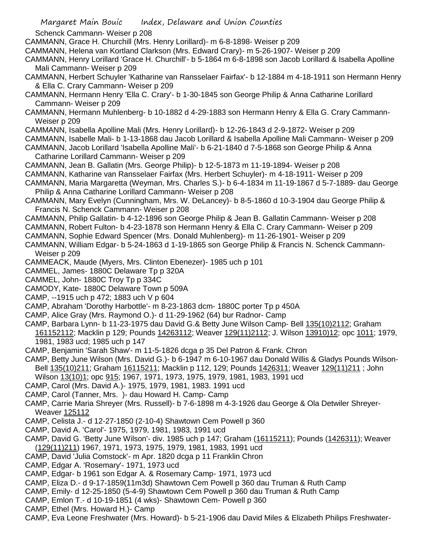Schenck Cammann- Weiser p 208

- CAMMANN, Grace H. Churchill (Mrs. Henry Lorillard)- m 6-8-1898- Weiser p 209
- CAMMANN, Helena van Kortland Clarkson (Mrs. Edward Crary)- m 5-26-1907- Weiser p 209
- CAMMANN, Henry Lorillard 'Grace H. Churchill'- b 5-1864 m 6-8-1898 son Jacob Lorillard & Isabella Apolline Mali Cammann- Weiser p 209
- CAMMANN, Herbert Schuyler 'Katharine van Ransselaer Fairfax'- b 12-1884 m 4-18-1911 son Hermann Henry & Ella C. Crary Cammann- Weiser p 209
- CAMMANN, Hermann Henry 'Ella C. Crary'- b 1-30-1845 son George Philip & Anna Catharine Lorillard Cammann- Weiser p 209
- CAMMANN, Hermann Muhlenberg- b 10-1882 d 4-29-1883 son Hermann Henry & Ella G. Crary Cammann-Weiser p 209
- CAMMANN, Isabella Apolline Mali (Mrs. Henry Lorillard)- b 12-26-1843 d 2-9-1872- Weiser p 209
- CAMMANN, Isabelle Mali- b 1-13-1868 dau Jacob Lorillard & Isabella Apolline Mali Cammann- Weiser p 209
- CAMMANN, Jacob Lorillard 'Isabella Apolline Mali'- b 6-21-1840 d 7-5-1868 son George Philip & Anna Catharine Lorillard Cammann- Weiser p 209
- CAMMANN, Jean B. Gallatin (Mrs. George Philip)- b 12-5-1873 m 11-19-1894- Weiser p 208
- CAMMANN, Katharine van Ransselaer Fairfax (Mrs. Herbert Schuyler)- m 4-18-1911- Weiser p 209
- CAMMANN, Maria Margaretta (Weyman, Mrs. Charles S.)- b 6-4-1834 m 11-19-1867 d 5-7-1889- dau George Philip & Anna Catharine Lorillard Cammann- Weiser p 208
- CAMMANN, Mary Evelyn (Cunningham, Mrs. W. DeLancey)- b 8-5-1860 d 10-3-1904 dau George Philip & Francis N. Schenck Cammann- Weiser p 208
- CAMMANN, Philip Gallatin- b 4-12-1896 son George Philip & Jean B. Gallatin Cammann- Weiser p 208
- CAMMANN, Robert Fulton- b 4-23-1878 son Hermann Henry & Ella C. Crary Cammann- Weiser p 209
- CAMMANN, Sophie Edward Spencer (Mrs. Donald Muhlenberg)- m 11-26-1901- Weiser p 209
- CAMMANN, William Edgar- b 5-24-1863 d 1-19-1865 son George Philip & Francis N. Schenck Cammann-Weiser p 209
- CAMMEACK, Maude (Myers, Mrs. Clinton Ebenezer)- 1985 uch p 101
- CAMMEL, James- 1880C Delaware Tp p 320A
- CAMMEL, John- 1880C Troy Tp p 334C
- CAMODY, Kate- 1880C Delaware Town p 509A
- CAMP, --1915 uch p 472; 1883 uch V p 604
- CAMP, Abraham 'Dorothy Harbottle'- m 8-23-1863 dcm- 1880C porter Tp p 450A
- CAMP, Alice Gray (Mrs. Raymond O.)- d 11-29-1962 (64) bur Radnor- Camp
- CAMP, Barbara Lynn- b 11-23-1975 dau David G.& Betty June Wilson Camp- Bell 135(10)2112; Graham 161152112; Macklin p 129; Pounds 14263112; Weaver 129(11)2112; J. Wilson 13910)12; opc 1011; 1979, 1981, 1983 ucd; 1985 uch p 147
- CAMP, Benjamin 'Sarah Shaw'- m 11-5-1826 dcga p 35 Del Patron & Frank. Chron
- CAMP, Betty June Wilson (Mrs. David G.)- b 6-1947 m 6-10-1967 dau Donald Willis & Gladys Pounds Wilson-Bell 135(10)211; Graham 16115211; Macklin p 112, 129; Pounds 1426311; Weaver 129(11)211; John
- Wilson 13(10)1; opc 915; 1967, 1971, 1973, 1975, 1979, 1981, 1983, 1991 ucd
- CAMP, Carol (Mrs. David A.)- 1975, 1979, 1981, 1983. 1991 ucd
- CAMP, Carol (Tanner, Mrs. )- dau Howard H. Camp- Camp
- CAMP, Carrie Maria Shreyer (Mrs. Russell)- b 7-6-1898 m 4-3-1926 dau George & Ola Detwiler Shreyer-Weaver 125112
- CAMP, Celista J.- d 12-27-1850 (2-10-4) Shawtown Cem Powell p 360
- CAMP, David A. 'Carol'- 1975, 1979, 1981, 1983, 1991 ucd
- CAMP, David G. 'Betty June Wilson'- div. 1985 uch p 147; Graham (16115211); Pounds (1426311); Weaver (129(11)211) 1967, 1971, 1973, 1975, 1979, 1981, 1983, 1991 ucd
- CAMP, David 'Julia Comstock'- m Apr. 1820 dcga p 11 Franklin Chron
- CAMP, Edgar A. 'Rosemary'- 1971, 1973 ucd
- CAMP, Edgar- b 1961 son Edgar A. & Rosemary Camp- 1971, 1973 ucd
- CAMP, Eliza D.- d 9-17-1859(11m3d) Shawtown Cem Powell p 360 dau Truman & Ruth Camp
- CAMP, Emily- d 12-25-1850 (5-4-9) Shawtown Cem Powell p 360 dau Truman & Ruth Camp
- CAMP, Emlon T.- d 10-19-1851 (4 wks)- Shawtown Cem- Powell p 360
- CAMP, Ethel (Mrs. Howard H.)- Camp
- CAMP, Eva Leone Freshwater (Mrs. Howard)- b 5-21-1906 dau David Miles & Elizabeth Philips Freshwater-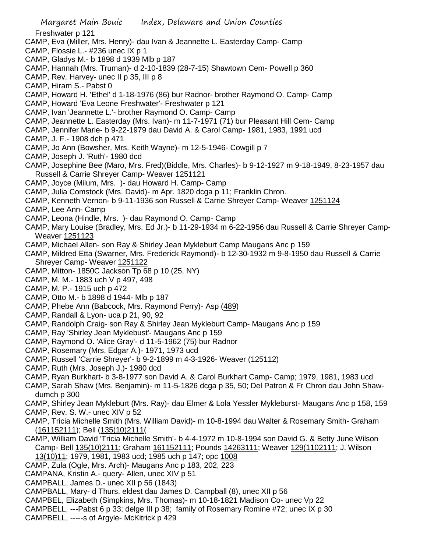Freshwater p 121

- CAMP, Eva (Miller, Mrs. Henry)- dau Ivan & Jeannette L. Easterday Camp- Camp
- CAMP, Flossie L.- #236 unec IX p 1
- CAMP, Gladys M.- b 1898 d 1939 Mlb p 187
- CAMP, Hannah (Mrs. Truman)- d 2-10-1839 (28-7-15) Shawtown Cem- Powell p 360
- CAMP, Rev. Harvey- unec II p 35, III p 8
- CAMP, Hiram S.- Pabst 0
- CAMP, Howard H. 'Ethel' d 1-18-1976 (86) bur Radnor- brother Raymond O. Camp- Camp
- CAMP, Howard 'Eva Leone Freshwater'- Freshwater p 121
- CAMP, Ivan 'Jeannette L.'- brother Raymond O. Camp- Camp
- CAMP, Jeannette L. Easterday (Mrs. Ivan)- m 11-7-1971 (71) bur Pleasant Hill Cem- Camp
- CAMP, Jennifer Marie- b 9-22-1979 dau David A. & Carol Camp- 1981, 1983, 1991 ucd
- CAMP, J. F.- 1908 dch p 471
- CAMP, Jo Ann (Bowsher, Mrs. Keith Wayne)- m 12-5-1946- Cowgill p 7
- CAMP, Joseph J. 'Ruth'- 1980 dcd
- CAMP, Josephine Bee (Maro, Mrs. Fred)(Biddle, Mrs. Charles)- b 9-12-1927 m 9-18-1949, 8-23-1957 dau Russell & Carrie Shreyer Camp- Weaver 1251121
- CAMP, Joyce (Milum, Mrs. )- dau Howard H. Camp- Camp
- CAMP, Julia Comstock (Mrs. David)- m Apr. 1820 dcga p 11; Franklin Chron.
- CAMP, Kenneth Vernon- b 9-11-1936 son Russell & Carrie Shreyer Camp- Weaver 1251124
- CAMP, Lee Ann- Camp
- CAMP, Leona (Hindle, Mrs. )- dau Raymond O. Camp- Camp
- CAMP, Mary Louise (Bradley, Mrs. Ed Jr.)- b 11-29-1934 m 6-22-1956 dau Russell & Carrie Shreyer Camp-Weaver 1251123
- CAMP, Michael Allen- son Ray & Shirley Jean Mykleburt Camp Maugans Anc p 159
- CAMP, Mildred Etta (Swarner, Mrs. Frederick Raymond)- b 12-30-1932 m 9-8-1950 dau Russell & Carrie Shreyer Camp- Weaver 1251122
- CAMP, Mitton- 1850C Jackson Tp 68 p 10 (25, NY)
- CAMP, M. M.- 1883 uch V p 497, 498
- CAMP, M. P.- 1915 uch p 472
- CAMP, Otto M.- b 1898 d 1944- Mlb p 187
- CAMP, Phebe Ann (Babcock, Mrs. Raymond Perry)- Asp (489)
- CAMP, Randall & Lyon- uca p 21, 90, 92
- CAMP, Randolph Craig- son Ray & Shirley Jean Mykleburt Camp- Maugans Anc p 159
- CAMP, Ray 'Shirley Jean Myklebust'- Maugans Anc p 159
- CAMP, Raymond O. 'Alice Gray'- d 11-5-1962 (75) bur Radnor
- CAMP, Rosemary (Mrs. Edgar A.)- 1971, 1973 ucd
- CAMP, Russell 'Carrie Shreyer'- b 9-2-1899 m 4-3-1926- Weaver (125112)
- CAMP, Ruth (Mrs. Joseph J.)- 1980 dcd
- CAMP, Ryan Burkhart- b 3-8-1977 son David A. & Carol Burkhart Camp- Camp; 1979, 1981, 1983 ucd
- CAMP, Sarah Shaw (Mrs. Benjamin)- m 11-5-1826 dcga p 35, 50; Del Patron & Fr Chron dau John Shawdumch p 300
- CAMP, Shirley Jean Mykleburt (Mrs. Ray)- dau Elmer & Lola Yessler Mykleburst- Maugans Anc p 158, 159
- CAMP, Rev. S. W.- unec XIV p 52
- CAMP, Tricia Michelle Smith (Mrs. William David)- m 10-8-1994 dau Walter & Rosemary Smith- Graham (161152111); Bell (135(10)2111(
- CAMP, William David 'Tricia Michelle Smith'- b 4-4-1972 m 10-8-1994 son David G. & Betty June Wilson Camp- Bell 135(10)2111; Graham 161152111; Pounds 14263111; Weaver 129(1102111; J. Wilson 13(10)11; 1979, 1981, 1983 ucd; 1985 uch p 147; opc 1008
- CAMP, Zula (Ogle, Mrs. Arch)- Maugans Anc p 183, 202, 223
- CAMPANA, Kristin A.- query- Allen, unec XIV p 51
- CAMPBALL, James D.- unec XII p 56 (1843)
- CAMPBALL, Mary- d Thurs. eldest dau James D. Campball (8), unec XII p 56
- CAMPBEL, Elizabeth (Simpkins, Mrs. Thomas)- m 10-18-1821 Madison Co- unec Vp 22
- CAMPBELL, ---Pabst 6 p 33; delge III p 38; family of Rosemary Romine #72; unec IX p 30
- CAMPBELL, -----s of Argyle- McKitrick p 429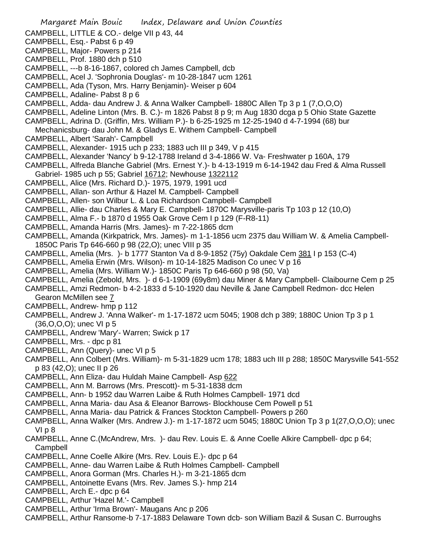- Margaret Main Bouic Index, Delaware and Union Counties
- CAMPBELL, LITTLE & CO.- delge VII p 43, 44
- CAMPBELL, Esq.- Pabst 6 p 49
- CAMPBELL, Major- Powers p 214
- CAMPBELL, Prof. 1880 dch p 510
- CAMPBELL, ---b 8-16-1867, colored ch James Campbell, dcb
- CAMPBELL, Acel J. 'Sophronia Douglas'- m 10-28-1847 ucm 1261
- CAMPBELL, Ada (Tyson, Mrs. Harry Benjamin)- Weiser p 604
- CAMPBELL, Adaline- Pabst 8 p 6
- CAMPBELL, Adda- dau Andrew J. & Anna Walker Campbell- 1880C Allen Tp 3 p 1 (7,O,O,O)
- CAMPBELL, Adeline Linton (Mrs. B. C.)- m 1826 Pabst 8 p 9; m Aug 1830 dcga p 5 Ohio State Gazette
- CAMPBELL, Adrina D. (Griffin, Mrs. William P.)- b 6-25-1925 m 12-25-1940 d 4-7-1994 (68) bur Mechanicsburg- dau John M. & Gladys E. Withem Campbell- Campbell
- CAMPBELL, Albert 'Sarah'- Campbell
- CAMPBELL, Alexander- 1915 uch p 233; 1883 uch III p 349, V p 415
- CAMPBELL, Alexander 'Nancy' b 9-12-1788 Ireland d 3-4-1866 W. Va- Freshwater p 160A, 179
- CAMPBELL, Alfreda Blanche Gabriel (Mrs. Ernest Y.)- b 4-13-1919 m 6-14-1942 dau Fred & Alma Russell Gabriel- 1985 uch p 55; Gabriel 16712; Newhouse 1322112
- CAMPBELL, Alice (Mrs. Richard D.)- 1975, 1979, 1991 ucd
- CAMPBELL, Allan- son Arthur & Hazel M. Campbell- Campbell
- CAMPBELL, Allen- son Wilbur L. & Loa Richardson Campbell- Campbell
- CAMPBELL, Allie- dau Charles & Mary E. Campbell- 1870C Marysville-paris Tp 103 p 12 (10,O)
- CAMPBELL, Alma F.- b 1870 d 1955 Oak Grove Cem I p 129 (F-R8-11)
- CAMPBELL, Amanda Harris (Mrs. James)- m 7-22-1865 dcm
- CAMPBELL, Amanda (Kirkpatrick, Mrs. James)- m 1-1-1856 ucm 2375 dau William W. & Amelia Campbell-1850C Paris Tp 646-660 p 98 (22,O); unec VIII p 35
- CAMPBELL, Amelia (Mrs. )- b 1777 Stanton Va d 8-9-1852 (75y) Oakdale Cem 381 I p 153 (C-4)
- CAMPBELL, Amelia Erwin (Mrs. Wilson)- m 10-14-1825 Madison Co unec V p 16
- CAMPBELL, Amelia (Mrs. William W.)- 1850C Paris Tp 646-660 p 98 (50, Va)
- CAMPBELL, Amelia (Zebold, Mrs. )- d 6-1-1909 (69y8m) dau Miner & Mary Campbell- Claibourne Cem p 25
- CAMPBELL, Amzi Redmon- b 4-2-1833 d 5-10-1920 dau Neville & Jane Campbell Redmon- dcc Helen Gearon McMillen see 7
- CAMPBELL, Andrew- hmp p 112
- CAMPBELL, Andrew J. 'Anna Walker'- m 1-17-1872 ucm 5045; 1908 dch p 389; 1880C Union Tp 3 p 1 (36,O,O,O); unec VI p 5
- CAMPBELL, Andrew 'Mary'- Warren; Swick p 17
- CAMPBELL, Mrs. dpc p 81
- CAMPBELL, Ann (Query)- unec VI p 5
- CAMPBELL, Ann Colbert (Mrs. William)- m 5-31-1829 ucm 178; 1883 uch III p 288; 1850C Marysville 541-552 p 83 (42,O); unec II p 26
- CAMPBELL, Ann Eliza- dau Huldah Maine Campbell- Asp 622
- CAMPBELL, Ann M. Barrows (Mrs. Prescott)- m 5-31-1838 dcm
- CAMPBELL, Ann- b 1952 dau Warren Laibe & Ruth Holmes Campbell- 1971 dcd
- CAMPBELL, Anna Maria- dau Asa & Eleanor Barrows- Blockhouse Cem Powell p 51
- CAMPBELL, Anna Maria- dau Patrick & Frances Stockton Campbell- Powers p 260
- CAMPBELL, Anna Walker (Mrs. Andrew J.)- m 1-17-1872 ucm 5045; 1880C Union Tp 3 p 1(27,O,O,O); unec VI p 8
- CAMPBELL, Anne C.(McAndrew, Mrs. )- dau Rev. Louis E. & Anne Coelle Alkire Campbell- dpc p 64; Campbell
- CAMPBELL, Anne Coelle Alkire (Mrs. Rev. Louis E.)- dpc p 64
- CAMPBELL, Anne- dau Warren Laibe & Ruth Holmes Campbell- Campbell
- CAMPBELL, Anora Gorman (Mrs. Charles H.)- m 3-21-1865 dcm
- CAMPBELL, Antoinette Evans (Mrs. Rev. James S.)- hmp 214
- CAMPBELL, Arch E.- dpc p 64
- CAMPBELL, Arthur 'Hazel M.'- Campbell
- CAMPBELL, Arthur 'Irma Brown'- Maugans Anc p 206
- CAMPBELL, Arthur Ransome-b 7-17-1883 Delaware Town dcb- son William Bazil & Susan C. Burroughs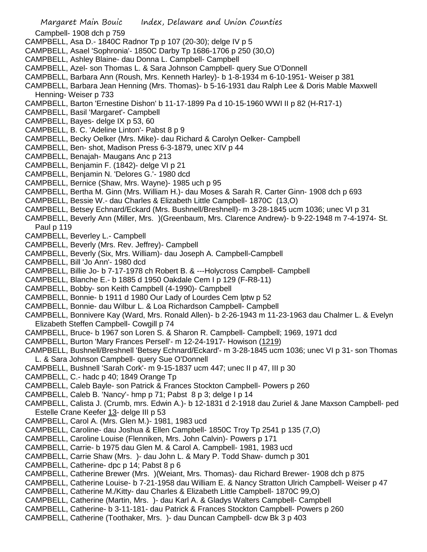Margaret Main Bouic Index, Delaware and Union Counties Campbell- 1908 dch p 759 CAMPBELL, Asa D.- 1840C Radnor Tp p 107 (20-30); delge IV p 5 CAMPBELL, Asael 'Sophronia'- 1850C Darby Tp 1686-1706 p 250 (30,O) CAMPBELL, Ashley Blaine- dau Donna L. Campbell- Campbell CAMPBELL, Azel- son Thomas L. & Sara Johnson Campbell- query Sue O'Donnell CAMPBELL, Barbara Ann (Roush, Mrs. Kenneth Harley)- b 1-8-1934 m 6-10-1951- Weiser p 381 CAMPBELL, Barbara Jean Henning (Mrs. Thomas)- b 5-16-1931 dau Ralph Lee & Doris Mable Maxwell Henning- Weiser p 733 CAMPBELL, Barton 'Ernestine Dishon' b 11-17-1899 Pa d 10-15-1960 WWI II p 82 (H-R17-1) CAMPBELL, Basil 'Margaret'- Campbell CAMPBELL, Bayes- delge IX p 53, 60 CAMPBELL, B. C. 'Adeline Linton'- Pabst 8 p 9 CAMPBELL, Becky Oelker (Mrs. Mike)- dau Richard & Carolyn Oelker- Campbell CAMPBELL, Ben- shot, Madison Press 6-3-1879, unec XIV p 44 CAMPBELL, Benajah- Maugans Anc p 213 CAMPBELL, Benjamin F. (1842)- delge VI p 21 CAMPBELL, Benjamin N. 'Delores G.'- 1980 dcd CAMPBELL, Bernice (Shaw, Mrs. Wayne)- 1985 uch p 95 CAMPBELL, Bertha M. Ginn (Mrs. William H.)- dau Moses & Sarah R. Carter Ginn- 1908 dch p 693 CAMPBELL, Bessie W.- dau Charles & Elizabeth Little Campbell- 1870C (13,O) CAMPBELL, Betsey Echnard/Eckard (Mrs. Bushnell/Breshnell)- m 3-28-1845 ucm 1036; unec VI p 31 CAMPBELL, Beverly Ann (Miller, Mrs. )(Greenbaum, Mrs. Clarence Andrew)- b 9-22-1948 m 7-4-1974- St. Paul p 119 CAMPBELL, Beverley L.- Campbell CAMPBELL, Beverly (Mrs. Rev. Jeffrey)- Campbell CAMPBELL, Beverly (Six, Mrs. William)- dau Joseph A. Campbell-Campbell CAMPBELL, Bill 'Jo Ann'- 1980 dcd CAMPBELL, Billie Jo- b 7-17-1978 ch Robert B. & ---Holycross Campbell- Campbell CAMPBELL, Blanche E.- b 1885 d 1950 Oakdale Cem I p 129 (F-R8-11) CAMPBELL, Bobby- son Keith Campbell (4-1990)- Campbell CAMPBELL, Bonnie- b 1911 d 1980 Our Lady of Lourdes Cem lptw p 52 CAMPBELL, Bonnie- dau Wilbur L. & Loa Richardson Campbell- Campbell CAMPBELL, Bonnivere Kay (Ward, Mrs. Ronald Allen)- b 2-26-1943 m 11-23-1963 dau Chalmer L. & Evelyn Elizabeth Steffen Campbell- Cowgill p 74 CAMPBELL, Bruce- b 1967 son Loren S. & Sharon R. Campbell- Campbell; 1969, 1971 dcd CAMPBELL, Burton 'Mary Frances Persell'- m 12-24-1917- Howison (1219) CAMPBELL, Bushnell/Breshnell 'Betsey Echnard/Eckard'- m 3-28-1845 ucm 1036; unec VI p 31- son Thomas L. & Sara Johnson Campbell- query Sue O'Donnell CAMPBELL, Bushnell 'Sarah Cork'- m 9-15-1837 ucm 447; unec II p 47, III p 30 CAMPBELL, C.- hadc p 40; 1849 Orange Tp CAMPBELL, Caleb Bayle- son Patrick & Frances Stockton Campbell- Powers p 260 CAMPBELL, Caleb B. 'Nancy'- hmp p 71; Pabst 8 p 3; delge I p 14 CAMPBELL, Calista J. (Crumb, mrs. Edwin A.)- b 12-1831 d 2-1918 dau Zuriel & Jane Maxson Campbell- ped Estelle Crane Keefer 13- delge III p 53 CAMPBELL, Carol A. (Mrs. Glen M.)- 1981, 1983 ucd CAMPBELL, Caroline- dau Joshua & Ellen Campbell- 1850C Troy Tp 2541 p 135 (7,O) CAMPBELL, Caroline Louise (Flenniken, Mrs. John Calvin)- Powers p 171 CAMPBELL, Carrie- b 1975 dau Glen M. & Carol A. Campbell- 1981, 1983 ucd CAMPBELL, Carrie Shaw (Mrs. )- dau John L. & Mary P. Todd Shaw- dumch p 301 CAMPBELL, Catherine- dpc p 14; Pabst 8 p 6 CAMPBELL, Catherine Brewer (Mrs. )(Weiant, Mrs. Thomas)- dau Richard Brewer- 1908 dch p 875 CAMPBELL, Catherine Louise- b 7-21-1958 dau William E. & Nancy Stratton Ulrich Campbell- Weiser p 47

- CAMPBELL, Catherine M./Kitty- dau Charles & Elizabeth Little Campbell- 1870C 99,O)
- CAMPBELL, Catherine (Martin, Mrs. )- dau Karl A. & Gladys Walters Campbell- Campbell
- CAMPBELL, Catherine- b 3-11-181- dau Patrick & Frances Stockton Campbell- Powers p 260
- CAMPBELL, Catherine (Toothaker, Mrs. )- dau Duncan Campbell- dcw Bk 3 p 403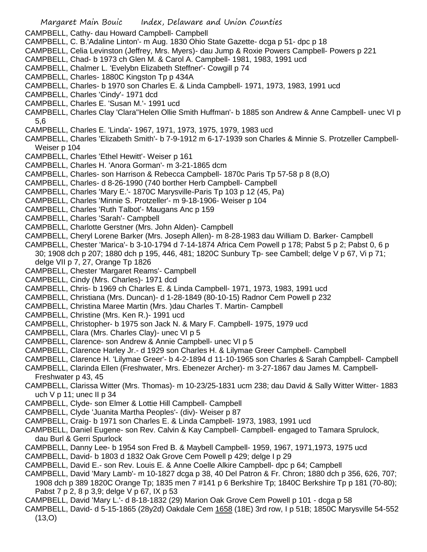CAMPBELL, Cathy- dau Howard Campbell- Campbell

- CAMPBELL, C. B.'Adaline Linton'- m Aug. 1830 Ohio State Gazette- dcga p 51- dpc p 18
- CAMPBELL, Celia Levinston (Jeffrey, Mrs. Myers)- dau Jump & Roxie Powers Campbell- Powers p 221
- CAMPBELL, Chad- b 1973 ch Glen M. & Carol A. Campbell- 1981, 1983, 1991 ucd
- CAMPBELL, Chalmer L. 'Evelybn Elizabeth Steffner'- Cowgill p 74
- CAMPBELL, Charles- 1880C Kingston Tp p 434A
- CAMPBELL, Charles- b 1970 son Charles E. & Linda Campbell- 1971, 1973, 1983, 1991 ucd
- CAMPBELL, Charles 'Cindy'- 1971 dcd
- CAMPBELL, Charles E. 'Susan M.'- 1991 ucd
- CAMPBELL, Charles Clay 'Clara''Helen Ollie Smith Huffman'- b 1885 son Andrew & Anne Campbell- unec VI p 5,6
- CAMPBELL, Charles E. 'Linda'- 1967, 1971, 1973, 1975, 1979, 1983 ucd
- CAMPBELL, Charles 'Elizabeth Smith'- b 7-9-1912 m 6-17-1939 son Charles & Minnie S. Protzeller Campbell-Weiser p 104
- CAMPBELL, Charles 'Ethel Hewitt'- Weiser p 161
- CAMPBELL, Charles H. 'Anora Gorman'- m 3-21-1865 dcm
- CAMPBELL, Charles- son Harrison & Rebecca Campbell- 1870c Paris Tp 57-58 p 8 (8,O)
- CAMPBELL, Charles- d 8-26-1990 (740 borther Herb Campbell- Campbell
- CAMPBELL, Charles 'Mary E.'- 1870C Marysville-Paris Tp 103 p 12 (45, Pa)
- CAMPBELL, Charles 'Minnie S. Protzeller'- m 9-18-1906- Weiser p 104
- CAMPBELL, Charles 'Ruth Talbot'- Maugans Anc p 159
- CAMPBELL, Charles 'Sarah'- Campbell
- CAMPBELL, Charlotte Gerstner (Mrs. John Alden)- Campbell
- CAMPBELL, Cheryl Lorene Barker (Mrs. Joseph Allen)- m 8-28-1983 dau William D. Barker- Campbell
- CAMPBELL, Chester 'Marica'- b 3-10-1794 d 7-14-1874 Africa Cem Powell p 178; Pabst 5 p 2; Pabst 0, 6 p 30; 1908 dch p 207; 1880 dch p 195, 446, 481; 1820C Sunbury Tp- see Cambell; delge V p 67, Vi p 71; delge VII p 7, 27, Orange Tp 1826
- CAMPBELL, Chester 'Margaret Reams'- Campbell
- CAMPBELL, Cindy (Mrs. Charles)- 1971 dcd
- CAMPBELL, Chris- b 1969 ch Charles E. & Linda Campbell- 1971, 1973, 1983, 1991 ucd
- CAMPBELL, Christiana (Mrs. Duncan)- d 1-28-1849 (80-10-15) Radnor Cem Powell p 232
- CAMPBELL, Christina Maree Martin (Mrs. )dau Charles T. Martin- Campbell
- CAMPBELL, Christine (Mrs. Ken R.)- 1991 ucd
- CAMPBELL, Christopher- b 1975 son Jack N. & Mary F. Campbell- 1975, 1979 ucd
- CAMPBELL, Clara (Mrs. Charles Clay)- unec VI p 5
- CAMPBELL, Clarence- son Andrew & Annie Campbell- unec VI p 5
- CAMPBELL, Clarence Harley Jr.- d 1929 son Charles H. & Lilymae Greer Campbell- Campbell
- CAMPBELL, Clarence H. 'Lilymae Greer'- b 4-2-1894 d 11-10-1965 son Charles & Sarah Campbell- Campbell
- CAMPBELL, Clarinda Ellen (Freshwater, Mrs. Ebenezer Archer)- m 3-27-1867 dau James M. Campbell-Freshwater p 43, 45
- CAMPBELL, Clarissa Witter (Mrs. Thomas)- m 10-23/25-1831 ucm 238; dau David & Sally Witter Witter- 1883 uch  $V$  p 11; unec II p 34
- CAMPBELL, Clyde- son Elmer & Lottie Hill Campbell- Campbell
- CAMPBELL, Clyde 'Juanita Martha Peoples'- (div)- Weiser p 87
- CAMPBELL, Craig- b 1971 son Charles E. & Linda Campbell- 1973, 1983, 1991 ucd
- CAMPBELL, Daniel Eugene- son Rev. Calvin & Kay Campbell- Campbell- engaged to Tamara Sprulock, dau Burl & Gerri Spurlock
- CAMPBELL, Danny Lee- b 1954 son Fred B. & Maybell Campbell- 1959, 1967, 1971,1973, 1975 ucd
- CAMPBELL, David- b 1803 d 1832 Oak Grove Cem Powell p 429; delge I p 29
- CAMPBELL, David E.- son Rev. Louis E. & Anne Coelle Alkire Campbell- dpc p 64; Campbell
- CAMPBELL, David 'Mary Lamb'- m 10-1827 dcga p 38, 40 Del Patron & Fr. Chron; 1880 dch p 356, 626, 707; 1908 dch p 389 1820C Orange Tp; 1835 men 7 #141 p 6 Berkshire Tp; 1840C Berkshire Tp p 181 (70-80); Pabst 7 p 2, 8 p 3,9; delge V p 67, IX p 53
- CAMPBELL, David 'Mary L.'- d 8-18-1832 (29) Marion Oak Grove Cem Powell p 101 dcga p 58
- CAMPBELL, David- d 5-15-1865 (28y2d) Oakdale Cem 1658 (18E) 3rd row, I p 51B; 1850C Marysville 54-552  $(13, 0)$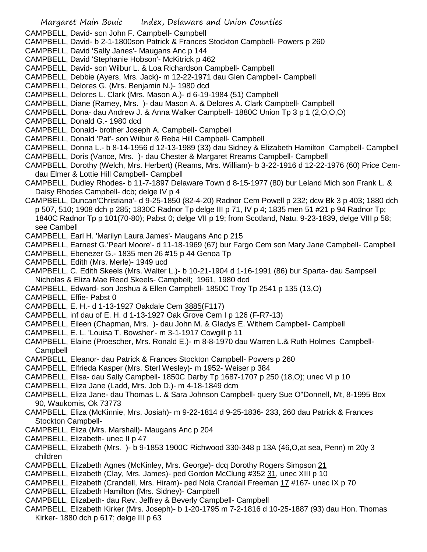CAMPBELL, David- son John F. Campbell- Campbell

- CAMPBELL, David- b 2-1-1800son Patrick & Frances Stockton Campbell- Powers p 260
- CAMPBELL, David 'Sally Janes'- Maugans Anc p 144
- CAMPBELL, David 'Stephanie Hobson'- McKitrick p 462
- CAMPBELL, David- son Wilbur L. & Loa Richardson Campbell- Campbell
- CAMPBELL, Debbie (Ayers, Mrs. Jack)- m 12-22-1971 dau Glen Campbell- Campbell
- CAMPBELL, Delores G. (Mrs. Benjamin N.)- 1980 dcd
- CAMPBELL, Delores L. Clark (Mrs. Mason A.)- d 6-19-1984 (51) Campbell
- CAMPBELL, Diane (Ramey, Mrs. )- dau Mason A. & Delores A. Clark Campbell- Campbell
- CAMPBELL, Dona- dau Andrew J. & Anna Walker Campbell- 1880C Union Tp 3 p 1 (2,O,O,O)
- CAMPBELL, Donald G.- 1980 dcd
- CAMPBELL, Donald- brother Joseph A. Campbell- Campbell
- CAMPBELL, Donald 'Pat'- son Wilbur & Reba Hill Campbell- Campbell
- CAMPBELL, Donna L.- b 8-14-1956 d 12-13-1989 (33) dau Sidney & Elizabeth Hamilton Campbell- Campbell
- CAMPBELL, Doris (Vance, Mrs. )- dau Chester & Margaret Rreams Campbell- Campbell
- CAMPBELL, Dorothy (Welch, Mrs. Herbert) (Reams, Mrs. William)- b 3-22-1916 d 12-22-1976 (60) Price Cemdau Elmer & Lottie Hill Campbell- Campbell
- CAMPBELL, Dudley Rhodes- b 11-7-1897 Delaware Town d 8-15-1977 (80) bur Leland Mich son Frank L. & Daisy Rhodes Campbell- dcb; delge IV p 4
- CAMPBELL, Duncan'Christiana'- d 9-25-1850 (82-4-20) Radnor Cem Powell p 232; dcw Bk 3 p 403; 1880 dch p 507, 510; 1908 dch p 285; 1830C Radnor Tp delge III p 71, IV p 4; 1835 men 51 #21 p 94 Radnor Tp; 1840C Radnor Tp p 101(70-80); Pabst 0; delge VII p 19; from Scotland, Natu. 9-23-1839, delge VIII p 58; see Cambell
- CAMPBELL, Earl H. 'Marilyn Laura James'- Maugans Anc p 215
- CAMPBELL, Earnest G.'Pearl Moore'- d 11-18-1969 (67) bur Fargo Cem son Mary Jane Campbell- Campbell
- CAMPBELL, Ebenezer G.- 1835 men 26 #15 p 44 Genoa Tp
- CAMPBELL, Edith (Mrs. Merle)- 1949 ucd
- CAMPBELL, C. Edith Skeels (Mrs. Walter L.)- b 10-21-1904 d 1-16-1991 (86) bur Sparta- dau Sampsell Nicholas & Eliza Mae Reed Skeels- Campbell; 1961, 1980 dcd
- CAMPBELL, Edward- son Joshua & Ellen Campbell- 1850C Troy Tp 2541 p 135 (13,O)
- CAMPBELL, Effie- Pabst 0
- CAMPBELL, E. H.- d 1-13-1927 Oakdale Cem 3885(F117)
- CAMPBELL, inf dau of E. H. d 1-13-1927 Oak Grove Cem I p 126 (F-R7-13)
- CAMPBELL, Eileen (Chapman, Mrs. )- dau John M. & Gladys E. Withem Campbell- Campbell
- CAMPBELL, E. L. 'Louisa T. Bowsher'- m 3-1-1917 Cowgill p 11
- CAMPBELL, Elaine (Proescher, Mrs. Ronald E.)- m 8-8-1970 dau Warren L.& Ruth Holmes Campbell-Campbell
- CAMPBELL, Eleanor- dau Patrick & Frances Stockton Campbell- Powers p 260
- CAMPBELL, Elfrieda Kasper (Mrs. Sterl Wesley)- m 1952- Weiser p 384
- CAMPBELL, Elisa- dau Sally Campbell- 1850C Darby Tp 1687-1707 p 250 (18,O); unec VI p 10
- CAMPBELL, Eliza Jane (Ladd, Mrs. Job D.)- m 4-18-1849 dcm
- CAMPBELL, Eliza Jane- dau Thomas L. & Sara Johnson Campbell- query Sue O"Donnell, Mt, 8-1995 Box 90, Waukomis, Ok 73773
- CAMPBELL, Eliza (McKinnie, Mrs. Josiah)- m 9-22-1814 d 9-25-1836- 233, 260 dau Patrick & Frances Stockton Campbell-
- CAMPBELL, Eliza (Mrs. Marshall)- Maugans Anc p 204
- CAMPBELL, Elizabeth- unec II p 47
- CAMPBELL, Elizabeth (Mrs. )- b 9-1853 1900C Richwood 330-348 p 13A (46,O,at sea, Penn) m 20y 3 children
- CAMPBELL, Elizabeth Agnes (McKinley, Mrs. George)- dcq Dorothy Rogers Simpson 21
- CAMPBELL, Elizabeth (Clay, Mrs. James)- ped Gordon McClung #352 31, unec XIII p 10
- CAMPBELL, Elizabeth (Crandell, Mrs. Hiram)- ped Nola Crandall Freeman 17 #167- unec IX p 70
- CAMPBELL, Elizabeth Hamilton (Mrs. Sidney)- Campbell
- CAMPBELL, Elizabeth- dau Rev. Jeffrey & Beverly Campbell- Campbell
- CAMPBELL, Elizabeth Kirker (Mrs. Joseph)- b 1-20-1795 m 7-2-1816 d 10-25-1887 (93) dau Hon. Thomas Kirker- 1880 dch p 617; delge III p 63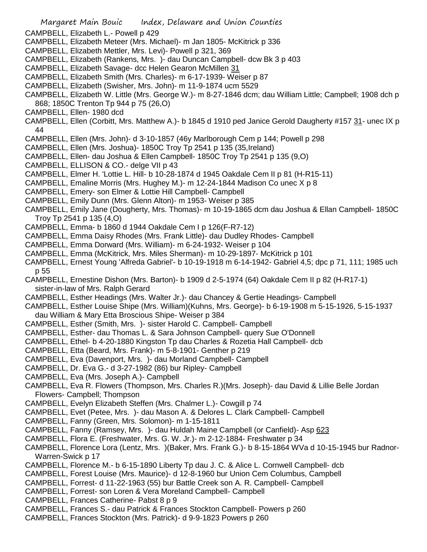- Margaret Main Bouic Index, Delaware and Union Counties
- CAMPBELL, Elizabeth L.- Powell p 429
- CAMPBELL, Elizabeth Meteer (Mrs. Michael)- m Jan 1805- McKitrick p 336
- CAMPBELL, Elizabeth Mettler, Mrs. Levi)- Powell p 321, 369
- CAMPBELL, Elizabeth (Rankens, Mrs. )- dau Duncan Campbell- dcw Bk 3 p 403
- CAMPBELL, Elizabeth Savage- dcc Helen Gearon McMillen 31
- CAMPBELL, Elizabeth Smith (Mrs. Charles)- m 6-17-1939- Weiser p 87
- CAMPBELL, Elizabeth (Swisher, Mrs. John)- m 11-9-1874 ucm 5529
- CAMPBELL, Elizabeth W. Little (Mrs. George W.)- m 8-27-1846 dcm; dau William Little; Campbell; 1908 dch p 868; 1850C Trenton Tp 944 p 75 (26,O)
- CAMPBELL, Ellen- 1980 dcd
- CAMPBELL, Ellen (Corbitt, Mrs. Matthew A.)- b 1845 d 1910 ped Janice Gerold Daugherty #157 31- unec IX p 44
- CAMPBELL, Ellen (Mrs. John)- d 3-10-1857 (46y Marlborough Cem p 144; Powell p 298
- CAMPBELL, Ellen (Mrs. Joshua)- 1850C Troy Tp 2541 p 135 (35,Ireland)
- CAMPBELL, Ellen- dau Joshua & Ellen Campbell- 1850C Troy Tp 2541 p 135 (9,O)
- CAMPBELL, ELLISON & CO.- delge VII p 43
- CAMPBELL, Elmer H. 'Lottie L. Hill- b 10-28-1874 d 1945 Oakdale Cem II p 81 (H-R15-11)
- CAMPBELL, Emaline Morris (Mrs. Hughey M.)- m 12-24-1844 Madison Co unec X p 8
- CAMPBELL, Emery- son Elmer & Lottie Hill Campbell- Campbell
- CAMPBELL, Emily Dunn (Mrs. Glenn Alton)- m 1953- Weiser p 385
- CAMPBELL, Emily Jane (Dougherty, Mrs. Thomas)- m 10-19-1865 dcm dau Joshua & Ellan Campbell- 1850C Troy Tp 2541 p 135 (4,O)
- CAMPBELL, Emma- b 1860 d 1944 Oakdale Cem I p 126(F-R7-12)
- CAMPBELL, Emma Daisy Rhodes (Mrs. Frank Little)- dau Dudley Rhodes- Campbell
- CAMPBELL, Emma Dorward (Mrs. William)- m 6-24-1932- Weiser p 104
- CAMPBELL, Emma (McKitrick, Mrs. Miles Sherman)- m 10-29-1897- McKitrick p 101
- CAMPBELL, Ernest Young 'Alfreda Gabriel'- b 10-19-1918 m 6-14-1942- Gabriel 4,5; dpc p 71, 111; 1985 uch p 55
- CAMPBELL, Ernestine Dishon (Mrs. Barton)- b 1909 d 2-5-1974 (64) Oakdale Cem II p 82 (H-R17-1) sister-in-law of Mrs. Ralph Gerard
- CAMPBELL, Esther Headings (Mrs. Walter Jr.)- dau Chancey & Gertie Headings- Campbell
- CAMPBELL, Esther Louise Shipe (Mrs. William)(Kuhns, Mrs. George)- b 6-19-1908 m 5-15-1926, 5-15-1937 dau William & Mary Etta Broscious Shipe- Weiser p 384
- CAMPBELL, Esther (Smith, Mrs. )- sister Harold C. Campbell- Campbell
- CAMPBELL, Esther- dau Thomas L. & Sara Johnson Campbell- query Sue O'Donnell
- CAMPBELL, Ethel- b 4-20-1880 Kingston Tp dau Charles & Rozetia Hall Campbell- dcb
- CAMPBELL, Etta (Beard, Mrs. Frank)- m 5-8-1901- Genther p 219
- CAMPBELL, Eva (Davenport, Mrs. )- dau Morland Campbell- Campbell
- CAMPBELL, Dr. Eva G.- d 3-27-1982 (86) bur Ripley- Campbell
- CAMPBELL, Eva (Mrs. Joseph A.)- Campbell
- CAMPBELL, Eva R. Flowers (Thompson, Mrs. Charles R.)(Mrs. Joseph)- dau David & Lillie Belle Jordan Flowers- Campbell; Thompson
- CAMPBELL, Evelyn Elizabeth Steffen (Mrs. Chalmer L.)- Cowgill p 74
- CAMPBELL, Evet (Petee, Mrs. )- dau Mason A. & Delores L. Clark Campbell- Campbell
- CAMPBELL, Fanny (Green, Mrs. Solomon)- m 1-15-1811
- CAMPBELL, Fanny (Ramsey, Mrs. )- dau Huldah Maine Campbell (or Canfield)- Asp 623
- CAMPBELL, Flora E. (Freshwater, Mrs. G. W. Jr.)- m 2-12-1884- Freshwater p 34
- CAMPBELL, Florence Lora (Lentz, Mrs. )(Baker, Mrs. Frank G.)- b 8-15-1864 WVa d 10-15-1945 bur Radnor-Warren-Swick p 17
- CAMPBELL, Florence M.- b 6-15-1890 Liberty Tp dau J. C. & Alice L. Cornwell Campbell- dcb
- CAMPBELL, Forest Louise (Mrs. Maurice)- d 12-8-1960 bur Union Cem Columbus, Campbell
- CAMPBELL, Forrest- d 11-22-1963 (55) bur Battle Creek son A. R. Campbell- Campbell
- CAMPBELL, Forrest- son Loren & Vera Moreland Campbell- Campbell
- CAMPBELL, Frances Catherine- Pabst 8 p 9
- CAMPBELL, Frances S.- dau Patrick & Frances Stockton Campbell- Powers p 260
- CAMPBELL, Frances Stockton (Mrs. Patrick)- d 9-9-1823 Powers p 260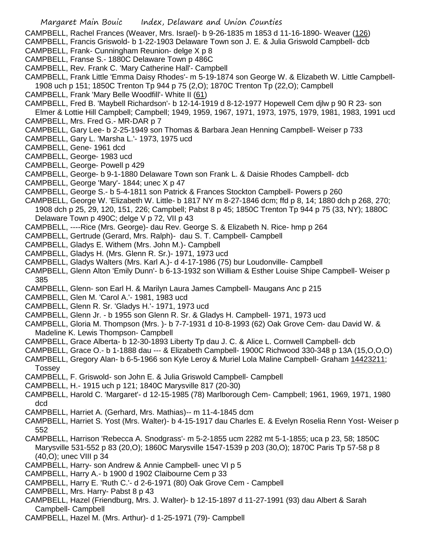CAMPBELL, Rachel Frances (Weaver, Mrs. Israel)- b 9-26-1835 m 1853 d 11-16-1890- Weaver (126)

CAMPBELL, Francis Griswold- b 1-22-1903 Delaware Town son J. E. & Julia Griswold Campbell- dcb

- CAMPBELL, Frank- Cunningham Reunion- delge X p 8
- CAMPBELL, Franse S.- 1880C Delaware Town p 486C
- CAMPBELL, Rev. Frank C. 'Mary Catherine Hall'- Campbell

CAMPBELL, Frank Little 'Emma Daisy Rhodes'- m 5-19-1874 son George W. & Elizabeth W. Little Campbell-1908 uch p 151; 1850C Trenton Tp 944 p 75 (2,O); 1870C Trenton Tp (22,O); Campbell

- CAMPBELL, Frank 'Mary Belle Woodfill'- White II (61)
- CAMPBELL, Fred B. 'Maybell Richardson'- b 12-14-1919 d 8-12-1977 Hopewell Cem djlw p 90 R 23- son Elmer & Lottie Hill Campbell; Campbell; 1949, 1959, 1967, 1971, 1973, 1975, 1979, 1981, 1983, 1991 ucd
- CAMPBELL, Mrs. Fred G.- MR-DAR p 7
- CAMPBELL, Gary Lee- b 2-25-1949 son Thomas & Barbara Jean Henning Campbell- Weiser p 733
- CAMPBELL, Gary L. 'Marsha L.'- 1973, 1975 ucd
- CAMPBELL, Gene- 1961 dcd
- CAMPBELL, George- 1983 ucd
- CAMPBELL, George- Powell p 429
- CAMPBELL, George- b 9-1-1880 Delaware Town son Frank L. & Daisie Rhodes Campbell- dcb
- CAMPBELL, George 'Mary'- 1844; unec X p 47
- CAMPBELL, George S.- b 5-4-1811 son Patrick & Frances Stockton Campbell- Powers p 260
- CAMPBELL, George W. 'Elizabeth W. Little- b 1817 NY m 8-27-1846 dcm; ffd p 8, 14; 1880 dch p 268, 270; 1908 dch p 25, 29, 120, 151, 226; Campbell; Pabst 8 p 45; 1850C Trenton Tp 944 p 75 (33, NY); 1880C Delaware Town p 490C; delge V p 72, VII p 43
- CAMPBELL, ----Rice (Mrs. George)- dau Rev. George S. & Elizabeth N. Rice- hmp p 264
- CAMPBELL, Gertrude (Gerard, Mrs. Ralph)- dau S. T. Campbell- Campbell
- CAMPBELL, Gladys E. Withem (Mrs. John M.)- Campbell
- CAMPBELL, Gladys H. (Mrs. Glenn R. Sr.)- 1971, 1973 ucd
- CAMPBELL, Gladys Walters (Mrs. Karl A.)- d 4-17-1986 (75) bur Loudonville- Campbell
- CAMPBELL, Glenn Alton 'Emily Dunn'- b 6-13-1932 son William & Esther Louise Shipe Campbell- Weiser p 385
- CAMPBELL, Glenn- son Earl H. & Marilyn Laura James Campbell- Maugans Anc p 215
- CAMPBELL, Glen M. 'Carol A.'- 1981, 1983 ucd
- CAMPBELL, Glenn R. Sr. 'Gladys H.'- 1971, 1973 ucd
- CAMPBELL, Glenn Jr. b 1955 son Glenn R. Sr. & Gladys H. Campbell- 1971, 1973 ucd
- CAMPBELL, Gloria M. Thompson (Mrs. )- b 7-7-1931 d 10-8-1993 (62) Oak Grove Cem- dau David W. & Madeline K. Lewis Thompson- Campbell
- CAMPBELL, Grace Alberta- b 12-30-1893 Liberty Tp dau J. C. & Alice L. Cornwell Campbell- dcb
- CAMPBELL, Grace O.- b 1-1888 dau --- & Elizabeth Campbell- 1900C Richwood 330-348 p 13A (15,O,O,O)
- CAMPBELL, Gregory Alan- b 6-5-1966 son Kyle Leroy & Muriel Lola Maline Campbell- Graham 14423211;
- Tossey
- CAMPBELL, F. Griswold- son John E. & Julia Griswold Campbell- Campbell
- CAMPBELL, H.- 1915 uch p 121; 1840C Marysville 817 (20-30)
- CAMPBELL, Harold C. 'Margaret'- d 12-15-1985 (78) Marlborough Cem- Campbell; 1961, 1969, 1971, 1980 dcd
- CAMPBELL, Harriet A. (Gerhard, Mrs. Mathias)-- m 11-4-1845 dcm
- CAMPBELL, Harriet S. Yost (Mrs. Walter)- b 4-15-1917 dau Charles E. & Evelyn Roselia Renn Yost- Weiser p 552
- CAMPBELL, Harrison 'Rebecca A. Snodgrass'- m 5-2-1855 ucm 2282 mt 5-1-1855; uca p 23, 58; 1850C Marysville 531-552 p 83 (20,O); 1860C Marysville 1547-1539 p 203 (30,O); 1870C Paris Tp 57-58 p 8 (40,O); unec VIII p 34
- CAMPBELL, Harry- son Andrew & Annie Campbell- unec VI p 5
- CAMPBELL, Harry A.- b 1900 d 1902 Claibourne Cem p 33
- CAMPBELL, Harry E. 'Ruth C.'- d 2-6-1971 (80) Oak Grove Cem Campbell
- CAMPBELL, Mrs. Harry- Pabst 8 p 43
- CAMPBELL, Hazel (Friendburg, Mrs. J. Walter)- b 12-15-1897 d 11-27-1991 (93) dau Albert & Sarah Campbell- Campbell
- CAMPBELL, Hazel M. (Mrs. Arthur)- d 1-25-1971 (79)- Campbell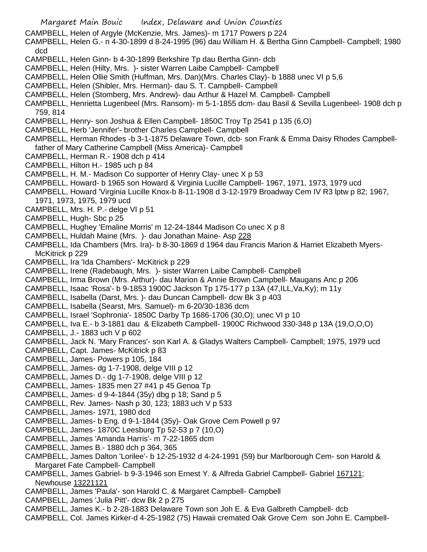- Margaret Main Bouic Index, Delaware and Union Counties CAMPBELL, Helen of Argyle (McKenzie, Mrs. James)- m 1717 Powers p 224 CAMPBELL, Helen G.- n 4-30-1899 d 8-24-1995 (96) dau William H. & Bertha Ginn Campbell- Campbell; 1980 dcd CAMPBELL, Helen Ginn- b 4-30-1899 Berkshire Tp dau Bertha Ginn- dcb CAMPBELL, Helen (Hilty, Mrs. )- sister Warren Laibe Campbell- Campbell CAMPBELL, Helen Ollie Smith (Huffman, Mrs. Dan)(Mrs. Charles Clay)- b 1888 unec VI p 5,6 CAMPBELL, Helen (Shibler, Mrs. Herman)- dau S. T. Campbell- Campbell CAMPBELL, Helen (Stomberg, Mrs. Andrew)- dau Arthur & Hazel M. Campbell- Campbell CAMPBELL, Henrietta Lugenbeel (Mrs. Ransom)- m 5-1-1855 dcm- dau Basil & Sevilla Lugenbeel- 1908 dch p 759, 814 CAMPBELL, Henry- son Joshua & Ellen Campbell- 1850C Troy Tp 2541 p 135 (6,O) CAMPBELL, Herb 'Jennifer'- brother Charles Campbell- Campbell CAMPBELL, Herman Rhodes -b 3-1-1875 Delaware Town, dcb- son Frank & Emma Daisy Rhodes Campbellfather of Mary Catherine Campbell (Miss America)- Campbell CAMPBELL, Herman R.- 1908 dch p 414 CAMPBELL, Hilton H.- 1985 uch p 84 CAMPBELL, H. M.- Madison Co supporter of Henry Clay- unec X p 53 CAMPBELL, Howard- b 1965 son Howard & Virginia Lucille Campbell- 1967, 1971, 1973, 1979 ucd
- CAMPBELL, Howard 'Virginia Lucille Knox-b 8-11-1908 d 3-12-1979 Broadway Cem IV R3 lptw p 82; 1967, 1971, 1973, 1975, 1979 ucd
- CAMPBELL, Mrs. H. P.- delge VI p 51
- CAMPBELL, Hugh- Sbc p 25
- CAMPBELL, Hughey 'Emaline Morris' m 12-24-1844 Madison Co unec X p 8
- CAMPBELL, Huldah Maine (Mrs. )- dau Jonathan Maine- Asp 228
- CAMPBELL, Ida Chambers (Mrs. Ira)- b 8-30-1869 d 1964 dau Francis Marion & Harriet Elizabeth Myers-McKitrick p 229
- CAMPBELL, Ira 'Ida Chambers'- McKitrick p 229
- CAMPBELL, Irene (Radebaugh, Mrs. )- sister Warren Laibe Campbell- Campbell
- CAMPBELL, Irma Brown (Mrs. Arthur)- dau Marion & Annie Brown Campbell- Maugans Anc p 206
- CAMPBELL, Isaac 'Rosa'- b 9-1853 1900C Jackson Tp 175-177 p 13A (47,ILL,Va,Ky); m 11y
- CAMPBELL, Isabella (Darst, Mrs. )- dau Duncan Campbell- dcw Bk 3 p 403
- CAMPBELL, Isabella (Searst, Mrs. Samuel)- m 6-20/30-1836 dcm
- CAMPBELL, Israel 'Sophronia'- 1850C Darby Tp 1686-1706 (30,O); unec VI p 10
- CAMPBELL, Iva E.- b 3-1881 dau & Elizabeth Campbell- 1900C Richwood 330-348 p 13A (19,O,O,O)
- CAMPBELL, J.- 1883 uch V p 602
- CAMPBELL, Jack N. 'Mary Frances'- son Karl A. & Gladys Walters Campbell- Campbell; 1975, 1979 ucd
- CAMPBELL, Capt. James- McKitrick p 83
- CAMPBELL, James- Powers p 105, 184
- CAMPBELL, James- dg 1-7-1908, delge VIII p 12
- CAMPBELL, James D.- dg 1-7-1908, delge VIII p 12
- CAMPBELL, James- 1835 men 27 #41 p 45 Genoa Tp
- CAMPBELL, James- d 9-4-1844 (35y) dbg p 18; Sand p 5
- CAMPBELL, Rev. James- Nash p 30, 123; 1883 uch V p 533
- CAMPBELL, James- 1971, 1980 dcd
- CAMPBELL, James- b Eng. d 9-1-1844 (35y)- Oak Grove Cem Powell p 97
- CAMPBELL, James- 1870C Leesburg Tp 52-53 p 7 (10,O)
- CAMPBELL, James 'Amanda Harris'- m 7-22-1865 dcm
- CAMPBELL, James B.- 1880 dch p 364, 365
- CAMPBELL, James Dalton 'Lorilee'- b 12-25-1932 d 4-24-1991 (59) bur Marlborough Cem- son Harold & Margaret Fate Campbell- Campbell
- CAMPBELL, James Gabriel- b 9-3-1946 son Ernest Y. & Alfreda Gabriel Campbell- Gabriel 167121; Newhouse 13221121
- CAMPBELL, James 'Paula'- son Harold C. & Margaret Campbell- Campbell
- CAMPBELL, James 'Julia Pitt'- dcw Bk 2 p 275
- CAMPBELL, James K.- b 2-28-1883 Delaware Town son Joh E. & Eva Galbreth Campbell- dcb
- CAMPBELL, Col. James Kirker-d 4-25-1982 (75) Hawaii cremated Oak Grove Cem son John E. Campbell-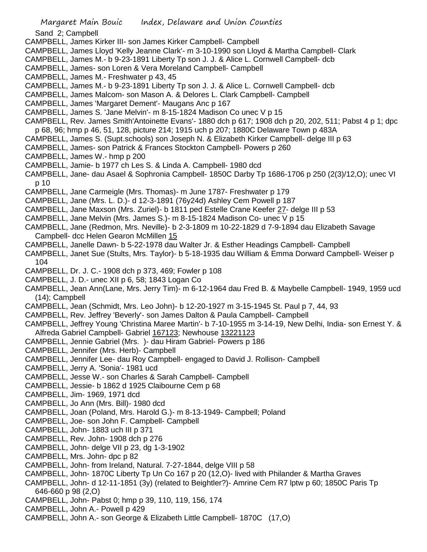- Sand 2; Campbell
- CAMPBELL, James Kirker III- son James Kirker Campbell- Campbell
- CAMPBELL, James Lloyd 'Kelly Jeanne Clark'- m 3-10-1990 son Lloyd & Martha Campbell- Clark
- CAMPBELL, James M.- b 9-23-1891 Liberty Tp son J. J. & Alice L. Cornwell Campbell- dcb
- CAMPBELL, James- son Loren & Vera Moreland Campbell- Campbell
- CAMPBELL, James M.- Freshwater p 43, 45
- CAMPBELL, James M.- b 9-23-1891 Liberty Tp son J. J. & Alice L. Cornwell Campbell- dcb
- CAMPBELL, James Malcom- son Mason A. & Delores L. Clark Campbell- Campbell
- CAMPBELL, James 'Margaret Dement'- Maugans Anc p 167
- CAMPBELL, James S. 'Jane Melvin'- m 8-15-1824 Madison Co unec V p 15
- CAMPBELL, Rev. James Smith'Antoinette Evans'- 1880 dch p 617; 1908 dch p 20, 202, 511; Pabst 4 p 1; dpc p 68, 96; hmp p 46, 51, 128, picture 214; 1915 uch p 207; 1880C Delaware Town p 483A
- CAMPBELL, James S. (Supt.schools) son Joseph N. & Elizabeth Kirker Campbell- delge III p 63
- CAMPBELL, James- son Patrick & Frances Stockton Campbell- Powers p 260
- CAMPBELL, James W.- hmp p 200
- CAMPBELL, Jamie- b 1977 ch Les S. & Linda A. Campbell- 1980 dcd
- CAMPBELL, Jane- dau Asael & Sophronia Campbell- 1850C Darby Tp 1686-1706 p 250 (2(3)/12,O); unec VI p 10
- CAMPBELL, Jane Carmeigle (Mrs. Thomas)- m June 1787- Freshwater p 179
- CAMPBELL, Jane (Mrs. L. D.)- d 12-3-1891 (76y24d) Ashley Cem Powell p 187
- CAMPBELL, Jane Maxson (Mrs. Zuriel)- b 1811 ped Estelle Crane Keefer 27- delge III p 53
- CAMPBELL, Jane Melvin (Mrs. James S.)- m 8-15-1824 Madison Co- unec V p 15
- CAMPBELL, Jane (Redmon, Mrs. Neville)- b 2-3-1809 m 10-22-1829 d 7-9-1894 dau Elizabeth Savage Campbell- dcc Helen Gearon McMillen 15
- CAMPBELL, Janelle Dawn- b 5-22-1978 dau Walter Jr. & Esther Headings Campbell- Campbell
- CAMPBELL, Janet Sue (Stults, Mrs. Taylor)- b 5-18-1935 dau William & Emma Dorward Campbell- Weiser p 104
- CAMPBELL, Dr. J. C.- 1908 dch p 373, 469; Fowler p 108
- CAMPBELL, J. D.- unec XII p 6, 58; 1843 Logan Co
- CAMPBELL, Jean Ann(Lane, Mrs. Jerry Tim)- m 6-12-1964 dau Fred B. & Maybelle Campbell- 1949, 1959 ucd (14); Campbell
- CAMPBELL, Jean (Schmidt, Mrs. Leo John)- b 12-20-1927 m 3-15-1945 St. Paul p 7, 44, 93
- CAMPBELL, Rev. Jeffrey 'Beverly'- son James Dalton & Paula Campbell- Campbell
- CAMPBELL, Jeffrey Young 'Christina Maree Martin'- b 7-10-1955 m 3-14-19, New Delhi, India- son Ernest Y. & Alfreda Gabriel Campbell- Gabriel 167123; Newhouse 13221123
- CAMPBELL, Jennie Gabriel (Mrs. )- dau Hiram Gabriel- Powers p 186
- CAMPBELL, Jennifer (Mrs. Herb)- Campbell
- CAMPBELL, Jennifer Lee- dau Roy Campbell- engaged to David J. Rollison- Campbell
- CAMPBELL, Jerry A. 'Sonia'- 1981 ucd
- CAMPBELL, Jesse W.- son Charles & Sarah Campbell- Campbell
- CAMPBELL, Jessie- b 1862 d 1925 Claibourne Cem p 68
- CAMPBELL, Jim- 1969, 1971 dcd
- CAMPBELL, Jo Ann (Mrs. Bill)- 1980 dcd
- CAMPBELL, Joan (Poland, Mrs. Harold G.)- m 8-13-1949- Campbell; Poland
- CAMPBELL, Joe- son John F. Campbell- Campbell
- CAMPBELL, John- 1883 uch III p 371
- CAMPBELL, Rev. John- 1908 dch p 276
- CAMPBELL, John- delge VII p 23, dg 1-3-1902
- CAMPBELL, Mrs. John- dpc p 82
- CAMPBELL, John- from Ireland, Natural. 7-27-1844, delge VIII p 58
- CAMPBELL, John- 1870C Liberty Tp Un Co 167 p 20 (12,O)- lived with Philander & Martha Graves
- CAMPBELL, John- d 12-11-1851 (3y) (related to Beightler?)- Amrine Cem R7 lptw p 60; 1850C Paris Tp 646-660 p 98 (2,O)
- CAMPBELL, John- Pabst 0; hmp p 39, 110, 119, 156, 174
- CAMPBELL, John A.- Powell p 429
- CAMPBELL, John A.- son George & Elizabeth Little Campbell- 1870C (17,O)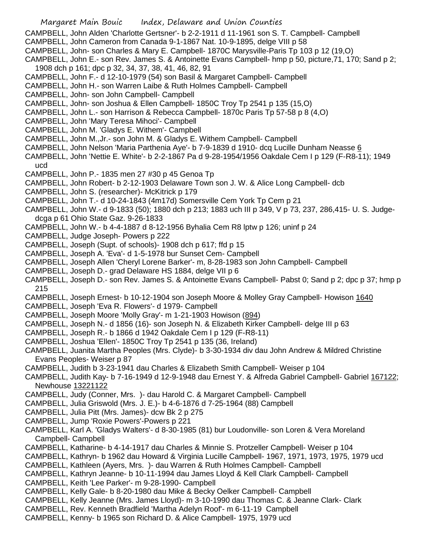CAMPBELL, John Alden 'Charlotte Gertsner'- b 2-2-1911 d 11-1961 son S. T. Campbell- Campbell

- CAMPBELL, John Cameron from Canada 9-1-1867 Nat. 10-9-1895, delge VIII p 58
- CAMPBELL, John- son Charles & Mary E. Campbell- 1870C Marysville-Paris Tp 103 p 12 (19,O)
- CAMPBELL, John E.- son Rev. James S. & Antoinette Evans Campbell- hmp p 50, picture,71, 170; Sand p 2; 1908 dch p 161; dpc p 32, 34, 37, 38, 41, 46, 82, 91
- CAMPBELL, John F.- d 12-10-1979 (54) son Basil & Margaret Campbell- Campbell
- CAMPBELL, John H.- son Warren Laibe & Ruth Holmes Campbell- Campbell
- CAMPBELL, John- son John Campbell- Campbell
- CAMPBELL, John- son Joshua & Ellen Campbell- 1850C Troy Tp 2541 p 135 (15,O)
- CAMPBELL, John L.- son Harrison & Rebecca Campbell- 1870c Paris Tp 57-58 p 8 (4,O)
- CAMPBELL, John 'Mary Teresa Mihoci'- Campbell
- CAMPBELL, John M. 'Gladys E. Withem'- Campbell
- CAMPBELL, John M.,Jr.- son John M. & Gladys E. Withem Campbell- Campbell
- CAMPBELL, John Nelson 'Maria Parthenia Aye'- b 7-9-1839 d 1910- dcq Lucille Dunham Neasse 6
- CAMPBELL, John 'Nettie E. White'- b 2-2-1867 Pa d 9-28-1954/1956 Oakdale Cem I p 129 (F-R8-11); 1949 ucd
- CAMPBELL, John P.- 1835 men 27 #30 p 45 Genoa Tp
- CAMPBELL, John Robert- b 2-12-1903 Delaware Town son J. W. & Alice Long Campbell- dcb
- CAMPBELL, John S. (researcher)- McKitrick p 179
- CAMPBELL, John T.- d 10-24-1843 (4m17d) Somersville Cem York Tp Cem p 21
- CAMPBELL, John W.- d 9-1833 (50); 1880 dch p 213; 1883 uch III p 349, V p 73, 237, 286,415- U. S. Judgedcga p 61 Ohio State Gaz. 9-26-1833
- CAMPBELL, John W.- b 4-4-1887 d 8-12-1956 Byhalia Cem R8 lptw p 126; uninf p 24
- CAMPBELL, Judge Joseph- Powers p 222
- CAMPBELL, Joseph (Supt. of schools)- 1908 dch p 617; ffd p 15
- CAMPBELL, Joseph A. 'Eva'- d 1-5-1978 bur Sunset Cem- Campbell
- CAMPBELL, Joseph Allen 'Cheryl Lorene Barker'- m, 8-28-1983 son John Campbell- Campbell
- CAMPBELL, Joseph D.- grad Delaware HS 1884, delge VII p 6
- CAMPBELL, Joseph D.- son Rev. James S. & Antoinette Evans Campbell- Pabst 0; Sand p 2; dpc p 37; hmp p 215
- CAMPBELL, Joseph Ernest- b 10-12-1904 son Joseph Moore & Molley Gray Campbell- Howison 1640
- CAMPBELL, Joseph 'Eva R. Flowers'- d 1979- Campbell
- CAMPBELL, Joseph Moore 'Molly Gray'- m 1-21-1903 Howison (894)
- CAMPBELL, Joseph N.- d 1856 (16)- son Joseph N. & Elizabeth Kirker Campbell- delge III p 63
- CAMPBELL, Joseph R.- b 1866 d 1942 Oakdale Cem I p 129 (F-R8-11)
- CAMPBELL, Joshua 'Ellen'- 1850C Troy Tp 2541 p 135 (36, Ireland)
- CAMPBELL, Juanita Martha Peoples (Mrs. Clyde)- b 3-30-1934 div dau John Andrew & Mildred Christine Evans Peoples- Weiser p 87
- CAMPBELL, Judith b 3-23-1941 dau Charles & Elizabeth Smith Campbell- Weiser p 104
- CAMPBELL, Judith Kay- b 7-16-1949 d 12-9-1948 dau Ernest Y. & Alfreda Gabriel Campbell- Gabriel 167122; Newhouse 13221122
- CAMPBELL, Judy (Conner, Mrs. )- dau Harold C. & Margaret Campbell- Campbell
- CAMPBELL, Julia Griswold (Mrs. J. E.)- b 4-6-1876 d 7-25-1964 (88) Campbell
- CAMPBELL, Julia Pitt (Mrs. James)- dcw Bk 2 p 275
- CAMPBELL, Jump 'Roxie Powers'-Powers p 221
- CAMPBELL, Karl A. 'Gladys Walters'- d 8-30-1985 (81) bur Loudonville- son Loren & Vera Moreland Campbell- Campbell
- CAMPBELL, Katharine- b 4-14-1917 dau Charles & Minnie S. Protzeller Campbell- Weiser p 104
- CAMPBELL, Kathryn- b 1962 dau Howard & Virginia Lucille Campbell- 1967, 1971, 1973, 1975, 1979 ucd
- CAMPBELL, Kathleen (Ayers, Mrs. )- dau Warren & Ruth Holmes Campbell- Campbell
- CAMPBELL, Kathryn Jeanne- b 10-11-1994 dau James Lloyd & Kell Clark Campbell- Campbell
- CAMPBELL, Keith 'Lee Parker'- m 9-28-1990- Campbell
- CAMPBELL, Kelly Gale- b 8-20-1980 dau Mike & Becky Oelker Campbell- Campbell
- CAMPBELL, Kelly Jeanne (Mrs. James Lloyd)- m 3-10-1990 dau Thomas C. & Jeanne Clark- Clark
- CAMPBELL, Rev. Kenneth Bradfield 'Martha Adelyn Roof'- m 6-11-19 Campbell
- CAMPBELL, Kenny- b 1965 son Richard D. & Alice Campbell- 1975, 1979 ucd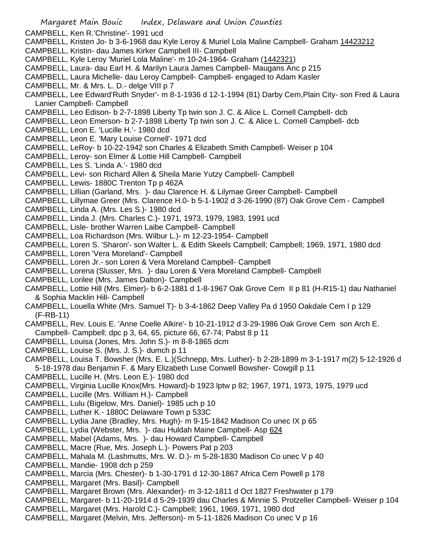Margaret Main Bouic Index, Delaware and Union Counties CAMPBELL, Ken R.'Christine'- 1991 ucd CAMPBELL, Kristen Jo- b 3-6-1968 dau Kyle Leroy & Muriel Lola Maline Campbell- Graham 14423212 CAMPBELL, Kristin- dau James Kirker Campbell III- Campbell CAMPBELL, Kyle Leroy 'Muriel Lola Maline'- m 10-24-1964- Graham (1442321) CAMPBELL, Laura- dau Earl H. & Marilyn Laura James Campbell- Maugans Anc p 215 CAMPBELL, Laura Michelle- dau Leroy Campbell- Campbell- engaged to Adam Kasler CAMPBELL, Mr. & Mrs. L. D.- delge VIII p 7 CAMPBELL, Lee Edward'Ruth Snyder'- m 8-1-1936 d 12-1-1994 (81) Darby Cem,Plain City- son Fred & Laura Lanier Campbell- Campbell CAMPBELL, Leo Edison- b 2-7-1898 Liberty Tp twin son J. C. & Alice L. Cornell Campbell- dcb CAMPBELL, Leon Emerson- b 2-7-1898 Liberty Tp twin son J. C. & Alice L. Cornell Campbell- dcb CAMPBELL, Leon E. 'Lucille H.'- 1980 dcd CAMPBELL, Leon E. 'Mary Louise Cornell'- 1971 dcd CAMPBELL, LeRoy- b 10-22-1942 son Charles & Elizabeth Smith Campbell- Weiser p 104 CAMPBELL, Leroy- son Elmer & Lottie Hill Campbell- Campbell CAMPBELL, Les S. 'Linda A.'- 1980 dcd CAMPBELL, Levi- son Richard Allen & Sheila Marie Yutzy Campbell- Campbell CAMPBELL, Lewis- 1880C Trenton Tp p 462A CAMPBELL, Lillian (Garland, Mrs. )- dau Clarence H. & Lilymae Greer Campbell- Campbell CAMPBELL, Lillymae Greer (Mrs. Clarence H.0- b 5-1-1902 d 3-26-1990 (87) Oak Grove Cem - Campbell CAMPBELL, Linda A. (Mrs. Les S.)- 1980 dcd CAMPBELL, Linda J. (Mrs. Charles C.)- 1971, 1973, 1979, 1983, 1991 ucd CAMPBELL, Lisle- brother Warren Laibe Campbell- Campbell CAMPBELL, Loa Richardson (Mrs. Wilbur L.)- m 12-23-1954- Campbell CAMPBELL, Loren S. 'Sharon'- son Walter L. & Edith Skeels Campbell; Campbell; 1969, 1971, 1980 dcd CAMPBELL, Loren 'Vera Moreland'- Campbell CAMPBELL, Loren Jr.- son Loren & Vera Moreland Campbell- Campbell CAMPBELL, Lorena (Slusser, Mrs. )- dau Loren & Vera Moreland Campbell- Campbell CAMPBELL, Lorilee (Mrs. James Dalton)- Campbell CAMPBELL, Lottie Hill (Mrs. Elmer)- b 6-2-1881 d 1-8-1967 Oak Grove Cem II p 81 (H-R15-1) dau Nathaniel & Sophia Macklin Hill- Campbell CAMPBELL, Louella White (Mrs. Samuel T)- b 3-4-1862 Deep Valley Pa d 1950 Oakdale Cem I p 129 (F-RB-11) CAMPBELL, Rev. Louis E. 'Anne Coelle Alkire'- b 10-21-1912 d 3-29-1986 Oak Grove Cem son Arch E. Campbell- Campbell; dpc p 3, 64, 65, picture 66, 67-74; Pabst 8 p 11 CAMPBELL, Louisa (Jones, Mrs. John S.)- m 8-8-1865 dcm CAMPBELL, Louise S. (Mrs. J. S.)- dumch p 11 CAMPBELL, Louisa T. Bowsher (Mrs. E. L.)(Schnepp, Mrs. Luther)- b 2-28-1899 m 3-1-1917 m(2) 5-12-1926 d 5-18-1978 dau Benjamin F. & Mary Elizabeth Luse Conwell Bowsher- Cowgill p 11 CAMPBELL, Lucille H. (Mrs. Leon E.)- 1980 dcd CAMPBELL, Virginia Lucille Knox(Mrs. Howard)-b 1923 lptw p 82; 1967, 1971, 1973, 1975, 1979 ucd CAMPBELL, Lucille (Mrs. William H.)- Campbell CAMPBELL, Lulu (Bigelow, Mrs. Daniel)- 1985 uch p 10 CAMPBELL, Luther K.- 1880C Delaware Town p 533C CAMPBELL, Lydia Jane (Bradley, Mrs. Hugh)- m 9-15-1842 Madison Co unec IX p 65

- CAMPBELL, Lydia (Webster, Mrs. )- dau Huldah Maine Campbell- Asp 624
- CAMPBELL, Mabel (Adams, Mrs. )- dau Howard Campbell- Campbell
- CAMPBELL, Macre (Rue, Mrs. Joseph L.)- Powers Pat p 203
- CAMPBELL, Mahala M. (Lashmutts, Mrs. W. D.)- m 5-28-1830 Madison Co unec V p 40
- CAMPBELL, Mandie- 1908 dch p 259
- CAMPBELL, Marcia (Mrs. Chester)- b 1-30-1791 d 12-30-1867 Africa Cem Powell p 178
- CAMPBELL, Margaret (Mrs. Basil)- Campbell
- CAMPBELL, Margaret Brown (Mrs. Alexander)- m 3-12-1811 d Oct 1827 Freshwater p 179
- CAMPBELL, Margaret- b 11-20-1914 d 5-29-1939 dau Charles & Minnie S. Protzeller Campbell- Weiser p 104
- CAMPBELL, Margaret (Mrs. Harold C.)- Campbell; 1961, 1969, 1971, 1980 dcd
- CAMPBELL, Margaret (Melvin, Mrs. Jefferson)- m 5-11-1826 Madison Co unec V p 16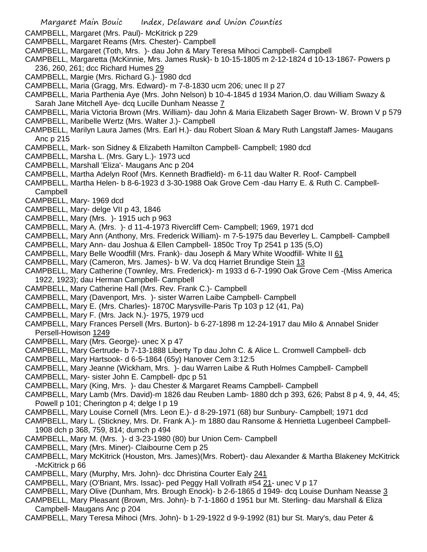- CAMPBELL, Margaret (Mrs. Paul)- McKitrick p 229
- CAMPBELL, Margaret Reams (Mrs. Chester)- Campbell
- CAMPBELL, Margaret (Toth, Mrs. )- dau John & Mary Teresa Mihoci Campbell- Campbell
- CAMPBELL, Margaretta (McKinnie, Mrs. James Rusk)- b 10-15-1805 m 2-12-1824 d 10-13-1867- Powers p 236, 260, 261; dcc Richard Humes 29
- CAMPBELL, Margie (Mrs. Richard G.)- 1980 dcd
- CAMPBELL, Maria (Gragg, Mrs. Edward)- m 7-8-1830 ucm 206; unec II p 27
- CAMPBELL, Maria Parthenia Aye (Mrs. John Nelson) b 10-4-1845 d 1934 Marion,O. dau William Swazy & Sarah Jane Mitchell Aye- dcq Lucille Dunham Neasse 7
- CAMPBELL, Maria Victoria Brown (Mrs. William)- dau John & Maria Elizabeth Sager Brown- W. Brown V p 579 CAMPBELL, Maribelle Wertz (Mrs. Walter J.)- Campbell
- CAMPBELL, Marilyn Laura James (Mrs. Earl H.)- dau Robert Sloan & Mary Ruth Langstaff James- Maugans Anc p 215
- CAMPBELL, Mark- son Sidney & Elizabeth Hamilton Campbell- Campbell; 1980 dcd
- CAMPBELL, Marsha L. (Mrs. Gary L.)- 1973 ucd
- CAMPBELL, Marshall 'Eliza'- Maugans Anc p 204
- CAMPBELL, Martha Adelyn Roof (Mrs. Kenneth Bradfield)- m 6-11 dau Walter R. Roof- Campbell
- CAMPBELL, Martha Helen- b 8-6-1923 d 3-30-1988 Oak Grove Cem -dau Harry E. & Ruth C. Campbell-Campbell
- CAMPBELL, Mary- 1969 dcd
- CAMPBELL, Mary- delge VII p 43, 1846
- CAMPBELL, Mary (Mrs. )- 1915 uch p 963
- CAMPBELL, Mary A. (Mrs. )- d 11-4-1973 Rivercliff Cem- Campbell; 1969, 1971 dcd
- CAMPBELL, Mary Ann (Anthony, Mrs. Frederick William)- m 7-5-1975 dau Beverley L. Campbell- Campbell
- CAMPBELL, Mary Ann- dau Joshua & Ellen Campbell- 1850c Troy Tp 2541 p 135 (5,O)
- CAMPBELL, Mary Belle Woodfill (Mrs. Frank)- dau Joseph & Mary White Woodfill- White II 61
- CAMPBELL, Mary (Cameron, Mrs. James)- b W. Va dcq Harriet Brundige Stein 13
- CAMPBELL, Mary Catherine (Townley, Mrs. Frederick)- m 1933 d 6-7-1990 Oak Grove Cem -(Miss America 1922, 1923); dau Herman Campbell- Campbell
- CAMPBELL, Mary Catherine Hall (Mrs. Rev. Frank C.)- Campbell
- CAMPBELL, Mary (Davenport, Mrs. )- sister Warren Laibe Campbell- Campbell
- CAMPBELL, Mary E. (Mrs. Charles)- 1870C Marysville-Paris Tp 103 p 12 (41, Pa)
- CAMPBELL, Mary F. (Mrs. Jack N.)- 1975, 1979 ucd
- CAMPBELL, Mary Frances Persell (Mrs. Burton)- b 6-27-1898 m 12-24-1917 dau Milo & Annabel Snider Persell-Howison 1249
- CAMPBELL, Mary (Mrs. George)- unec X p 47
- CAMPBELL, Mary Gertrude- b 7-13-1888 Liberty Tp dau John C. & Alice L. Cromwell Campbell- dcb
- CAMPBELL, Mary Hartsook- d 6-5-1864 (65y) Hanover Cem 3:12:5
- CAMPBELL, Mary Jeanne (Wickham, Mrs. )- dau Warren Laibe & Ruth Holmes Campbell- Campbell
- CAMPBELL, Mary- sister John E. Campbell- dpc p 51
- CAMPBELL, Mary (King, Mrs. )- dau Chester & Margaret Reams Campbell- Campbell
- CAMPBELL, Mary Lamb (Mrs. David)-m 1826 dau Reuben Lamb- 1880 dch p 393, 626; Pabst 8 p 4, 9, 44, 45; Powell p 101; Cherington p 4; delge I p 19
- CAMPBELL, Mary Louise Cornell (Mrs. Leon E.)- d 8-29-1971 (68) bur Sunbury- Campbell; 1971 dcd
- CAMPBELL, Mary L. (Stickney, Mrs. Dr. Frank A.)- m 1880 dau Ransome & Henrietta Lugenbeel Campbell-1908 dch p 368, 759, 814; dumch p 494
- CAMPBELL, Mary M. (Mrs. )- d 3-23-1980 (80) bur Union Cem- Campbell
- CAMPBELL, Mary (Mrs. Miner)- Claibourne Cem p 25
- CAMPBELL, Mary McKitrick (Houston, Mrs. James)(Mrs. Robert)- dau Alexander & Martha Blakeney McKitrick -McKitrick p 66
- CAMPBELL, Mary (Murphy, Mrs. John)- dcc Dhristina Courter Ealy 241
- CAMPBELL, Mary (O'Briant, Mrs. Issac)- ped Peggy Hall Vollrath #54 21- unec V p 17
- CAMPBELL, Mary Olive (Dunham, Mrs. Brough Enock)- b 2-6-1865 d 1949- dcq Louise Dunham Neasse 3
- CAMPBELL, Mary Pleasant (Brown, Mrs. John)- b 7-1-1860 d 1951 bur Mt. Sterling- dau Marshall & Eliza Campbell- Maugans Anc p 204
- CAMPBELL, Mary Teresa Mihoci (Mrs. John)- b 1-29-1922 d 9-9-1992 (81) bur St. Mary's, dau Peter &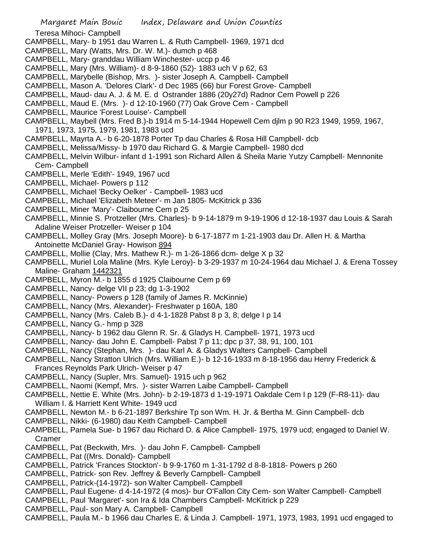Teresa Mihoci- Campbell

- CAMPBELL, Mary- b 1951 dau Warren L. & Ruth Campbell- 1969, 1971 dcd
- CAMPBELL, Mary (Watts, Mrs. Dr. W. M.)- dumch p 468
- CAMPBELL, Mary- granddau William Winchester- uccp p 46
- CAMPBELL, Mary (Mrs. William)- d 8-9-1860 (52)- 1883 uch V p 62, 63
- CAMPBELL, Marybelle (Bishop, Mrs. )- sister Joseph A. Campbell- Campbell
- CAMPBELL, Mason A. 'Delores Clark'- d Dec 1985 (66) bur Forest Grove- Campbell
- CAMPBELL, Maud- dau A. J. & M. E. d Ostrander 1886 (20y27d) Radnor Cem Powell p 226
- CAMPBELL, Maud E. (Mrs. )- d 12-10-1960 (77) Oak Grove Cem Campbell
- CAMPBELL, Maurice 'Forest Louise'- Campbell
- CAMPBELL, Maybell (Mrs. Fred B.)-b 1914 m 5-14-1944 Hopewell Cem djlm p 90 R23 1949, 1959, 1967, 1971, 1973, 1975, 1979, 1981, 1983 ucd
- CAMPBELL, Mayrta A.- b 6-20-1878 Porter Tp dau Charles & Rosa Hill Campbell- dcb
- CAMPBELL, Melissa/Missy- b 1970 dau Richard G. & Margie Campbell- 1980 dcd
- CAMPBELL, Melvin Wilbur- infant d 1-1991 son Richard Allen & Sheila Marie Yutzy Campbell- Mennonite Cem- Campbell
- CAMPBELL, Merle 'Edith'- 1949, 1967 ucd
- CAMPBELL, Michael- Powers p 112
- CAMPBELL, Michael 'Becky Oelker' Campbell- 1983 ucd
- CAMPBELL, Michael 'Elizabeth Meteer'- m Jan 1805- McKitrick p 336
- CAMPBELL, Miner 'Mary'- Claibourne Cem p 25
- CAMPBELL, Minnie S. Protzeller (Mrs. Charles)- b 9-14-1879 m 9-19-1906 d 12-18-1937 dau Louis & Sarah Adaline Weiser Protzeller- Weiser p 104
- CAMPBELL, Molley Gray (Mrs. Joseph Moore)- b 6-17-1877 m 1-21-1903 dau Dr. Allen H. & Martha Antoinette McDaniel Gray- Howison 894
- CAMPBELL, Mollie (Clay, Mrs. Mathew R.)- m 1-26-1866 dcm- delge X p 32
- CAMPBELL, Muriel Lola Maline (Mrs. Kyle Leroy)- b 3-29-1937 m 10-24-1964 dau Michael J. & Erena Tossey Maline- Graham 1442321
- CAMPBELL, Myron M.- b 1855 d 1925 Claibourne Cem p 69
- CAMPBELL, Nancy- delge VII p 23; dg 1-3-1902
- CAMPBELL, Nancy- Powers p 128 (family of James R. McKinnie)
- CAMPBELL, Nancy (Mrs. Alexander)- Freshwater p 160A, 180
- CAMPBELL, Nancy (Mrs. Caleb B.)- d 4-1-1828 Pabst 8 p 3, 8; delge I p 14
- CAMPBELL, Nancy G.- hmp p 328
- CAMPBELL, Nancy- b 1962 dau Glenn R. Sr. & Gladys H. Campbell- 1971, 1973 ucd
- CAMPBELL, Nancy- dau John E. Campbell- Pabst 7 p 11; dpc p 37, 38, 91, 100, 101
- CAMPBELL, Nancy (Stephan, Mrs. )- dau Karl A. & Gladys Walters Campbell- Campbell
- CAMPBELL, Nancy Stratton Ulrich (Mrs. William E.)- b 12-16-1933 m 8-18-1956 dau Henry Frederick & Frances Reynolds Park Ulrich- Weiser p 47
- CAMPBELL, Nancy (Supler, Mrs. Samuel)- 1915 uch p 962
- CAMPBELL, Naomi (Kempf, Mrs. )- sister Warren Laibe Campbell- Campbell
- CAMPBELL, Nettie E. White (Mrs. John)- b 2-19-1873 d 1-19-1971 Oakdale Cem I p 129 (F-R8-11)- dau William I. & Harriett Kent White- 1949 ucd
- CAMPBELL, Newton M.- b 6-21-1897 Berkshire Tp son Wm. H. Jr. & Bertha M. Ginn Campbell- dcb
- CAMPBELL, Nikki- (6-1980) dau Keith Campbell- Campbell
- CAMPBELL, Pamela Sue- b 1967 dau Richard D. & Alice Campbell- 1975, 1979 ucd; engaged to Daniel W. Cramer
- CAMPBELL, Pat (Beckwith, Mrs. )- dau John F. Campbell- Campbell
- CAMPBELL, Pat ((Mrs. Donald)- Campbell
- CAMPBELL, Patrick 'Frances Stockton'- b 9-9-1760 m 1-31-1792 d 8-8-1818- Powers p 260
- CAMPBELL, Patrick- son Rev. Jeffrey & Beverly Campbell- Campbell
- CAMPBELL, Patrick-(14-1972)- son Walter Campbell- Campbell
- CAMPBELL, Paul Eugene- d 4-14-1972 (4 mos)- bur O'Fallon City Cem- son Walter Campbell- Campbell
- CAMPBELL, Paul 'Margaret'- son Ira & Ida Chambers Campbell- McKitrick p 229
- CAMPBELL, Paul- son Mary A. Campbell- Campbell
- CAMPBELL, Paula M.- b 1966 dau Charles E. & Linda J. Campbell- 1971, 1973, 1983, 1991 ucd engaged to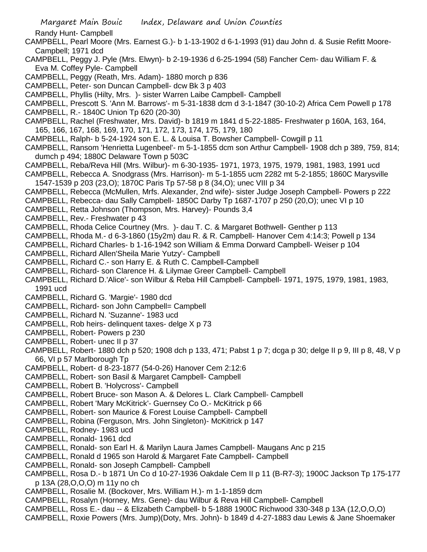Randy Hunt- Campbell

- CAMPBELL, Pearl Moore (Mrs. Earnest G.)- b 1-13-1902 d 6-1-1993 (91) dau John d. & Susie Refitt Moore-Campbell; 1971 dcd
- CAMPBELL, Peggy J. Pyle (Mrs. Elwyn)- b 2-19-1936 d 6-25-1994 (58) Fancher Cem- dau William F. & Eva M. Coffey Pyle- Campbell
- CAMPBELL, Peggy (Reath, Mrs. Adam)- 1880 morch p 836
- CAMPBELL, Peter- son Duncan Campbell- dcw Bk 3 p 403
- CAMPBELL, Phyllis (Hilty, Mrs. )- sister Warren Laibe Campbell- Campbell
- CAMPBELL, Prescott S. 'Ann M. Barrows'- m 5-31-1838 dcm d 3-1-1847 (30-10-2) Africa Cem Powell p 178
- CAMPBELL, R.- 1840C Union Tp 620 (20-30)
- CAMPBELL, Rachel (Freshwater, Mrs. David)- b 1819 m 1841 d 5-22-1885- Freshwater p 160A, 163, 164, 165, 166, 167, 168, 169, 170, 171, 172, 173, 174, 175, 179, 180
- CAMPBELL, Ralph- b 5-24-1924 son E. L. & Louisa T. Bowsher Campbell- Cowgill p 11
- CAMPBELL, Ransom 'Henrietta Lugenbeel'- m 5-1-1855 dcm son Arthur Campbell- 1908 dch p 389, 759, 814; dumch p 494; 1880C Delaware Town p 503C
- CAMPBELL, Reba/Reva Hill (Mrs. Wilbur)- m 6-30-1935- 1971, 1973, 1975, 1979, 1981, 1983, 1991 ucd
- CAMPBELL, Rebecca A. Snodgrass (Mrs. Harrison)- m 5-1-1855 ucm 2282 mt 5-2-1855; 1860C Marysville 1547-1539 p 203 (23,O); 1870C Paris Tp 57-58 p 8 (34,O); unec VIII p 34
- CAMPBELL, Rebecca (McMullen, Mrfs. Alexander, 2nd wife)- sister Judge Joseph Campbell- Powers p 222
- CAMPBELL, Rebecca- dau Sally Campbell- 1850C Darby Tp 1687-1707 p 250 (20,O); unec VI p 10
- CAMPBELL, Retta Johnson (Thompson, Mrs. Harvey)- Pounds 3,4
- CAMPBELL, Rev.- Freshwater p 43
- CAMPBELL, Rhoda Celice Courtney (Mrs. )- dau T. C. & Margaret Bothwell- Genther p 113
- CAMPBELL, Rhoda M.- d 6-3-1860 (15y2m) dau R. & R. Campbell- Hanover Cem 4:14:3; Powell p 134
- CAMPBELL, Richard Charles- b 1-16-1942 son William & Emma Dorward Campbell- Weiser p 104
- CAMPBELL, Richard Allen'Sheila Marie Yutzy'- Campbell
- CAMPBELL, Richard C.- son Harry E. & Ruth C. Campbell-Campbell
- CAMPBELL, Richard- son Clarence H. & Lilymae Greer Campbell- Campbell
- CAMPBELL, Richard D.'Alice'- son Wilbur & Reba Hill Campbell- Campbell- 1971, 1975, 1979, 1981, 1983, 1991 ucd
- CAMPBELL, Richard G. 'Margie'- 1980 dcd
- CAMPBELL, Richard- son John Campbell= Campbell
- CAMPBELL, Richard N. 'Suzanne'- 1983 ucd
- CAMPBELL, Rob heirs- delinquent taxes- delge X p 73
- CAMPBELL, Robert- Powers p 230
- CAMPBELL, Robert- unec II p 37
- CAMPBELL, Robert- 1880 dch p 520; 1908 dch p 133, 471; Pabst 1 p 7; dcga p 30; delge II p 9, III p 8, 48, V p 66, VI p 57 Marlborough Tp
- CAMPBELL, Robert- d 8-23-1877 (54-0-26) Hanover Cem 2:12:6
- CAMPBELL, Robert- son Basil & Margaret Campbell- Campbell
- CAMPBELL, Robert B. 'Holycross'- Campbell
- CAMPBELL, Robert Bruce- son Mason A. & Delores L. Clark Campbell- Campbell
- CAMPBELL, Robert 'Mary McKitrick'- Guernsey Co O.- McKitrick p 66
- CAMPBELL, Robert- son Maurice & Forest Louise Campbell- Campbell
- CAMPBELL, Robina (Ferguson, Mrs. John Singleton)- McKitrick p 147
- CAMPBELL, Rodney- 1983 ucd
- CAMPBELL, Ronald- 1961 dcd
- CAMPBELL, Ronald- son Earl H. & Marilyn Laura James Campbell- Maugans Anc p 215
- CAMPBELL, Ronald d 1965 son Harold & Margaret Fate Campbell- Campbell
- CAMPBELL, Ronald- son Joseph Campbell- Campbell
- CAMPBELL, Rosa D.- b 1871 Un Co d 10-27-1936 Oakdale Cem II p 11 (B-R7-3); 1900C Jackson Tp 175-177 p 13A (28,O,O,O) m 11y no ch
- CAMPBELL, Rosalie M. (Bockover, Mrs. William H.)- m 1-1-1859 dcm
- CAMPBELL, Rosalyn (Horney, Mrs. Gene)- dau Wilbur & Reva Hill Campbell- Campbell
- CAMPBELL, Ross E.- dau -- & Elizabeth Campbell- b 5-1888 1900C Richwood 330-348 p 13A (12,O,O,O)
- CAMPBELL, Roxie Powers (Mrs. Jump)(Doty, Mrs. John)- b 1849 d 4-27-1883 dau Lewis & Jane Shoemaker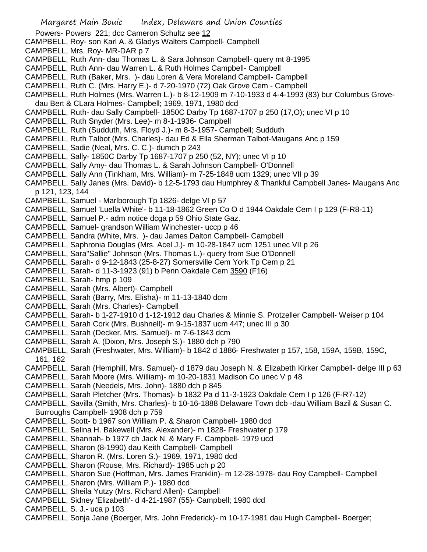Powers- Powers 221; dcc Cameron Schultz see 12

- CAMPBELL, Roy- son Karl A. & Gladys Walters Campbell- Campbell
- CAMPBELL, Mrs. Roy- MR-DAR p 7
- CAMPBELL, Ruth Ann- dau Thomas L. & Sara Johnson Campbell- query mt 8-1995
- CAMPBELL, Ruth Ann- dau Warren L. & Ruth Holmes Campbell- Campbell
- CAMPBELL, Ruth (Baker, Mrs. )- dau Loren & Vera Moreland Campbell- Campbell
- CAMPBELL, Ruth C. (Mrs. Harry E.)- d 7-20-1970 (72) Oak Grove Cem Campbell
- CAMPBELL, Ruth Holmes (Mrs. Warren L.)- b 8-12-1909 m 7-10-1933 d 4-4-1993 (83) bur Columbus Grove-
- dau Bert & CLara Holmes- Campbell; 1969, 1971, 1980 dcd
- CAMPBELL, Ruth- dau Sally Campbell- 1850C Darby Tp 1687-1707 p 250 (17,O); unec VI p 10
- CAMPBELL, Ruth Snyder (Mrs. Lee)- m 8-1-1936- Campbell
- CAMPBELL, Ruth (Sudduth, Mrs. Floyd J.)- m 8-3-1957- Campbell; Sudduth
- CAMPBELL, Ruth Talbot (Mrs. Charles)- dau Ed & Ella Sherman Talbot-Maugans Anc p 159
- CAMPBELL, Sadie (Neal, Mrs. C. C.)- dumch p 243
- CAMPBELL, Sally- 1850C Darby Tp 1687-1707 p 250 (52, NY); unec VI p 10
- CAMPBELL, Sally Amy- dau Thomas L. & Sarah Johnson Campbell- O'Donnell
- CAMPBELL, Sally Ann (Tinkham, Mrs. William)- m 7-25-1848 ucm 1329; unec VII p 39
- CAMPBELL, Sally Janes (Mrs. David)- b 12-5-1793 dau Humphrey & Thankful Campbell Janes- Maugans Anc p 121, 123, 144
- CAMPBELL, Samuel Marlborough Tp 1826- delge VI p 57
- CAMPBELL, Samuel 'Luella White'- b 11-18-1862 Green Co O d 1944 Oakdale Cem I p 129 (F-R8-11)
- CAMPBELL, Samuel P.- adm notice dcga p 59 Ohio State Gaz.
- CAMPBELL, Samuel- grandson William Winchester- uccp p 46
- CAMPBELL, Sandra (White, Mrs. )- dau James Dalton Campbell- Campbell
- CAMPBELL, Saphronia Douglas (Mrs. Acel J.)- m 10-28-1847 ucm 1251 unec VII p 26
- CAMPBELL, Sara"Sallie" Johnson (Mrs. Thomas L.)- query from Sue O'Donnell
- CAMPBELL, Sarah- d 9-12-1843 (25-8-27) Somersville Cem York Tp Cem p 21
- CAMPBELL, Sarah- d 11-3-1923 (91) b Penn Oakdale Cem 3590 (F16)
- CAMPBELL, Sarah- hmp p 109
- CAMPBELL, Sarah (Mrs. Albert)- Campbell
- CAMPBELL, Sarah (Barry, Mrs. Elisha)- m 11-13-1840 dcm
- CAMPBELL, Sarah (Mrs. Charles)- Campbell
- CAMPBELL, Sarah- b 1-27-1910 d 1-12-1912 dau Charles & Minnie S. Protzeller Campbell- Weiser p 104
- CAMPBELL, Sarah Cork (Mrs. Bushnell)- m 9-15-1837 ucm 447; unec III p 30
- CAMPBELL, Sarah (Decker, Mrs. Samuel)- m 7-6-1843 dcm
- CAMPBELL, Sarah A. (Dixon, Mrs. Joseph S.)- 1880 dch p 790
- CAMPBELL, Sarah (Freshwater, Mrs. William)- b 1842 d 1886- Freshwater p 157, 158, 159A, 159B, 159C, 161, 162
- CAMPBELL, Sarah (Hemphill, Mrs. Samuel)- d 1879 dau Joseph N. & Elizabeth Kirker Campbell- delge III p 63
- CAMPBELL, Sarah Moore (Mrs. William)- m 10-20-1831 Madison Co unec V p 48
- CAMPBELL, Sarah (Needels, Mrs. John)- 1880 dch p 845
- CAMPBELL, Sarah Pletcher (Mrs. Thomas)- b 1832 Pa d 11-3-1923 Oakdale Cem I p 126 (F-R7-12)
- CAMPBELL, Savilla (Smith, Mrs. Charles)- b 10-16-1888 Delaware Town dcb -dau William Bazil & Susan C. Burroughs Campbell- 1908 dch p 759
- CAMPBELL, Scott- b 1967 son William P. & Sharon Campbell- 1980 dcd
- CAMPBELL, Selina H. Bakewell (Mrs. Alexander)- m 1828- Freshwater p 179
- CAMPBELL, Shannah- b 1977 ch Jack N. & Mary F. Campbell- 1979 ucd
- CAMPBELL, Sharon (8-1990) dau Keith Campbell- Campbell
- CAMPBELL, Sharon R. (Mrs. Loren S.)- 1969, 1971, 1980 dcd
- CAMPBELL, Sharon (Rouse, Mrs. Richard)- 1985 uch p 20
- CAMPBELL, Sharon Sue (Hoffman, Mrs. James Franklin)- m 12-28-1978- dau Roy Campbell- Campbell
- CAMPBELL, Sharon (Mrs. William P.)- 1980 dcd
- CAMPBELL, Sheila Yutzy (Mrs. Richard Allen)- Campbell
- CAMPBELL, Sidney 'Elizabeth'- d 4-21-1987 (55)- Campbell; 1980 dcd
- CAMPBELL, S. J.- uca p 103
- CAMPBELL, Sonja Jane (Boerger, Mrs. John Frederick)- m 10-17-1981 dau Hugh Campbell- Boerger;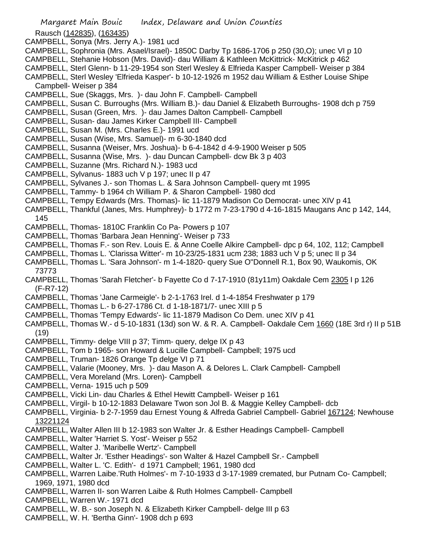Rausch (142835), (163435)

- CAMPBELL, Sonya (Mrs. Jerry A.)- 1981 ucd
- CAMPBELL, Sophronia (Mrs. Asael/Israel)- 1850C Darby Tp 1686-1706 p 250 (30,O); unec VI p 10
- CAMPBELL, Stehanie Hobson (Mrs. David)- dau William & Kathleen McKittrick- McKitrick p 462
- CAMPBELL, Sterl Glenn- b 11-29-1954 son Sterl Wesley & Elfrieda Kasper Campbell- Weiser p 384
- CAMPBELL, Sterl Wesley 'Elfrieda Kasper'- b 10-12-1926 m 1952 dau William & Esther Louise Shipe Campbell- Weiser p 384
- CAMPBELL, Sue (Skaggs, Mrs. )- dau John F. Campbell- Campbell
- CAMPBELL, Susan C. Burroughs (Mrs. William B.)- dau Daniel & Elizabeth Burroughs- 1908 dch p 759
- CAMPBELL, Susan (Green, Mrs. )- dau James Dalton Campbell- Campbell
- CAMPBELL, Susan- dau James Kirker Campbell III- Campbell
- CAMPBELL, Susan M. (Mrs. Charles E.)- 1991 ucd
- CAMPBELL, Susan (Wise, Mrs. Samuel)- m 6-30-1840 dcd
- CAMPBELL, Susanna (Weiser, Mrs. Joshua)- b 6-4-1842 d 4-9-1900 Weiser p 505
- CAMPBELL, Susanna (Wise, Mrs. )- dau Duncan Campbell- dcw Bk 3 p 403
- CAMPBELL, Suzanne (Mrs. Richard N.)- 1983 ucd
- CAMPBELL, Sylvanus- 1883 uch V p 197; unec II p 47
- CAMPBELL, Sylvanes J.- son Thomas L. & Sara Johnson Campbell- query mt 1995
- CAMPBELL, Tammy- b 1964 ch William P. & Sharon Campbell- 1980 dcd
- CAMPBELL, Tempy Edwards (Mrs. Thomas)- lic 11-1879 Madison Co Democrat- unec XIV p 41
- CAMPBELL, Thankful (Janes, Mrs. Humphrey)- b 1772 m 7-23-1790 d 4-16-1815 Maugans Anc p 142, 144, 145
- CAMPBELL, Thomas- 1810C Franklin Co Pa- Powers p 107
- CAMPBELL, Thomas 'Barbara Jean Henning'- Weiser p 733
- CAMPBELL, Thomas F.- son Rev. Louis E. & Anne Coelle Alkire Campbell- dpc p 64, 102, 112; Campbell
- CAMPBELL, Thomas L. 'Clarissa Witter'- m 10-23/25-1831 ucm 238; 1883 uch V p 5; unec II p 34
- CAMPBELL, Thomas L. 'Sara Johnson'- m 1-4-1820- query Sue O"Donnell R.1, Box 90, Waukomis, OK 73773
- CAMPBELL, Thomas 'Sarah Fletcher'- b Fayette Co d 7-17-1910 (81y11m) Oakdale Cem 2305 I p 126 (F-R7-12)
- CAMPBELL, Thomas 'Jane Carmeigle'- b 2-1-1763 Irel. d 1-4-1854 Freshwater p 179
- CAMPBELL, Thomas L.- b 6-27-1786 Ct. d 1-18-1871/7- unec XIII p 5
- CAMPBELL, Thomas 'Tempy Edwards'- lic 11-1879 Madison Co Dem. unec XIV p 41
- CAMPBELL, Thomas W.- d 5-10-1831 (13d) son W. & R. A. Campbell- Oakdale Cem 1660 (18E 3rd r) II p 51B (19)
- CAMPBELL, Timmy- delge VIII p 37; Timm- query, delge IX p 43
- CAMPBELL, Tom b 1965- son Howard & Lucille Campbell- Campbell; 1975 ucd
- CAMPBELL, Truman- 1826 Orange Tp delge VI p 71
- CAMPBELL, Valarie (Mooney, Mrs. )- dau Mason A. & Delores L. Clark Campbell- Campbell
- CAMPBELL, Vera Moreland (Mrs. Loren)- Campbell
- CAMPBELL, Verna- 1915 uch p 509
- CAMPBELL, Vicki Lin- dau Charles & Ethel Hewitt Campbell- Weiser p 161
- CAMPBELL, Virgil- b 10-12-1883 Delaware Twon son Jol B. & Maggie Kelley Campbell- dcb
- CAMPBELL, Virginia- b 2-7-1959 dau Ernest Young & Alfreda Gabriel Campbell- Gabriel 167124; Newhouse 13221124
- CAMPBELL, Walter Allen III b 12-1983 son Walter Jr. & Esther Headings Campbell- Campbell
- CAMPBELL, Walter 'Harriet S. Yost'- Weiser p 552
- CAMPBELL, Walter J. 'Maribelle Wertz'- Campbell
- CAMPBELL, Walter Jr. 'Esther Headings'- son Walter & Hazel Campbell Sr.- Campbell
- CAMPBELL, Walter L. 'C. Edith'- d 1971 Campbell; 1961, 1980 dcd
- CAMPBELL, Warren Laibe.'Ruth Holmes'- m 7-10-1933 d 3-17-1989 cremated, bur Putnam Co- Campbell; 1969, 1971, 1980 dcd
- CAMPBELL, Warren II- son Warren Laibe & Ruth Holmes Campbell- Campbell
- CAMPBELL, Warren W.- 1971 dcd
- CAMPBELL, W. B.- son Joseph N. & Elizabeth Kirker Campbell- delge III p 63
- CAMPBELL, W. H. 'Bertha Ginn'- 1908 dch p 693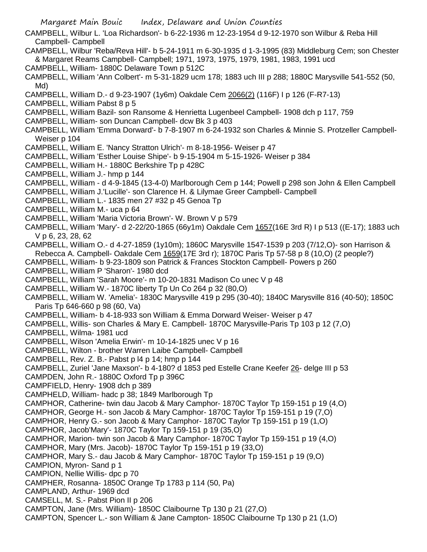Margaret Main Bouic Index, Delaware and Union Counties CAMPBELL, Wilbur L. 'Loa Richardson'- b 6-22-1936 m 12-23-1954 d 9-12-1970 son Wilbur & Reba Hill Campbell- Campbell CAMPBELL, Wilbur 'Reba/Reva Hill'- b 5-24-1911 m 6-30-1935 d 1-3-1995 (83) Middleburg Cem; son Chester & Margaret Reams Campbell- Campbell; 1971, 1973, 1975, 1979, 1981, 1983, 1991 ucd CAMPBELL, William- 1880C Delaware Town p 512C CAMPBELL, William 'Ann Colbert'- m 5-31-1829 ucm 178; 1883 uch III p 288; 1880C Marysville 541-552 (50, Md) CAMPBELL, William D.- d 9-23-1907 (1y6m) Oakdale Cem 2066(2) (116F) I p 126 (F-R7-13) CAMPBELL, William Pabst 8 p 5 CAMPBELL, William Bazil- son Ransome & Henrietta Lugenbeel Campbell- 1908 dch p 117, 759 CAMPBELL, William- son Duncan Campbell- dcw Bk 3 p 403 CAMPBELL, William 'Emma Dorward'- b 7-8-1907 m 6-24-1932 son Charles & Minnie S. Protzeller Campbell-Weiser p 104 CAMPBELL, William E. 'Nancy Stratton Ulrich'- m 8-18-1956- Weiser p 47 CAMPBELL, William 'Esther Louise Shipe'- b 9-15-1904 m 5-15-1926- Weiser p 384 CAMPBELL, William H.- 1880C Berkshire Tp p 428C CAMPBELL, William J.- hmp p 144 CAMPBELL, William - d 4-9-1845 (13-4-0) Marlborough Cem p 144; Powell p 298 son John & Ellen Campbell CAMPBELL, William J.'Lucille'- son Clarence H. & Lilymae Greer Campbell- Campbell CAMPBELL, William L.- 1835 men 27 #32 p 45 Genoa Tp CAMPBELL, William M.- uca p 64 CAMPBELL, William 'Maria Victoria Brown'- W. Brown V p 579 CAMPBELL, William 'Mary'- d 2-22/20-1865 (66y1m) Oakdale Cem 1657(16E 3rd R) I p 513 ((E-17); 1883 uch V p 6, 23, 28, 62 CAMPBELL, William O.- d 4-27-1859 (1y10m); 1860C Marysville 1547-1539 p 203 (7/12,O)- son Harrison & Rebecca A. Campbell- Oakdale Cem 1659(17E 3rd r); 1870C Paris Tp 57-58 p 8 (10,O) (2 people?) CAMPBELL, William- b 9-23-1809 son Patrick & Frances Stockton Campbell- Powers p 260 CAMPBELL, William P 'Sharon'- 1980 dcd CAMPBELL, William 'Sarah Moore'- m 10-20-1831 Madison Co unec V p 48 CAMPBELL, William W.- 1870C liberty Tp Un Co 264 p 32 (80,O) CAMPBELL, William W. 'Amelia'- 1830C Marysville 419 p 295 (30-40); 1840C Marysville 816 (40-50); 1850C Paris Tp 646-660 p 98 (60, Va) CAMPBELL, William- b 4-18-933 son William & Emma Dorward Weiser- Weiser p 47 CAMPBELL, Willis- son Charles & Mary E. Campbell- 1870C Marysville-Paris Tp 103 p 12 (7,O) CAMPBELL, Wilma- 1981 ucd CAMPBELL, Wilson 'Amelia Erwin'- m 10-14-1825 unec V p 16 CAMPBELL, Wilton - brother Warren Laibe Campbell- Campbell CAMPBELL, Rev. Z. B.- Pabst p l4 p 14; hmp p 144 CAMPBELL, Zuriel 'Jane Maxson'- b 4-180? d 1853 ped Estelle Crane Keefer 26- delge III p 53 CAMPDEN, John R.- 1880C Oxford Tp p 396C CAMPFIELD, Henry- 1908 dch p 389 CAMPHELD, William- hadc p 38; 1849 Marlborough Tp CAMPHOR, Catherine- twin dau Jacob & Mary Camphor- 1870C Taylor Tp 159-151 p 19 (4,O) CAMPHOR, George H.- son Jacob & Mary Camphor- 1870C Taylor Tp 159-151 p 19 (7,O) CAMPHOR, Henry G.- son Jacob & Mary Camphor- 1870C Taylor Tp 159-151 p 19 (1,O) CAMPHOR, Jacob'Mary'- 1870C Taylor Tp 159-151 p 19 (35,O) CAMPHOR, Marion- twin son Jacob & Mary Camphor- 1870C Taylor Tp 159-151 p 19 (4,O) CAMPHOR, Mary (Mrs. Jacob)- 1870C Taylor Tp 159-151 p 19 (33,O) CAMPHOR, Mary S.- dau Jacob & Mary Camphor- 1870C Taylor Tp 159-151 p 19 (9,O) CAMPION, Myron- Sand p 1 CAMPION, Nellie Willis- dpc p 70 CAMPHER, Rosanna- 1850C Orange Tp 1783 p 114 (50, Pa) CAMPLAND, Arthur- 1969 dcd CAMSELL, M. S.- Pabst Pion II p 206 CAMPTON, Jane (Mrs. William)- 1850C Claibourne Tp 130 p 21 (27,O) CAMPTON, Spencer L.- son William & Jane Campton- 1850C Claibourne Tp 130 p 21 (1,O)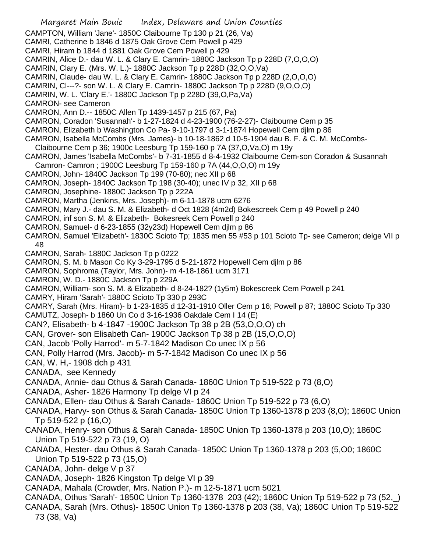- Margaret Main Bouic Index, Delaware and Union Counties CAMPTON, William 'Jane'- 1850C Claibourne Tp 130 p 21 (26, Va) CAMRI, Catherine b 1846 d 1875 Oak Grove Cem Powell p 429 CAMRI, Hiram b 1844 d 1881 Oak Grove Cem Powell p 429 CAMRIN, Alice D.- dau W. L. & Clary E. Camrin- 1880C Jackson Tp p 228D (7,O,O,O) CAMRIN, Clary E. (Mrs. W. L.)- 1880C Jackson Tp p 228D (32,O,O,Va) CAMRIN, Claude- dau W. L. & Clary E. Camrin- 1880C Jackson Tp p 228D (2,O,O,O) CAMRIN, Cl---?- son W. L. & Clary E. Camrin- 1880C Jackson Tp p 228D (9,O,O,O) CAMRIN, W. L. 'Clary E.'- 1880C Jackson Tp p 228D (39,O,Pa,Va) CAMRON- see Cameron CAMRON, Ann D.-- 1850C Allen Tp 1439-1457 p 215 (67, Pa) CAMRON, Coradon 'Susannah'- b 1-27-1824 d 4-23-1900 (76-2-27)- Claibourne Cem p 35 CAMRON, Elizabeth b Washington Co Pa- 9-10-1797 d 3-1-1874 Hopewell Cem djlm p 86 CAMRON, Isabella McCombs (Mrs. James)- b 10-18-1862 d 10-5-1904 dau B. F. & C. M. McCombs-Claibourne Cem p 36; 1900c Leesburg Tp 159-160 p 7A (37,O,Va,O) m 19y CAMRON, James 'Isabella McCombs'- b 7-31-1855 d 8-4-1932 Claibourne Cem-son Coradon & Susannah Camron- Camron ; 1900C Leesburg Tp 159-160 p 7A (44,O,O,O) m 19y CAMRON, John- 1840C Jackson Tp 199 (70-80); nec XII p 68 CAMRON, Joseph- 1840C Jackson Tp 198 (30-40); unec IV p 32, XII p 68 CAMRON, Josephine- 1880C Jackson Tp p 222A CAMRON, Martha (Jenkins, Mrs. Joseph)- m 6-11-1878 ucm 6276 CAMRON, Mary J.- dau S. M. & Elizabeth- d Oct 1828 (4m2d) Bokescreek Cem p 49 Powell p 240 CAMRON, inf son S. M. & Elizabeth- Bokesreek Cem Powell p 240 CAMRON, Samuel- d 6-23-1855 (32y23d) Hopewell Cem djlm p 86 CAMRON, Samuel 'Elizabeth'- 1830C Scioto Tp; 1835 men 55 #53 p 101 Scioto Tp- see Cameron; delge VII p 48 CAMRON, Sarah- 1880C Jackson Tp p 0222 CAMRON, S. M. b Mason Co Ky 3-29-1795 d 5-21-1872 Hopewell Cem djlm p 86 CAMRON, Sophroma (Taylor, Mrs. John)- m 4-18-1861 ucm 3171 CAMRON, W. D.- 1880C Jackson Tp p 229A CAMRON, William- son S. M. & Elizabeth- d 8-24-182? (1y5m) Bokescreek Cem Powell p 241 CAMRY, Hiram 'Sarah'- 1880C Scioto Tp 330 p 293C CAMRY, Sarah (Mrs. Hiram)- b 1-23-1835 d 12-31-1910 Oller Cem p 16; Powell p 87; 1880C Scioto Tp 330 CAMUTZ, Joseph- b 1860 Un Co d 3-16-1936 Oakdale Cem I 14 (E) CAN?, Elisabeth- b 4-1847 -1900C Jackson Tp 38 p 2B (53,O,O,O) ch CAN, Grover- son Elisabeth Can- 1900C Jackson Tp 38 p 2B (15,O,O,O) CAN, Jacob 'Polly Harrod'- m 5-7-1842 Madison Co unec IX p 56 CAN, Polly Harrod (Mrs. Jacob)- m 5-7-1842 Madison Co unec IX p 56 CAN, W. H,- 1908 dch p 431 CANADA, see Kennedy CANADA, Annie- dau Othus & Sarah Canada- 1860C Union Tp 519-522 p 73 (8,O) CANADA, Asher- 1826 Harmony Tp delge VI p 24 CANADA, Ellen- dau Othus & Sarah Canada- 1860C Union Tp 519-522 p 73 (6,O) CANADA, Harvy- son Othus & Sarah Canada- 1850C Union Tp 1360-1378 p 203 (8,O); 1860C Union Tp 519-522 p (16,O) CANADA, Henry- son Othus & Sarah Canada- 1850C Union Tp 1360-1378 p 203 (10,O); 1860C Union Tp 519-522 p 73 (19, O) CANADA, Hester- dau Othus & Sarah Canada- 1850C Union Tp 1360-1378 p 203 (5,O0; 1860C Union Tp 519-522 p 73 (15,O) CANADA, John- delge V p 37 CANADA, Joseph- 1826 Kingston Tp delge VI p 39 CANADA, Mahala (Crowder, Mrs. Nation P.)- m 12-5-1871 ucm 5021 CANADA, Othus 'Sarah'- 1850C Union Tp 1360-1378 203 (42); 1860C Union Tp 519-522 p 73 (52,\_)
- CANADA, Sarah (Mrs. Othus)- 1850C Union Tp 1360-1378 p 203 (38, Va); 1860C Union Tp 519-522 73 (38, Va)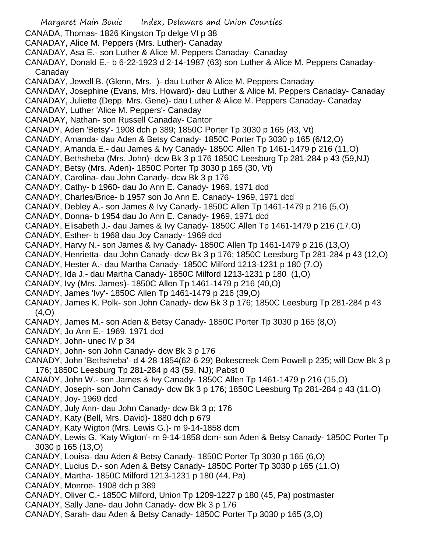- Margaret Main Bouic Index, Delaware and Union Counties CANADA, Thomas- 1826 Kingston Tp delge VI p 38 CANADAY, Alice M. Peppers (Mrs. Luther)- Canaday CANADAY, Asa E.- son Luther & Alice M. Peppers Canaday- Canaday CANADAY, Donald E.- b 6-22-1923 d 2-14-1987 (63) son Luther & Alice M. Peppers Canaday-Canaday CANADAY, Jewell B. (Glenn, Mrs. )- dau Luther & Alice M. Peppers Canaday CANADAY, Josephine (Evans, Mrs. Howard)- dau Luther & Alice M. Peppers Canaday- Canaday CANADAY, Juliette (Depp, Mrs. Gene)- dau Luther & Alice M. Peppers Canaday- Canaday CANADAY, Luther 'Alice M. Peppers'- Canaday CANADAY, Nathan- son Russell Canaday- Cantor CANADY, Aden 'Betsy'- 1908 dch p 389; 1850C Porter Tp 3030 p 165 (43, Vt) CANADY, Amanda- dau Aden & Betsy Canady- 1850C Porter Tp 3030 p 165 (6/12,O) CANADY, Amanda E.- dau James & Ivy Canady- 1850C Allen Tp 1461-1479 p 216 (11,O) CANADY, Bethsheba (Mrs. John)- dcw Bk 3 p 176 1850C Leesburg Tp 281-284 p 43 (59,NJ) CANADY, Betsy (Mrs. Aden)- 1850C Porter Tp 3030 p 165 (30, Vt) CANADY, Carolina- dau John Canady- dcw Bk 3 p 176 CANADY, Cathy- b 1960- dau Jo Ann E. Canady- 1969, 1971 dcd CANADY, Charles/Brice- b 1957 son Jo Ann E. Canady- 1969, 1971 dcd CANADY, Debley A.- son James & Ivy Canady- 1850C Allen Tp 1461-1479 p 216 (5,O) CANADY, Donna- b 1954 dau Jo Ann E. Canady- 1969, 1971 dcd CANADY, Elisabeth J.- dau James & Ivy Canady- 1850C Allen Tp 1461-1479 p 216 (17,O) CANADY, Esther- b 1968 dau Joy Canady- 1969 dcd CANADY, Harvy N.- son James & Ivy Canady- 1850C Allen Tp 1461-1479 p 216 (13,O) CANADY, Henrietta- dau John Canady- dcw Bk 3 p 176; 1850C Leesburg Tp 281-284 p 43 (12,O) CANADY, Hester A.- dau Martha Canady- 1850C Milford 1213-1231 p 180 (7,O) CANADY, Ida J.- dau Martha Canady- 1850C Milford 1213-1231 p 180 (1,O) CANADY, Ivy (Mrs. James)- 1850C Allen Tp 1461-1479 p 216 (40,O) CANADY, James 'Ivy'- 1850C Allen Tp 1461-1479 p 216 (39,O) CANADY, James K. Polk- son John Canady- dcw Bk 3 p 176; 1850C Leesburg Tp 281-284 p 43  $(4, 0)$ CANADY, James M.- son Aden & Betsy Canady- 1850C Porter Tp 3030 p 165 (8,O) CANADY, Jo Ann E.- 1969, 1971 dcd CANADY, John- unec IV p 34 CANADY, John- son John Canady- dcw Bk 3 p 176 CANADY, John 'Bethsheba'- d 4-28-1854(62-6-29) Bokescreek Cem Powell p 235; will Dcw Bk 3 p 176; 1850C Leesburg Tp 281-284 p 43 (59, NJ); Pabst 0 CANADY, John W.- son James & Ivy Canady- 1850C Allen Tp 1461-1479 p 216 (15,O) CANADY, Joseph- son John Canady- dcw Bk 3 p 176; 1850C Leesburg Tp 281-284 p 43 (11,O) CANADY, Joy- 1969 dcd
- CANADY, July Ann- dau John Canady- dcw Bk 3 p; 176
- CANADY, Katy (Bell, Mrs. David)- 1880 dch p 679
- CANADY, Katy Wigton (Mrs. Lewis G.)- m 9-14-1858 dcm
- CANADY, Lewis G. 'Katy Wigton'- m 9-14-1858 dcm- son Aden & Betsy Canady- 1850C Porter Tp 3030 p 165 (13,O)
- CANADY, Louisa- dau Aden & Betsy Canady- 1850C Porter Tp 3030 p 165 (6,O)
- CANADY, Lucius D.- son Aden & Betsy Canady- 1850C Porter Tp 3030 p 165 (11,O)
- CANADY, Martha- 1850C Milford 1213-1231 p 180 (44, Pa)
- CANADY, Monroe- 1908 dch p 389
- CANADY, Oliver C.- 1850C Milford, Union Tp 1209-1227 p 180 (45, Pa) postmaster
- CANADY, Sally Jane- dau John Canady- dcw Bk 3 p 176
- CANADY, Sarah- dau Aden & Betsy Canady- 1850C Porter Tp 3030 p 165 (3,O)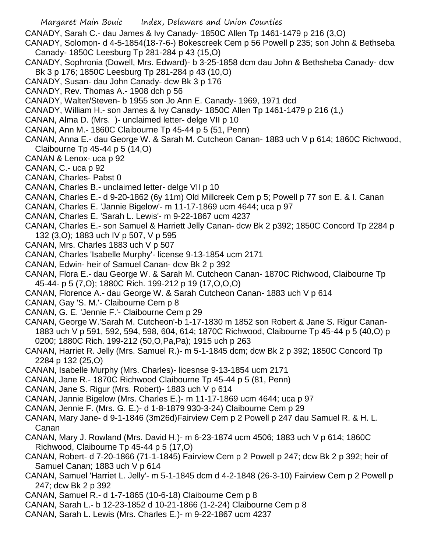- Margaret Main Bouic Index, Delaware and Union Counties
- CANADY, Sarah C.- dau James & Ivy Canady- 1850C Allen Tp 1461-1479 p 216 (3,O)
- CANADY, Solomon- d 4-5-1854(18-7-6-) Bokescreek Cem p 56 Powell p 235; son John & Bethseba Canady- 1850C Leesburg Tp 281-284 p 43 (15,O)
- CANADY, Sophronia (Dowell, Mrs. Edward)- b 3-25-1858 dcm dau John & Bethsheba Canady- dcw Bk 3 p 176; 1850C Leesburg Tp 281-284 p 43 (10,O)
- CANADY, Susan- dau John Canady- dcw Bk 3 p 176
- CANADY, Rev. Thomas A.- 1908 dch p 56
- CANADY, Walter/Steven- b 1955 son Jo Ann E. Canady- 1969, 1971 dcd
- CANADY, William H.- son James & Ivy Canady- 1850C Allen Tp 1461-1479 p 216 (1,)
- CANAN, Alma D. (Mrs. )- unclaimed letter- delge VII p 10
- CANAN, Ann M.- 1860C Claibourne Tp 45-44 p 5 (51, Penn)
- CANAN, Anna E.- dau George W. & Sarah M. Cutcheon Canan- 1883 uch V p 614; 1860C Richwood, Claibourne Tp 45-44 p 5 (14,O)
- CANAN & Lenox- uca p 92
- CANAN, C.- uca p 92
- CANAN, Charles- Pabst 0
- CANAN, Charles B.- unclaimed letter- delge VII p 10
- CANAN, Charles E.- d 9-20-1862 (6y 11m) Old Millcreek Cem p 5; Powell p 77 son E. & I. Canan
- CANAN, Charles E. 'Jannie Bigelow'- m 11-17-1869 ucm 4644; uca p 97
- CANAN, Charles E. 'Sarah L. Lewis'- m 9-22-1867 ucm 4237
- CANAN, Charles E.- son Samuel & Harriett Jelly Canan- dcw Bk 2 p392; 1850C Concord Tp 2284 p 132 (3,O); 1883 uch IV p 507, V p 595
- CANAN, Mrs. Charles 1883 uch V p 507
- CANAN, Charles 'Isabelle Murphy'- license 9-13-1854 ucm 2171
- CANAN, Edwin- heir of Samuel Canan- dcw Bk 2 p 392
- CANAN, Flora E.- dau George W. & Sarah M. Cutcheon Canan- 1870C Richwood, Claibourne Tp 45-44- p 5 (7,O); 1880C Rich. 199-212 p 19 (17,O,O,O)
- CANAN, Florence A.- dau George W. & Sarah Cutcheon Canan- 1883 uch V p 614
- CANAN, Gay 'S. M.'- Claibourne Cem p 8
- CANAN, G. E. 'Jennie F.'- Claibourne Cem p 29
- CANAN, George W.'Sarah M. Cutcheon'-b 1-17-1830 m 1852 son Robert & Jane S. Rigur Canan-1883 uch V p 591, 592, 594, 598, 604, 614; 1870C Richwood, Claibourne Tp 45-44 p 5 (40,O) p 0200; 1880C Rich. 199-212 (50,O,Pa,Pa); 1915 uch p 263
- CANAN, Harriet R. Jelly (Mrs. Samuel R.)- m 5-1-1845 dcm; dcw Bk 2 p 392; 1850C Concord Tp 2284 p 132 (25,O)
- CANAN, Isabelle Murphy (Mrs. Charles)- licesnse 9-13-1854 ucm 2171
- CANAN, Jane R.- 1870C Richwood Claibourne Tp 45-44 p 5 (81, Penn)
- CANAN, Jane S. Rigur (Mrs. Robert)- 1883 uch V p 614
- CANAN, Jannie Bigelow (Mrs. Charles E.)- m 11-17-1869 ucm 4644; uca p 97
- CANAN, Jennie F. (Mrs. G. E.)- d 1-8-1879 930-3-24) Claibourne Cem p 29
- CANAN, Mary Jane- d 9-1-1846 (3m26d)Fairview Cem p 2 Powell p 247 dau Samuel R. & H. L. Canan
- CANAN, Mary J. Rowland (Mrs. David H.)- m 6-23-1874 ucm 4506; 1883 uch V p 614; 1860C Richwood, Claibourne Tp 45-44 p 5 (17,O)
- CANAN, Robert- d 7-20-1866 (71-1-1845) Fairview Cem p 2 Powell p 247; dcw Bk 2 p 392; heir of Samuel Canan; 1883 uch V p 614
- CANAN, Samuel 'Harriet L. Jelly'- m 5-1-1845 dcm d 4-2-1848 (26-3-10) Fairview Cem p 2 Powell p 247; dcw Bk 2 p 392
- CANAN, Samuel R.- d 1-7-1865 (10-6-18) Claibourne Cem p 8
- CANAN, Sarah L.- b 12-23-1852 d 10-21-1866 (1-2-24) Claibourne Cem p 8
- CANAN, Sarah L. Lewis (Mrs. Charles E.)- m 9-22-1867 ucm 4237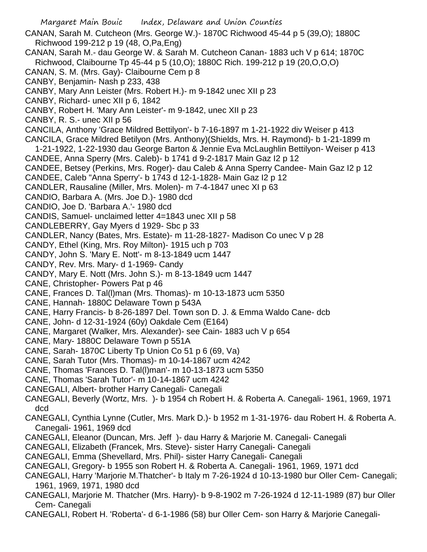Margaret Main Bouic Index, Delaware and Union Counties CANAN, Sarah M. Cutcheon (Mrs. George W.)- 1870C Richwood 45-44 p 5 (39,O); 1880C Richwood 199-212 p 19 (48, O,Pa,Eng) CANAN, Sarah M.- dau George W. & Sarah M. Cutcheon Canan- 1883 uch V p 614; 1870C Richwood, Claibourne Tp 45-44 p 5 (10,O); 1880C Rich. 199-212 p 19 (20,O,O,O) CANAN, S. M. (Mrs. Gay)- Claibourne Cem p 8 CANBY, Benjamin- Nash p 233, 438 CANBY, Mary Ann Leister (Mrs. Robert H.)- m 9-1842 unec XII p 23 CANBY, Richard- unec XII p 6, 1842 CANBY, Robert H. 'Mary Ann Leister'- m 9-1842, unec XII p 23 CANBY, R. S.- unec XII p 56 CANCILA, Anthony 'Grace Mildred Bettilyon'- b 7-16-1897 m 1-21-1922 div Weiser p 413 CANCILA, Grace Mildred Betilyon (Mrs. Anthony)(Shields, Mrs. H. Raymond)- b 1-21-1899 m 1-21-1922, 1-22-1930 dau George Barton & Jennie Eva McLaughlin Bettilyon- Weiser p 413 CANDEE, Anna Sperry (Mrs. Caleb)- b 1741 d 9-2-1817 Main Gaz I2 p 12 CANDEE, Betsey (Perkins, Mrs. Roger)- dau Caleb & Anna Sperry Candee- Main Gaz I2 p 12 CANDEE, Caleb "Anna Sperry'- b 1743 d 12-1-1828- Main Gaz I2 p 12 CANDLER, Rausaline (Miller, Mrs. Molen)- m 7-4-1847 unec XI p 63 CANDIO, Barbara A. (Mrs. Joe D.)- 1980 dcd CANDIO, Joe D. 'Barbara A.'- 1980 dcd CANDIS, Samuel- unclaimed letter 4=1843 unec XII p 58 CANDLEBERRY, Gay Myers d 1929- Sbc p 33 CANDLER, Nancy (Bates, Mrs. Estate)- m 11-28-1827- Madison Co unec V p 28 CANDY, Ethel (King, Mrs. Roy Milton)- 1915 uch p 703 CANDY, John S. 'Mary E. Nott'- m 8-13-1849 ucm 1447 CANDY, Rev. Mrs. Mary- d 1-1969- Candy CANDY, Mary E. Nott (Mrs. John S.)- m 8-13-1849 ucm 1447 CANE, Christopher- Powers Pat p 46 CANE, Frances D. Tal(l)man (Mrs. Thomas)- m 10-13-1873 ucm 5350 CANE, Hannah- 1880C Delaware Town p 543A CANE, Harry Francis- b 8-26-1897 Del. Town son D. J. & Emma Waldo Cane- dcb CANE, John- d 12-31-1924 (60y) Oakdale Cem (E164) CANE, Margaret (Walker, Mrs. Alexander)- see Cain- 1883 uch V p 654 CANE, Mary- 1880C Delaware Town p 551A CANE, Sarah- 1870C Liberty Tp Union Co 51 p 6 (69, Va) CANE, Sarah Tutor (Mrs. Thomas)- m 10-14-1867 ucm 4242 CANE, Thomas 'Frances D. Tal(l)man'- m 10-13-1873 ucm 5350 CANE, Thomas 'Sarah Tutor'- m 10-14-1867 ucm 4242 CANEGALI, Albert- brother Harry Canegali- Canegali CANEGALI, Beverly (Wortz, Mrs. )- b 1954 ch Robert H. & Roberta A. Canegali- 1961, 1969, 1971 dcd CANEGALI, Cynthia Lynne (Cutler, Mrs. Mark D.)- b 1952 m 1-31-1976- dau Robert H. & Roberta A. Canegali- 1961, 1969 dcd CANEGALI, Eleanor (Duncan, Mrs. Jeff )- dau Harry & Marjorie M. Canegali- Canegali CANEGALI, Elizabeth (Francek, Mrs. Steve)- sister Harry Canegali- Canegali CANEGALI, Emma (Shevellard, Mrs. Phil)- sister Harry Canegali- Canegali CANEGALI, Gregory- b 1955 son Robert H. & Roberta A. Canegali- 1961, 1969, 1971 dcd CANEGALI, Harry 'Marjorie M.Thatcher'- b Italy m 7-26-1924 d 10-13-1980 bur Oller Cem- Canegali; 1961, 1969, 1971, 1980 dcd

- CANEGALI, Marjorie M. Thatcher (Mrs. Harry)- b 9-8-1902 m 7-26-1924 d 12-11-1989 (87) bur Oller Cem- Canegali
- CANEGALI, Robert H. 'Roberta'- d 6-1-1986 (58) bur Oller Cem- son Harry & Marjorie Canegali-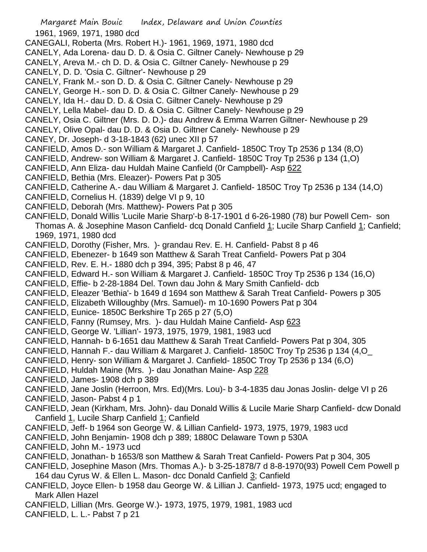Margaret Main Bouic Index, Delaware and Union Counties 1961, 1969, 1971, 1980 dcd CANEGALI, Roberta (Mrs. Robert H.)- 1961, 1969, 1971, 1980 dcd CANELY, Ada Lorena- dau D. D. & Osia C. Giltner Canely- Newhouse p 29 CANELY, Areva M.- ch D. D. & Osia C. Giltner Canely- Newhouse p 29 CANELY, D. D. 'Osia C. Giltner'- Newhouse p 29 CANELY, Frank M.- son D. D. & Osia C. Giltner Canely- Newhouse p 29 CANELY, George H.- son D. D. & Osia C. Giltner Canely- Newhouse p 29 CANELY, Ida H.- dau D. D. & Osia C. Giltner Canely- Newhouse p 29 CANELY, Lella Mabel- dau D. D. & Osia C. Giltner Canely- Newhouse p 29 CANELY, Osia C. Giltner (Mrs. D. D.)- dau Andrew & Emma Warren Giltner- Newhouse p 29 CANELY, Olive Opal- dau D. D. & Osia D. Giltner Canely- Newhouse p 29 CANEY, Dr. Joseph- d 3-18-1843 (62) unec XII p 57 CANFIELD, Amos D.- son William & Margaret J. Canfield- 1850C Troy Tp 2536 p 134 (8,O) CANFIELD, Andrew- son William & Margaret J. Canfield- 1850C Troy Tp 2536 p 134 (1,O) CANFIELD, Ann Eliza- dau Huldah Maine Canfield (0r Campbell)- Asp 622 CANFIELD, Bethia (Mrs. Eleazer)- Powers Pat p 305 CANFIELD, Catherine A.- dau William & Margaret J. Canfield- 1850C Troy Tp 2536 p 134 (14,O) CANFIELD, Cornelius H. (1839) delge VI p 9, 10 CANFIELD, Deborah (Mrs. Matthew)- Powers Pat p 305 CANFIELD, Donald Willis 'Lucile Marie Sharp'-b 8-17-1901 d 6-26-1980 (78) bur Powell Cem- son Thomas A. & Josephine Mason Canfield- dcq Donald Canfield 1; Lucile Sharp Canfield 1; Canfield; 1969, 1971, 1980 dcd CANFIELD, Dorothy (Fisher, Mrs. )- grandau Rev. E. H. Canfield- Pabst 8 p 46 CANFIELD, Ebenezer- b 1649 son Matthew & Sarah Treat Canfield- Powers Pat p 304 CANFIELD, Rev. E. H.- 1880 dch p 394, 395; Pabst 8 p 46, 47 CANFIELD, Edward H.- son William & Margaret J. Canfield- 1850C Troy Tp 2536 p 134 (16,O) CANFIELD, Effie- b 2-28-1884 Del. Town dau John & Mary Smith Canfield- dcb CANFIELD, Eleazer 'Bethia'- b 1649 d 1694 son Matthew & Sarah Treat Canfield- Powers p 305 CANFIELD, Elizabeth Willoughby (Mrs. Samuel)- m 10-1690 Powers Pat p 304 CANFIELD, Eunice- 1850C Berkshire Tp 265 p 27 (5,O) CANFIELD, Fanny (Rumsey, Mrs. )- dau Huldah Maine Canfield- Asp 623 CANFIELD, George W. 'Lillian'- 1973, 1975, 1979, 1981, 1983 ucd CANFIELD, Hannah- b 6-1651 dau Matthew & Sarah Treat Canfield- Powers Pat p 304, 305 CANFIELD, Hannah F.- dau William & Margaret J. Canfield- 1850C Troy Tp 2536 p 134 (4,O\_ CANFIELD, Henry- son William & Margaret J. Canfield- 1850C Troy Tp 2536 p 134 (6,O) CANFIELD, Huldah Maine (Mrs. )- dau Jonathan Maine- Asp 228 CANFIELD, James- 1908 dch p 389 CANFIELD, Jane Joslin (Herroon, Mrs. Ed)(Mrs. Lou)- b 3-4-1835 dau Jonas Joslin- delge VI p 26 CANFIELD, Jason- Pabst 4 p 1 CANFIELD, Jean (Kirkham, Mrs. John)- dau Donald Willis & Lucile Marie Sharp Canfield- dcw Donald Canfield 1, Lucile Sharp Canfield 1; Canfield CANFIELD, Jeff- b 1964 son George W. & Lillian Canfield- 1973, 1975, 1979, 1983 ucd CANFIELD, John Benjamin- 1908 dch p 389; 1880C Delaware Town p 530A CANFIELD, John M.- 1973 ucd CANFIELD, Jonathan- b 1653/8 son Matthew & Sarah Treat Canfield- Powers Pat p 304, 305 CANFIELD, Josephine Mason (Mrs. Thomas A.)- b 3-25-1878/7 d 8-8-1970(93) Powell Cem Powell p

164 dau Cyrus W. & Ellen L. Mason- dcc Donald Canfield 3; Canfield

- CANFIELD, Joyce Ellen- b 1958 dau George W. & Lillian J. Canfield- 1973, 1975 ucd; engaged to Mark Allen Hazel
- CANFIELD, Lillian (Mrs. George W.)- 1973, 1975, 1979, 1981, 1983 ucd

CANFIELD, L. L.- Pabst 7 p 21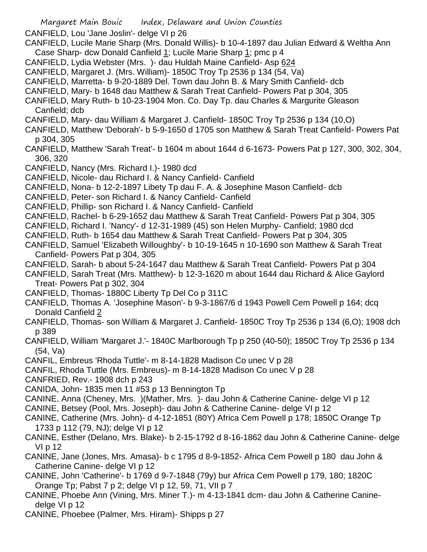- Margaret Main Bouic Index, Delaware and Union Counties CANFIELD, Lou 'Jane Joslin'- delge VI p 26 CANFIELD, Lucile Marie Sharp (Mrs. Donald Willis)- b 10-4-1897 dau Julian Edward & Weltha Ann Case Sharp- dcw Donald Canfield 1; Lucile Marie Sharp 1; pmc p 4 CANFIELD, Lydia Webster (Mrs. )- dau Huldah Maine Canfield- Asp 624 CANFIELD, Margaret J. (Mrs. William)- 1850C Troy Tp 2536 p 134 (54, Va) CANFIELD, Marretta- b 9-20-1889 Del. Town dau John B. & Mary Smith Canfield- dcb CANFIELD, Mary- b 1648 dau Matthew & Sarah Treat Canfield- Powers Pat p 304, 305 CANFIELD, Mary Ruth- b 10-23-1904 Mon. Co. Day Tp. dau Charles & Margurite Gleason Canfield; dcb CANFIELD, Mary- dau William & Margaret J. Canfield- 1850C Troy Tp 2536 p 134 (10,O) CANFIELD, Matthew 'Deborah'- b 5-9-1650 d 1705 son Matthew & Sarah Treat Canfield- Powers Pat p 304, 305 CANFIELD, Matthew 'Sarah Treat'- b 1604 m about 1644 d 6-1673- Powers Pat p 127, 300, 302, 304, 306, 320 CANFIELD, Nancy (Mrs. Richard I.)- 1980 dcd CANFIELD, Nicole- dau Richard I. & Nancy Canfield- Canfield CANFIELD, Nona- b 12-2-1897 Libety Tp dau F. A. & Josephine Mason Canfield- dcb CANFIELD, Peter- son Richard I. & Nancy Canfield- Canfield CANFIELD, Phillip- son Richard I. & Nancy Canfield- Canfield CANFIELD, Rachel- b 6-29-1652 dau Matthew & Sarah Treat Canfield- Powers Pat p 304, 305 CANFIELD, Richard I. 'Nancy'- d 12-31-1989 (45) son Helen Murphy- Canfield; 1980 dcd CANFIELD, Ruth- b 1654 dau Matthew & Sarah Treat Canfield- Powers Pat p 304, 305 CANFIELD, Samuel 'Elizabeth Willoughby'- b 10-19-1645 n 10-1690 son Matthew & Sarah Treat Canfield- Powers Pat p 304, 305 CANFIELD, Sarah- b about 5-24-1647 dau Matthew & Sarah Treat Canfield- Powers Pat p 304 CANFIELD, Sarah Treat (Mrs. Matthew)- b 12-3-1620 m about 1644 dau Richard & Alice Gaylord Treat- Powers Pat p 302, 304 CANFIELD, Thomas- 1880C Liberty Tp Del Co p 311C CANFIELD, Thomas A. 'Josephine Mason'- b 9-3-1867/6 d 1943 Powell Cem Powell p 164; dcq Donald Canfield 2 CANFIELD, Thomas- son William & Margaret J. Canfield- 1850C Troy Tp 2536 p 134 (6,O); 1908 dch p 389 CANFIELD, William 'Margaret J.'- 1840C Marlborough Tp p 250 (40-50); 1850C Troy Tp 2536 p 134 (54, Va) CANFIL, Embreus 'Rhoda Tuttle'- m 8-14-1828 Madison Co unec V p 28 CANFIL, Rhoda Tuttle (Mrs. Embreus)- m 8-14-1828 Madison Co unec V p 28 CANFRIED, Rev.- 1908 dch p 243 CANIDA, John- 1835 men 11 #53 p 13 Bennington Tp CANINE, Anna (Cheney, Mrs. )(Mather, Mrs. )- dau John & Catherine Canine- delge VI p 12 CANINE, Betsey (Pool, Mrs. Joseph)- dau John & Catherine Canine- delge VI p 12
	- CANINE, Catherine (Mrs. John)- d 4-12-1851 (80Y) Africa Cem Powell p 178; 1850C Orange Tp 1733 p 112 (79, NJ); delge VI p 12
	- CANINE, Esther (Delano, Mrs. Blake)- b 2-15-1792 d 8-16-1862 dau John & Catherine Canine- delge VI p 12
	- CANINE, Jane (Jones, Mrs. Amasa)- b c 1795 d 8-9-1852- Africa Cem Powell p 180 dau John & Catherine Canine- delge VI p 12
	- CANINE, John 'Catherine'- b 1769 d 9-7-1848 (79y) bur Africa Cem Powell p 179, 180; 1820C Orange Tp; Pabst 7 p 2; delge VI p 12, 59, 71, VII p 7
	- CANINE, Phoebe Ann (Vining, Mrs. Miner T.)- m 4-13-1841 dcm- dau John & Catherine Caninedelge VI p 12
	- CANINE, Phoebee (Palmer, Mrs. Hiram)- Shipps p 27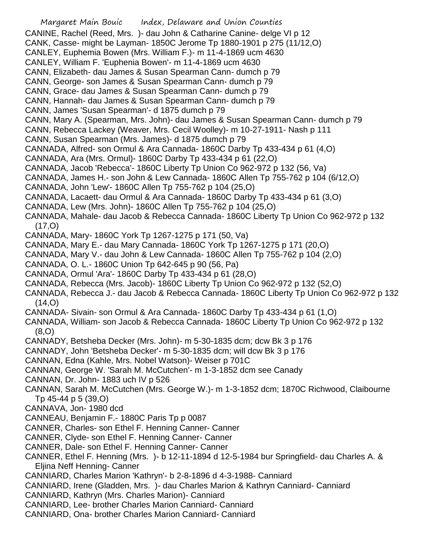Margaret Main Bouic Index, Delaware and Union Counties CANINE, Rachel (Reed, Mrs. )- dau John & Catharine Canine- delge VI p 12 CANK, Casse- might be Layman- 1850C Jerome Tp 1880-1901 p 275 (11/12,O) CANLEY, Euphemia Bowen (Mrs. William F.)- m 11-4-1869 ucm 4630 CANLEY, William F. 'Euphenia Bowen'- m 11-4-1869 ucm 4630 CANN, Elizabeth- dau James & Susan Spearman Cann- dumch p 79 CANN, George- son James & Susan Spearman Cann- dumch p 79 CANN, Grace- dau James & Susan Spearman Cann- dumch p 79 CANN, Hannah- dau James & Susan Spearman Cann- dumch p 79 CANN, James 'Susan Spearman'- d 1875 dumch p 79 CANN, Mary A. (Spearman, Mrs. John)- dau James & Susan Spearman Cann- dumch p 79 CANN, Rebecca Lackey (Weaver, Mrs. Cecil Woolley)- m 10-27-1911- Nash p 111 CANN, Susan Spearman (Mrs. James)- d 1875 dumch p 79 CANNADA, Alfred- son Ormul & Ara Cannada- 1860C Darby Tp 433-434 p 61 (4,O) CANNADA, Ara (Mrs. Ormul)- 1860C Darby Tp 433-434 p 61 (22,O) CANNADA, Jacob 'Rebecca'- 1860C Liberty Tp Union Co 962-972 p 132 (56, Va) CANNADA, James H.- son John & Lew Cannada- 1860C Allen Tp 755-762 p 104 (6/12,O) CANNADA, John 'Lew'- 1860C Allen Tp 755-762 p 104 (25,O) CANNADA, Lacaett- dau Ormul & Ara Cannada- 1860C Darby Tp 433-434 p 61 (3,O) CANNADA, Lew (Mrs. John)- 1860C Allen Tp 755-762 p 104 (25,O) CANNADA, Mahale- dau Jacob & Rebecca Cannada- 1860C Liberty Tp Union Co 962-972 p 132  $(17, 0)$ CANNADA, Mary- 1860C York Tp 1267-1275 p 171 (50, Va) CANNADA, Mary E.- dau Mary Cannada- 1860C York Tp 1267-1275 p 171 (20,O) CANNADA, Mary V.- dau John & Lew Cannada- 1860C Allen Tp 755-762 p 104 (2,O) CANNADA, O. L.- 1860C Union Tp 642-645 p 90 (56, Pa) CANNADA, Ormul 'Ara'- 1860C Darby Tp 433-434 p 61 (28,O) CANNADA, Rebecca (Mrs. Jacob)- 1860C Liberty Tp Union Co 962-972 p 132 (52,O) CANNADA, Rebecca J.- dau Jacob & Rebecca Cannada- 1860C Liberty Tp Union Co 962-972 p 132 (14,O) CANNADA- Sivain- son Ormul & Ara Cannada- 1860C Darby Tp 433-434 p 61 (1,O) CANNADA, William- son Jacob & Rebecca Cannada- 1860C Liberty Tp Union Co 962-972 p 132 (8,O) CANNADY, Betsheba Decker (Mrs. John)- m 5-30-1835 dcm; dcw Bk 3 p 176 CANNADY, John 'Betsheba Decker'- m 5-30-1835 dcm; will dcw Bk 3 p 176 CANNAN, Edna (Kahle, Mrs. Nobel Watson)- Weiser p 701C CANNAN, George W. 'Sarah M. McCutchen'- m 1-3-1852 dcm see Canady CANNAN, Dr. John- 1883 uch IV p 526 CANNAN, Sarah M. McCutchen (Mrs. George W.)- m 1-3-1852 dcm; 1870C Richwood, Claibourne Tp 45-44 p 5 (39,O) CANNAVA, Jon- 1980 dcd CANNEAU, Benjamin F.- 1880C Paris Tp p 0087 CANNER, Charles- son Ethel F. Henning Canner- Canner CANNER, Clyde- son Ethel F. Henning Canner- Canner CANNER, Dale- son Ethel F. Henning Canner- Canner CANNER, Ethel F. Henning (Mrs. )- b 12-11-1894 d 12-5-1984 bur Springfield- dau Charles A. & Eljina Neff Henning- Canner CANNIARD, Charles Marion 'Kathryn'- b 2-8-1896 d 4-3-1988- Canniard CANNIARD, Irene (Gladden, Mrs. )- dau Charles Marion & Kathryn Canniard- Canniard

- CANNIARD, Kathryn (Mrs. Charles Marion)- Canniard
- CANNIARD, Lee- brother Charles Marion Canniard- Canniard
- CANNIARD, Ona- brother Charles Marion Canniard- Canniard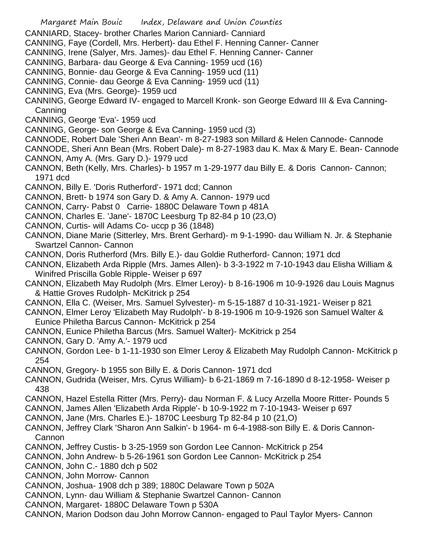- Margaret Main Bouic Index, Delaware and Union Counties CANNIARD, Stacey- brother Charles Marion Canniard- Canniard CANNING, Faye (Cordell, Mrs. Herbert)- dau Ethel F. Henning Canner- Canner CANNING, Irene (Salyer, Mrs. James)- dau Ethel F. Henning Canner- Canner CANNING, Barbara- dau George & Eva Canning- 1959 ucd (16) CANNING, Bonnie- dau George & Eva Canning- 1959 ucd (11) CANNING, Connie- dau George & Eva Canning- 1959 ucd (11) CANNING, Eva (Mrs. George)- 1959 ucd CANNING, George Edward IV- engaged to Marcell Kronk- son George Edward III & Eva Canning-**Canning** CANNING, George 'Eva'- 1959 ucd CANNING, George- son George & Eva Canning- 1959 ucd (3) CANNODE, Robert Dale 'Sheri Ann Bean'- m 8-27-1983 son Millard & Helen Cannode- Cannode CANNODE, Sheri Ann Bean (Mrs. Robert Dale)- m 8-27-1983 dau K. Max & Mary E. Bean- Cannode
	- CANNON, Amy A. (Mrs. Gary D.)- 1979 ucd
	- CANNON, Beth (Kelly, Mrs. Charles)- b 1957 m 1-29-1977 dau Billy E. & Doris Cannon- Cannon; 1971 dcd
	- CANNON, Billy E. 'Doris Rutherford'- 1971 dcd; Cannon
	- CANNON, Brett- b 1974 son Gary D. & Amy A. Cannon- 1979 ucd
	- CANNON, Carry- Pabst 0 Carrie- 1880C Delaware Town p 481A
	- CANNON, Charles E. 'Jane'- 1870C Leesburg Tp 82-84 p 10 (23,O)
	- CANNON, Curtis- will Adams Co- uccp p 36 (1848)
	- CANNON, Diane Marie (Sitterley, Mrs. Brent Gerhard)- m 9-1-1990- dau William N. Jr. & Stephanie Swartzel Cannon- Cannon
	- CANNON, Doris Rutherford (Mrs. Billy E.)- dau Goldie Rutherford- Cannon; 1971 dcd
	- CANNON, Elizabeth Arda Ripple (Mrs. James Allen)- b 3-3-1922 m 7-10-1943 dau Elisha William & Winifred Priscilla Goble Ripple- Weiser p 697
	- CANNON, Elizabeth May Rudolph (Mrs. Elmer Leroy)- b 8-16-1906 m 10-9-1926 dau Louis Magnus & Hattie Groves Rudolph- McKitrick p 254
	- CANNON, Ella C. (Weiser, Mrs. Samuel Sylvester)- m 5-15-1887 d 10-31-1921- Weiser p 821
	- CANNON, Elmer Leroy 'Elizabeth May Rudolph'- b 8-19-1906 m 10-9-1926 son Samuel Walter & Eunice Philetha Barcus Cannon- McKitrick p 254
	- CANNON, Eunice Philetha Barcus (Mrs. Samuel Walter)- McKitrick p 254
	- CANNON, Gary D. 'Amy A.'- 1979 ucd
	- CANNON, Gordon Lee- b 1-11-1930 son Elmer Leroy & Elizabeth May Rudolph Cannon- McKitrick p 254
	- CANNON, Gregory- b 1955 son Billy E. & Doris Cannon- 1971 dcd
	- CANNON, Gudrida (Weiser, Mrs. Cyrus William)- b 6-21-1869 m 7-16-1890 d 8-12-1958- Weiser p 438
	- CANNON, Hazel Estella Ritter (Mrs. Perry)- dau Norman F. & Lucy Arzella Moore Ritter- Pounds 5
	- CANNON, James Allen 'Elizabeth Arda Ripple'- b 10-9-1922 m 7-10-1943- Weiser p 697
	- CANNON, Jane (Mrs. Charles E.)- 1870C Leesburg Tp 82-84 p 10 (21,O)
	- CANNON, Jeffrey Clark 'Sharon Ann Salkin'- b 1964- m 6-4-1988-son Billy E. & Doris Cannon-Cannon
	- CANNON, Jeffrey Custis- b 3-25-1959 son Gordon Lee Cannon- McKitrick p 254
	- CANNON, John Andrew- b 5-26-1961 son Gordon Lee Cannon- McKitrick p 254
	- CANNON, John C.- 1880 dch p 502
	- CANNON, John Morrow- Cannon
	- CANNON, Joshua- 1908 dch p 389; 1880C Delaware Town p 502A
	- CANNON, Lynn- dau William & Stephanie Swartzel Cannon- Cannon
	- CANNON, Margaret- 1880C Delaware Town p 530A
	- CANNON, Marion Dodson dau John Morrow Cannon- engaged to Paul Taylor Myers- Cannon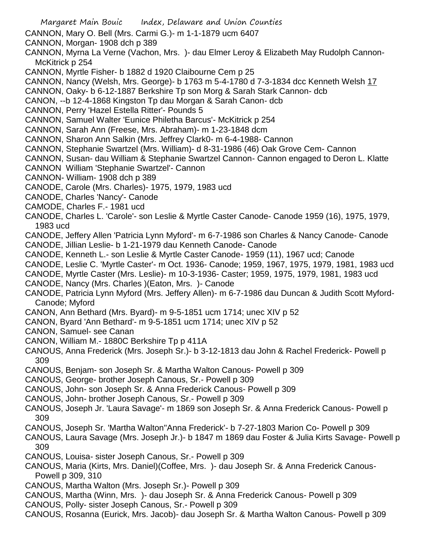- Margaret Main Bouic Index, Delaware and Union Counties CANNON, Mary O. Bell (Mrs. Carmi G.)- m 1-1-1879 ucm 6407 CANNON, Morgan- 1908 dch p 389 CANNON, Myrna La Verne (Vachon, Mrs. )- dau Elmer Leroy & Elizabeth May Rudolph Cannon-McKitrick p 254 CANNON, Myrtle Fisher- b 1882 d 1920 Claibourne Cem p 25 CANNON, Nancy (Welsh, Mrs. George)- b 1763 m 5-4-1780 d 7-3-1834 dcc Kenneth Welsh 17 CANNON, Oaky- b 6-12-1887 Berkshire Tp son Morg & Sarah Stark Cannon- dcb CANON, --b 12-4-1868 Kingston Tp dau Morgan & Sarah Canon- dcb CANNON, Perry 'Hazel Estella Ritter'- Pounds 5 CANNON, Samuel Walter 'Eunice Philetha Barcus'- McKitrick p 254 CANNON, Sarah Ann (Freese, Mrs. Abraham)- m 1-23-1848 dcm CANNON, Sharon Ann Salkin (Mrs. Jeffrey Clark0- m 6-4-1988- Cannon CANNON, Stephanie Swartzel (Mrs. William)- d 8-31-1986 (46) Oak Grove Cem- Cannon CANNON, Susan- dau William & Stephanie Swartzel Cannon- Cannon engaged to Deron L. Klatte CANNON William 'Stephanie Swartzel'- Cannon CANNON- William- 1908 dch p 389 CANODE, Carole (Mrs. Charles)- 1975, 1979, 1983 ucd CANODE, Charles 'Nancy'- Canode CAMODE, Charles F.- 1981 ucd CANODE, Charles L. 'Carole'- son Leslie & Myrtle Caster Canode- Canode 1959 (16), 1975, 1979, 1983 ucd CANODE, Jeffery Allen 'Patricia Lynn Myford'- m 6-7-1986 son Charles & Nancy Canode- Canode CANODE, Jillian Leslie- b 1-21-1979 dau Kenneth Canode- Canode CANODE, Kenneth L.- son Leslie & Myrtle Caster Canode- 1959 (11), 1967 ucd; Canode CANODE, Leslie C. 'Myrtle Caster'- m Oct. 1936- Canode; 1959, 1967, 1975, 1979, 1981, 1983 ucd CANODE, Myrtle Caster (Mrs. Leslie)- m 10-3-1936- Caster; 1959, 1975, 1979, 1981, 1983 ucd CANODE, Nancy (Mrs. Charles )(Eaton, Mrs. )- Canode CANODE, Patricia Lynn Myford (Mrs. Jeffery Allen)- m 6-7-1986 dau Duncan & Judith Scott Myford-Canode; Myford CANON, Ann Bethard (Mrs. Byard)- m 9-5-1851 ucm 1714; unec XIV p 52 CANON, Byard 'Ann Bethard'- m 9-5-1851 ucm 1714; unec XIV p 52 CANON, Samuel- see Canan CANON, William M.- 1880C Berkshire Tp p 411A CANOUS, Anna Frederick (Mrs. Joseph Sr.)- b 3-12-1813 dau John & Rachel Frederick- Powell p 309 CANOUS, Benjam- son Joseph Sr. & Martha Walton Canous- Powell p 309 CANOUS, George- brother Joseph Canous, Sr.- Powell p 309 CANOUS, John- son Joseph Sr. & Anna Frederick Canous- Powell p 309 CANOUS, John- brother Joseph Canous, Sr.- Powell p 309 CANOUS, Joseph Jr. 'Laura Savage'- m 1869 son Joseph Sr. & Anna Frederick Canous- Powell p 309 CANOUS, Joseph Sr. 'Martha Walton''Anna Frederick'- b 7-27-1803 Marion Co- Powell p 309 CANOUS, Laura Savage (Mrs. Joseph Jr.)- b 1847 m 1869 dau Foster & Julia Kirts Savage- Powell p 309 CANOUS, Louisa- sister Joseph Canous, Sr.- Powell p 309 CANOUS, Maria (Kirts, Mrs. Daniel)(Coffee, Mrs. )- dau Joseph Sr. & Anna Frederick Canous-Powell p 309, 310 CANOUS, Martha Walton (Mrs. Joseph Sr.)- Powell p 309
- 
- CANOUS, Martha (Winn, Mrs. )- dau Joseph Sr. & Anna Frederick Canous- Powell p 309
- CANOUS, Polly- sister Joseph Canous, Sr.- Powell p 309
- CANOUS, Rosanna (Eurick, Mrs. Jacob)- dau Joseph Sr. & Martha Walton Canous- Powell p 309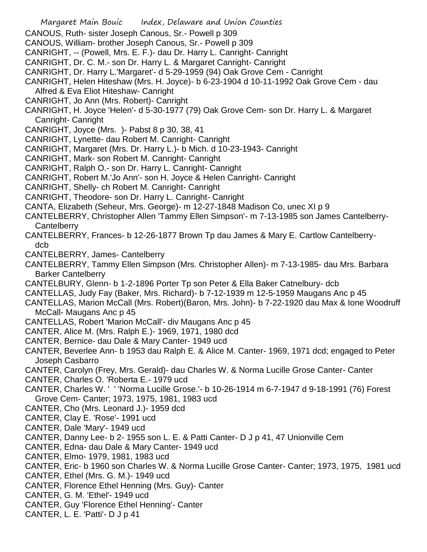- Margaret Main Bouic Index, Delaware and Union Counties
- CANOUS, Ruth- sister Joseph Canous, Sr.- Powell p 309
- CANOUS, William- brother Joseph Canous, Sr.- Powell p 309
- CANRIGHT, -- (Powell, Mrs. E. F.)- dau Dr. Harry L. Canright- Canright
- CANRIGHT, Dr. C. M.- son Dr. Harry L. & Margaret Canright- Canright
- CANRIGHT, Dr. Harry L.'Margaret'- d 5-29-1959 (94) Oak Grove Cem Canright
- CANRIGHT, Helen Hiteshaw (Mrs. H. Joyce)- b 6-23-1904 d 10-11-1992 Oak Grove Cem dau Alfred & Eva Eliot Hiteshaw- Canright
- CANRIGHT, Jo Ann (Mrs. Robert)- Canright
- CANRIGHT, H. Joyce 'Helen'- d 5-30-1977 (79) Oak Grove Cem- son Dr. Harry L. & Margaret Canright- Canright
- CANRIGHT, Joyce (Mrs. )- Pabst 8 p 30, 38, 41
- CANRIGHT, Lynette- dau Robert M. Canright- Canright
- CANRIGHT, Margaret (Mrs. Dr. Harry L.)- b Mich. d 10-23-1943- Canright
- CANRIGHT, Mark- son Robert M. Canright- Canright
- CANRIGHT, Ralph O.- son Dr. Harry L. Canright- Canright
- CANRIGHT, Robert M.'Jo Ann'- son H. Joyce & Helen Canright- Canright
- CANRIGHT, Shelly- ch Robert M. Canright- Canright
- CANRIGHT, Theodore- son Dr. Harry L. Canright- Canright
- CANTA, Elizabeth (Seheur, Mrs. George)- m 12-27-1848 Madison Co, unec XI p 9
- CANTELBERRY, Christopher Allen 'Tammy Ellen Simpson'- m 7-13-1985 son James Cantelberry-**Cantelberry**
- CANTELBERRY, Frances- b 12-26-1877 Brown Tp dau James & Mary E. Cartlow Cantelberrydcb
- CANTELBERRY, James- Cantelberry
- CANTELBERRY, Tammy Ellen Simpson (Mrs. Christopher Allen)- m 7-13-1985- dau Mrs. Barbara Barker Cantelberry
- CANTELBURY, Glenn- b 1-2-1896 Porter Tp son Peter & Ella Baker Catnelbury- dcb
- CANTELLAS, Judy Fay (Baker, Mrs. Richard)- b 7-12-1939 m 12-5-1959 Maugans Anc p 45
- CANTELLAS, Marion McCall (Mrs. Robert)(Baron, Mrs. John)- b 7-22-1920 dau Max & Ione Woodruff McCall- Maugans Anc p 45
- CANTELLAS, Robert 'Marion McCall'- div Maugans Anc p 45
- CANTER, Alice M. (Mrs. Ralph E.)- 1969, 1971, 1980 dcd
- CANTER, Bernice- dau Dale & Mary Canter- 1949 ucd
- CANTER, Beverlee Ann- b 1953 dau Ralph E. & Alice M. Canter- 1969, 1971 dcd; engaged to Peter Joseph Casbarro
- CANTER, Carolyn (Frey, Mrs. Gerald)- dau Charles W. & Norma Lucille Grose Canter- Canter
- CANTER, Charles O. 'Roberta E.- 1979 ucd
- CANTER, Charles W. ' ' 'Norma Lucille Grose.'- b 10-26-1914 m 6-7-1947 d 9-18-1991 (76) Forest Grove Cem- Canter; 1973, 1975, 1981, 1983 ucd
- CANTER, Cho (Mrs. Leonard J.)- 1959 dcd
- CANTER, Clay E. 'Rose'- 1991 ucd
- CANTER, Dale 'Mary'- 1949 ucd
- CANTER, Danny Lee- b 2- 1955 son L. E. & Patti Canter- D J p 41, 47 Unionville Cem
- CANTER, Edna- dau Dale & Mary Canter- 1949 ucd
- CANTER, Elmo- 1979, 1981, 1983 ucd
- CANTER, Eric- b 1960 son Charles W. & Norma Lucille Grose Canter- Canter; 1973, 1975, 1981 ucd
- CANTER, Ethel (Mrs. G. M.)- 1949 ucd
- CANTER, Florence Ethel Henning (Mrs. Guy)- Canter
- CANTER, G. M. 'Ethel'- 1949 ucd
- CANTER, Guy 'Florence Ethel Henning'- Canter
- CANTER, L. E. 'Patti'- D J p 41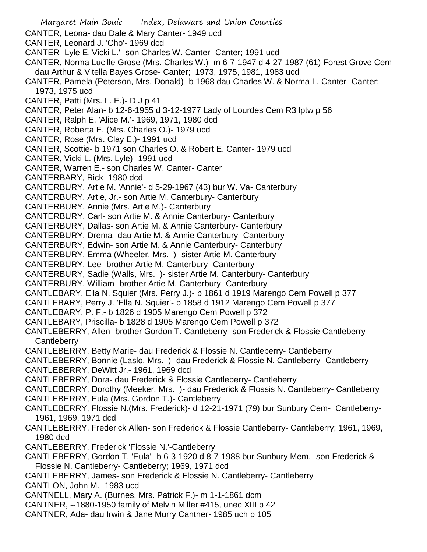Margaret Main Bouic Index, Delaware and Union Counties CANTER, Leona- dau Dale & Mary Canter- 1949 ucd CANTER, Leonard J. 'Cho'- 1969 dcd CANTER- Lyle E.'Vicki L.'- son Charles W. Canter- Canter; 1991 ucd CANTER, Norma Lucille Grose (Mrs. Charles W.)- m 6-7-1947 d 4-27-1987 (61) Forest Grove Cem dau Arthur & Vitella Bayes Grose- Canter; 1973, 1975, 1981, 1983 ucd CANTER, Pamela (Peterson, Mrs. Donald)- b 1968 dau Charles W. & Norma L. Canter- Canter; 1973, 1975 ucd CANTER, Patti (Mrs. L. E.)- D J p 41 CANTER, Peter Alan- b 12-6-1955 d 3-12-1977 Lady of Lourdes Cem R3 lptw p 56 CANTER, Ralph E. 'Alice M.'- 1969, 1971, 1980 dcd CANTER, Roberta E. (Mrs. Charles O.)- 1979 ucd CANTER, Rose (Mrs. Clay E.)- 1991 ucd CANTER, Scottie- b 1971 son Charles O. & Robert E. Canter- 1979 ucd CANTER, Vicki L. (Mrs. Lyle)- 1991 ucd CANTER, Warren E.- son Charles W. Canter- Canter CANTERBARY, Rick- 1980 dcd CANTERBURY, Artie M. 'Annie'- d 5-29-1967 (43) bur W. Va- Canterbury CANTERBURY, Artie, Jr.- son Artie M. Canterbury- Canterbury CANTERBURY, Annie (Mrs. Artie M.)- Canterbury CANTERBURY, Carl- son Artie M. & Annie Canterbury- Canterbury CANTERBURY, Dallas- son Artie M. & Annie Canterbury- Canterbury CANTERBURY, Drema- dau Artie M. & Annie Canterbury- Canterbury CANTERBURY, Edwin- son Artie M. & Annie Canterbury- Canterbury CANTERBURY, Emma (Wheeler, Mrs. )- sister Artie M. Canterbury CANTERBURY, Lee- brother Artie M. Canterbury- Canterbury CANTERBURY, Sadie (Walls, Mrs. )- sister Artie M. Canterbury- Canterbury CANTERBURY, William- brother Artie M. Canterbury- Canterbury CANTLEBARY, Ella N. Squier (Mrs. Perry J.)- b 1861 d 1919 Marengo Cem Powell p 377 CANTLEBARY, Perry J. 'Ella N. Squier'- b 1858 d 1912 Marengo Cem Powell p 377 CANTLEBARY, P. F.- b 1826 d 1905 Marengo Cem Powell p 372 CANTLEBARY, Priscilla- b 1828 d 1905 Marengo Cem Powell p 372 CANTLEBERRY, Allen- brother Gordon T. Cantleberry- son Frederick & Flossie Cantleberry-**Cantleberry** CANTLEBERRY, Betty Marie- dau Frederick & Flossie N. Cantleberry- Cantleberry CANTLEBERRY, Bonnie (Laslo, Mrs. )- dau Frederick & Flossie N. Cantleberry- Cantleberry CANTLEBERRY, DeWitt Jr.- 1961, 1969 dcd CANTLEBERRY, Dora- dau Frederick & Flossie Cantleberry- Cantleberry CANTLEBERRY, Dorothy (Meeker, Mrs. )- dau Frederick & Flossis N. Cantleberry- Cantleberry CANTLEBERRY, Eula (Mrs. Gordon T.)- Cantleberry CANTLEBERRY, Flossie N.(Mrs. Frederick)- d 12-21-1971 (79) bur Sunbury Cem- Cantleberry-1961, 1969, 1971 dcd CANTLEBERRY, Frederick Allen- son Frederick & Flossie Cantleberry- Cantleberry; 1961, 1969, 1980 dcd CANTLEBERRY, Frederick 'Flossie N.'-Cantleberry CANTLEBERRY, Gordon T. 'Eula'- b 6-3-1920 d 8-7-1988 bur Sunbury Mem.- son Frederick & Flossie N. Cantleberry- Cantleberry; 1969, 1971 dcd CANTLEBERRY, James- son Frederick & Flossie N. Cantleberry- Cantleberry CANTLON, John M.- 1983 ucd CANTNELL, Mary A. (Burnes, Mrs. Patrick F.)- m 1-1-1861 dcm CANTNER, --1880-1950 family of Melvin Miller #415, unec XIII p 42 CANTNER, Ada- dau Irwin & Jane Murry Cantner- 1985 uch p 105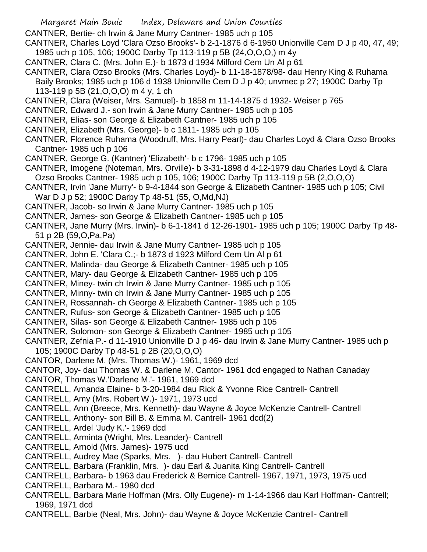- Margaret Main Bouic Index, Delaware and Union Counties
- CANTNER, Bertie- ch Irwin & Jane Murry Cantner- 1985 uch p 105
- CANTNER, Charles Loyd 'Clara Ozso Brooks'- b 2-1-1876 d 6-1950 Unionville Cem D J p 40, 47, 49; 1985 uch p 105, 106; 1900C Darby Tp 113-119 p 5B (24,O,O,O,) m 4y
- CANTNER, Clara C. (Mrs. John E.)- b 1873 d 1934 Milford Cem Un Al p 61
- CANTNER, Clara Ozso Brooks (Mrs. Charles Loyd)- b 11-18-1878/98- dau Henry King & Ruhama Baily Brooks; 1985 uch p 106 d 1938 Unionville Cem D J p 40; unvmec p 27; 1900C Darby Tp 113-119 p 5B (21,O,O,O) m 4 y, 1 ch
- CANTNER, Clara (Weiser, Mrs. Samuel)- b 1858 m 11-14-1875 d 1932- Weiser p 765
- CANTNER, Edward J.- son Irwin & Jane Murry Cantner- 1985 uch p 105
- CANTNER, Elias- son George & Elizabeth Cantner- 1985 uch p 105
- CANTNER, Elizabeth (Mrs. George)- b c 1811- 1985 uch p 105
- CANTNER, Florence Ruhama (Woodruff, Mrs. Harry Pearl)- dau Charles Loyd & Clara Ozso Brooks Cantner- 1985 uch p 106
- CANTNER, George G. (Kantner) 'Elizabeth'- b c 1796- 1985 uch p 105
- CANTNER, Imogene (Noteman, Mrs. Orville)- b 3-31-1898 d 4-12-1979 dau Charles Loyd & Clara Ozso Brooks Cantner- 1985 uch p 105, 106; 1900C Darby Tp 113-119 p 5B (2,O,O,O)
- CANTNER, Irvin 'Jane Murry'- b 9-4-1844 son George & Elizabeth Cantner- 1985 uch p 105; Civil War D J p 52; 1900C Darby Tp 48-51 (55, O,Md,NJ)
- CANTNER, Jacob- so Irwin & Jane Murry Cantner- 1985 uch p 105
- CANTNER, James- son George & Elizabeth Cantner- 1985 uch p 105
- CANTNER, Jane Murry (Mrs. Irwin)- b 6-1-1841 d 12-26-1901- 1985 uch p 105; 1900C Darby Tp 48- 51 p 2B (59,O,Pa,Pa)
- CANTNER, Jennie- dau Irwin & Jane Murry Cantner- 1985 uch p 105
- CANTNER, John E. 'Clara C.;- b 1873 d 1923 Milford Cem Un Al p 61
- CANTNER, Malinda- dau George & Elizabeth Cantner- 1985 uch p 105
- CANTNER, Mary- dau George & Elizabeth Cantner- 1985 uch p 105
- CANTNER, Miney- twin ch Irwin & Jane Murry Cantner- 1985 uch p 105
- CANTNER, Minny- twin ch Irwin & Jane Murry Cantner- 1985 uch p 105
- CANTNER, Rossannah- ch George & Elizabeth Cantner- 1985 uch p 105
- CANTNER, Rufus- son George & Elizabeth Cantner- 1985 uch p 105
- CANTNER, Silas- son George & Elizabeth Cantner- 1985 uch p 105
- CANTNER, Solomon- son George & Elizabeth Cantner- 1985 uch p 105
- CANTNER, Zefnia P.- d 11-1910 Unionville D J p 46- dau Irwin & Jane Murry Cantner- 1985 uch p 105; 1900C Darby Tp 48-51 p 2B (20,O,O,O)
- CANTOR, Darlene M. (Mrs. Thomas W.)- 1961, 1969 dcd
- CANTOR, Joy- dau Thomas W. & Darlene M. Cantor- 1961 dcd engaged to Nathan Canaday
- CANTOR, Thomas W.'Darlene M.'- 1961, 1969 dcd
- CANTRELL, Amanda Elaine- b 3-20-1984 dau Rick & Yvonne Rice Cantrell- Cantrell
- CANTRELL, Amy (Mrs. Robert W.)- 1971, 1973 ucd
- CANTRELL, Ann (Breece, Mrs. Kenneth)- dau Wayne & Joyce McKenzie Cantrell- Cantrell
- CANTRELL, Anthony- son Bill B. & Emma M. Cantrell- 1961 dcd(2)
- CANTRELL, Ardel 'Judy K.'- 1969 dcd
- CANTRELL, Arminta (Wright, Mrs. Leander)- Cantrell
- CANTRELL, Arnold (Mrs. James)- 1975 ucd
- CANTRELL, Audrey Mae (Sparks, Mrs. )- dau Hubert Cantrell- Cantrell
- CANTRELL, Barbara (Franklin, Mrs. )- dau Earl & Juanita King Cantrell- Cantrell
- CANTRELL, Barbara- b 1963 dau Frederick & Bernice Cantrell- 1967, 1971, 1973, 1975 ucd
- CANTRELL, Barbara M.- 1980 dcd
- CANTRELL, Barbara Marie Hoffman (Mrs. Olly Eugene)- m 1-14-1966 dau Karl Hoffman- Cantrell; 1969, 1971 dcd
- CANTRELL, Barbie (Neal, Mrs. John)- dau Wayne & Joyce McKenzie Cantrell- Cantrell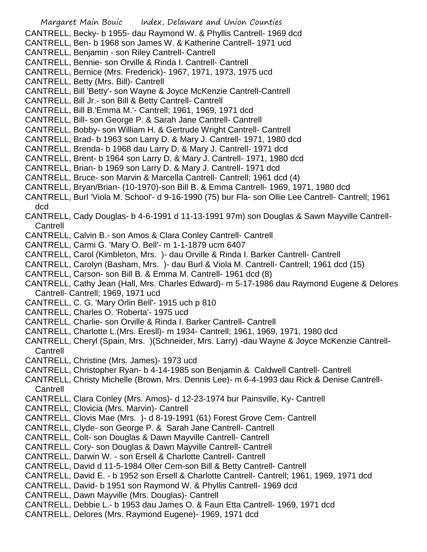Margaret Main Bouic Index, Delaware and Union Counties CANTRELL, Becky- b 1955- dau Raymond W. & Phyllis Cantrell- 1969 dcd CANTRELL, Ben- b 1968 son James W. & Katherine Cantrell- 1971 ucd CANTRELL, Benjamin - son Riley Cantrell- Cantrell CANTRELL, Bennie- son Orville & Rinda I. Cantrell- Cantrell CANTRELL, Bernice (Mrs. Frederick)- 1967, 1971, 1973, 1975 ucd CANTRELL, Betty (Mrs. Bill)- Cantrell CANTRELL, Bill 'Betty'- son Wayne & Joyce McKenzie Cantrell-Cantrell CANTRELL, Bill Jr.- son Bill & Betty Cantrell- Cantrell CANTRELL, Bill B.'Emma M.'- Cantrell; 1961, 1969, 1971 dcd CANTRELL, Bill- son George P. & Sarah Jane Cantrell- Cantrell CANTRELL, Bobby- son William H. & Gertrude Wright Cantrell- Cantrell CANTRELL, Brad- b 1963 son Larry D. & Mary J. Cantrell- 1971, 1980 dcd CANTRELL, Brenda- b 1968 dau Larry D. & Mary J. Cantrell- 1971 dcd CANTRELL, Brent- b 1964 son Larry D. & Mary J. Cantrell- 1971, 1980 dcd CANTRELL, Brian- b 1969 son Larry D. & Mary J. Cantrell- 1971 dcd CANTRELL, Bruce- son Marvin & Marcella Cantrell- Cantrell; 1961 dcd (4) CANTRELL, Bryan/Brian- (10-1970)-son Bill B. & Emma Cantrell- 1969, 1971, 1980 dcd CANTRELL, Burl 'Viola M. School'- d 9-16-1990 (75) bur Fla- son Ollie Lee Cantrell- Cantrell; 1961 dcd CANTRELL, Cady Douglas- b 4-6-1991 d 11-13-1991 97m) son Douglas & Sawn Mayville Cantrell-**Cantrell** CANTRELL, Calvin B.- son Amos & Clara Conley Cantrell- Cantrell CANTRELL, Carmi G. 'Mary O. Bell'- m 1-1-1879 ucm 6407 CANTRELL, Carol (Kimbleton, Mrs. )- dau Orville & Rinda I. Barker Cantrell- Cantrell CANTRELL, Carolyn (Basham, Mrs. )- dau Burl & Viola M. Cantrell- Cantrell; 1961 dcd (15) CANTRELL, Carson- son Bill B. & Emma M. Cantrell- 1961 dcd (8) CANTRELL, Cathy Jean (Hall, Mrs. Charles Edward)- m 5-17-1986 dau Raymond Eugene & Delores Cantrell- Cantrell; 1969, 1971 ucd CANTRELL, C. G. 'Mary Orlin Bell'- 1915 uch p 810 CANTRELL, Charles O. 'Roberta'- 1975 ucd CANTRELL, Charlie- son Orville & Rinda I. Barker Cantrell- Cantrell CANTRELL, Charlotte L.(Mrs. Eresll)- m 1934- Cantrell; 1961, 1969, 1971, 1980 dcd CANTRELL, Cheryl (Spain, Mrs. )(Schneider, Mrs. Larry) -dau Wayne & Joyce McKenzie Cantrell-Cantrell CANTRELL, Christine (Mrs. James)- 1973 ucd CANTRELL, Christopher Ryan- b 4-14-1985 son Benjamin & Caldwell Cantrell- Cantrell CANTRELL, Christy Michelle (Brown, Mrs. Dennis Lee)- m 6-4-1993 dau Rick & Denise Cantrell-**Cantrell** CANTRELL, Clara Conley (Mrs. Amos)- d 12-23-1974 bur Painsville, Ky- Cantrell CANTRELL, Clovicia (Mrs. Marvin)- Cantrell CANTRELL, Clovis Mae (Mrs. )- d 8-19-1991 (61) Forest Grove Cem- Cantrell CANTRELL, Clyde- son George P. & Sarah Jane Cantrell- Cantrell CANTRELL, Colt- son Douglas & Dawn Mayville Cantrell- Cantrell CANTRELL, Cory- son Douglas & Dawn Mayville Cantrell- Cantrell CANTRELL, Darwin W. - son Ersell & Charlotte Cantrell- Cantrell CANTRELL, David d 11-5-1984 Oller Cem-son Bill & Betty Cantrell- Cantrell CANTRELL, David E. - b 1952 son Ersell & Charlotte Cantrell- Cantrell; 1961, 1969, 1971 dcd CANTRELL, David- b 1951 son Raymond W. & Phyllis Cantrell- 1969 dcd CANTRELL, Dawn Mayville (Mrs. Douglas)- Cantrell CANTRELL, Debbie L.- b 1953 dau James O. & Faun Etta Cantrell- 1969, 1971 dcd CANTRELL, Delores (Mrs. Raymond Eugene)- 1969, 1971 dcd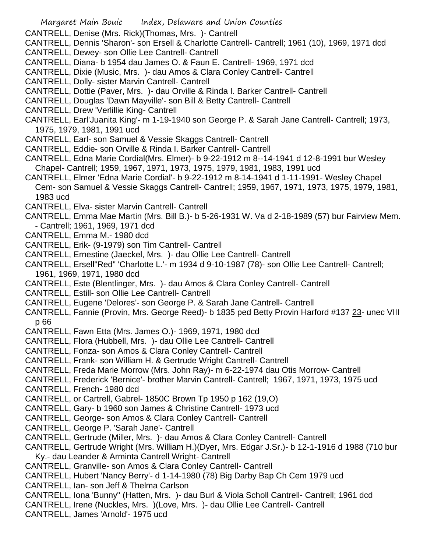- CANTRELL, Denise (Mrs. Rick)(Thomas, Mrs. )- Cantrell
- CANTRELL, Dennis 'Sharon'- son Ersell & Charlotte Cantrell- Cantrell; 1961 (10), 1969, 1971 dcd
- CANTRELL, Dewey- son Ollie Lee Cantrell- Cantrell
- CANTRELL, Diana- b 1954 dau James O. & Faun E. Cantrell- 1969, 1971 dcd
- CANTRELL, Dixie (Music, Mrs. )- dau Amos & Clara Conley Cantrell- Cantrell
- CANTRELL, Dolly- sister Marvin Cantrell- Cantrell
- CANTRELL, Dottie (Paver, Mrs. )- dau Orville & Rinda I. Barker Cantrell- Cantrell
- CANTRELL, Douglas 'Dawn Mayville'- son Bill & Betty Cantrell- Cantrell
- CANTRELL, Drew 'Verlillie King- Cantrell
- CANTRELL, Earl'Juanita King'- m 1-19-1940 son George P. & Sarah Jane Cantrell- Cantrell; 1973, 1975, 1979, 1981, 1991 ucd
- CANTRELL, Earl- son Samuel & Vessie Skaggs Cantrell- Cantrell
- CANTRELL, Eddie- son Orville & Rinda I. Barker Cantrell- Cantrell
- CANTRELL, Edna Marie Cordial(Mrs. Elmer)- b 9-22-1912 m 8--14-1941 d 12-8-1991 bur Wesley Chapel- Cantrell; 1959, 1967, 1971, 1973, 1975, 1979, 1981, 1983, 1991 ucd
- CANTRELL, Elmer 'Edna Marie Cordial'- b 9-22-1912 m 8-14-1941 d 1-11-1991- Wesley Chapel Cem- son Samuel & Vessie Skaggs Cantrell- Cantrell; 1959, 1967, 1971, 1973, 1975, 1979, 1981, 1983 ucd
- CANTRELL, Elva- sister Marvin Cantrell- Cantrell
- CANTRELL, Emma Mae Martin (Mrs. Bill B.)- b 5-26-1931 W. Va d 2-18-1989 (57) bur Fairview Mem.
- Cantrell; 1961, 1969, 1971 dcd
- CANTRELL, Emma M.- 1980 dcd
- CANTRELL, Erik- (9-1979) son Tim Cantrell- Cantrell
- CANTRELL, Ernestine (Jaeckel, Mrs. )- dau Ollie Lee Cantrell- Cantrell
- CANTRELL, Ersell"Red" 'Charlotte L.'- m 1934 d 9-10-1987 (78)- son Ollie Lee Cantrell- Cantrell; 1961, 1969, 1971, 1980 dcd
- CANTRELL, Este (Blentlinger, Mrs. )- dau Amos & Clara Conley Cantrell- Cantrell
- CANTRELL, Estill- son Ollie Lee Cantrell- Cantrell
- CANTRELL, Eugene 'Delores'- son George P. & Sarah Jane Cantrell- Cantrell
- CANTRELL, Fannie (Provin, Mrs. George Reed)- b 1835 ped Betty Provin Harford #137 23- unec VIII p 66
- CANTRELL, Fawn Etta (Mrs. James O.)- 1969, 1971, 1980 dcd
- CANTRELL, Flora (Hubbell, Mrs. )- dau Ollie Lee Cantrell- Cantrell
- CANTRELL, Fonza- son Amos & Clara Conley Cantrell- Cantrell
- CANTRELL, Frank- son William H. & Gertrude Wright Cantrell- Cantrell
- CANTRELL, Freda Marie Morrow (Mrs. John Ray)- m 6-22-1974 dau Otis Morrow- Cantrell
- CANTRELL, Frederick 'Bernice'- brother Marvin Cantrell- Cantrell; 1967, 1971, 1973, 1975 ucd
- CANTRELL, French- 1980 dcd
- CANTRELL, or Cartrell, Gabrel- 1850C Brown Tp 1950 p 162 (19,O)
- CANTRELL, Gary- b 1960 son James & Christine Cantrell- 1973 ucd
- CANTRELL, George- son Amos & Clara Conley Cantrell- Cantrell
- CANTRELL, George P. 'Sarah Jane'- Cantrell
- CANTRELL, Gertrude (Miller, Mrs. )- dau Amos & Clara Conley Cantrell- Cantrell
- CANTRELL, Gertrude Wright (Mrs. William H.)(Dyer, Mrs. Edgar J.Sr.)- b 12-1-1916 d 1988 (710 bur Ky.- dau Leander & Arminta Cantrell Wright- Cantrell
- CANTRELL, Granville- son Amos & Clara Conley Cantrell- Cantrell
- CANTRELL, Hubert 'Nancy Berry'- d 1-14-1980 (78) Big Darby Bap Ch Cem 1979 ucd
- CANTRELL, Ian- son Jeff & Thelma Carlson
- CANTRELL, Iona 'Bunny" (Hatten, Mrs. )- dau Burl & Viola Scholl Cantrell- Cantrell; 1961 dcd
- CANTRELL, Irene (Nuckles, Mrs. )(Love, Mrs. )- dau Ollie Lee Cantrell- Cantrell
- CANTRELL, James 'Arnold'- 1975 ucd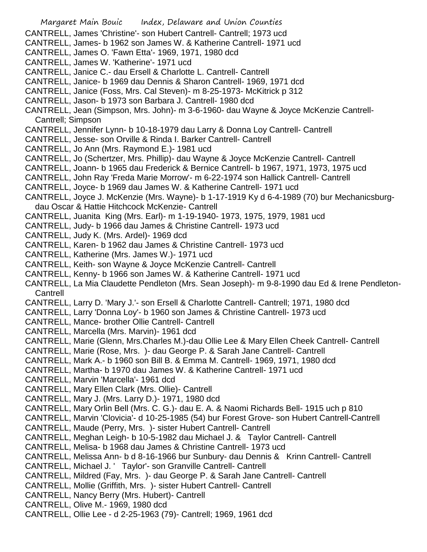Margaret Main Bouic Index, Delaware and Union Counties CANTRELL, James 'Christine'- son Hubert Cantrell- Cantrell; 1973 ucd CANTRELL, James- b 1962 son James W. & Katherine Cantrell- 1971 ucd CANTRELL, James O. 'Fawn Etta'- 1969, 1971, 1980 dcd CANTRELL, James W. 'Katherine'- 1971 ucd CANTRELL, Janice C.- dau Ersell & Charlotte L. Cantrell- Cantrell CANTRELL, Janice- b 1969 dau Dennis & Sharon Cantrell- 1969, 1971 dcd CANTRELL, Janice (Foss, Mrs. Cal Steven)- m 8-25-1973- McKitrick p 312 CANTRELL, Jason- b 1973 son Barbara J. Cantrell- 1980 dcd CANTRELL, Jean (Simpson, Mrs. John)- m 3-6-1960- dau Wayne & Joyce McKenzie Cantrell-Cantrell; Simpson CANTRELL, Jennifer Lynn- b 10-18-1979 dau Larry & Donna Loy Cantrell- Cantrell CANTRELL, Jesse- son Orville & Rinda I. Barker Cantrell- Cantrell CANTRELL, Jo Ann (Mrs. Raymond E.)- 1981 ucd CANTRELL, Jo (Schertzer, Mrs. Phillip)- dau Wayne & Joyce McKenzie Cantrell- Cantrell CANTRELL, Joann- b 1965 dau Frederick & Bernice Cantrell- b 1967, 1971, 1973, 1975 ucd CANTRELL, John Ray 'Freda Marie Morrow'- m 6-22-1974 son Hallick Cantrell- Cantrell CANTRELL, Joyce- b 1969 dau James W. & Katherine Cantrell- 1971 ucd CANTRELL, Joyce J. McKenzie (Mrs. Wayne)- b 1-17-1919 Ky d 6-4-1989 (70) bur Mechanicsburgdau Oscar & Hattie Hitchcock McKenzie- Cantrell CANTRELL, Juanita King (Mrs. Earl)- m 1-19-1940- 1973, 1975, 1979, 1981 ucd CANTRELL, Judy- b 1966 dau James & Christine Cantrell- 1973 ucd CANTRELL, Judy K. (Mrs. Ardel)- 1969 dcd CANTRELL, Karen- b 1962 dau James & Christine Cantrell- 1973 ucd CANTRELL, Katherine (Mrs. James W.)- 1971 ucd CANTRELL, Keith- son Wayne & Joyce McKenzie Cantrell- Cantrell CANTRELL, Kenny- b 1966 son James W. & Katherine Cantrell- 1971 ucd CANTRELL, La Mia Claudette Pendleton (Mrs. Sean Joseph)- m 9-8-1990 dau Ed & Irene Pendleton-Cantrell CANTRELL, Larry D. 'Mary J.'- son Ersell & Charlotte Cantrell- Cantrell; 1971, 1980 dcd CANTRELL, Larry 'Donna Loy'- b 1960 son James & Christine Cantrell- 1973 ucd CANTRELL, Mance- brother Ollie Cantrell- Cantrell CANTRELL, Marcella (Mrs. Marvin)- 1961 dcd CANTRELL, Marie (Glenn, Mrs.Charles M.)-dau Ollie Lee & Mary Ellen Cheek Cantrell- Cantrell CANTRELL, Marie (Rose, Mrs. )- dau George P. & Sarah Jane Cantrell- Cantrell CANTRELL, Mark A.- b 1960 son Bill B. & Emma M. Cantrell- 1969, 1971, 1980 dcd CANTRELL, Martha- b 1970 dau James W. & Katherine Cantrell- 1971 ucd CANTRELL, Marvin 'Marcella'- 1961 dcd CANTRELL, Mary Ellen Clark (Mrs. Ollie)- Cantrell CANTRELL, Mary J. (Mrs. Larry D.)- 1971, 1980 dcd CANTRELL, Mary Orlin Bell (Mrs. C. G.)- dau E. A. & Naomi Richards Bell- 1915 uch p 810 CANTRELL, Marvin 'Clovicia'- d 10-25-1985 (54) bur Forest Grove- son Hubert Cantrell-Cantrell CANTRELL, Maude (Perry, Mrs. )- sister Hubert Cantrell- Cantrell CANTRELL, Meghan Leigh- b 10-5-1982 dau Michael J. & Taylor Cantrell- Cantrell CANTRELL, Melisa- b 1968 dau James & Christine Cantrell- 1973 ucd CANTRELL, Melissa Ann- b d 8-16-1966 bur Sunbury- dau Dennis & Krinn Cantrell- Cantrell CANTRELL, Michael J. ' Taylor'- son Granville Cantrell- Cantrell CANTRELL, Mildred (Fay, Mrs. )- dau George P. & Sarah Jane Cantrell- Cantrell CANTRELL, Mollie (Griffith, Mrs. )- sister Hubert Cantrell- Cantrell CANTRELL, Nancy Berry (Mrs. Hubert)- Cantrell CANTRELL, Olive M.- 1969, 1980 dcd CANTRELL, Ollie Lee - d 2-25-1963 (79)- Cantrell; 1969, 1961 dcd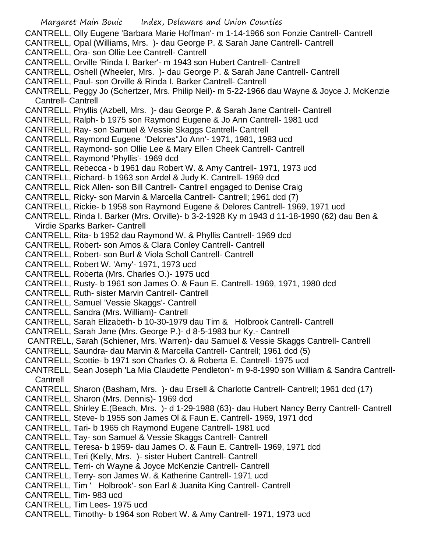Margaret Main Bouic Index, Delaware and Union Counties CANTRELL, Olly Eugene 'Barbara Marie Hoffman'- m 1-14-1966 son Fonzie Cantrell- Cantrell CANTRELL, Opal (Williams, Mrs. )- dau George P. & Sarah Jane Cantrell- Cantrell CANTRELL, Ora- son Ollie Lee Cantrell- Cantrell CANTRELL, Orville 'Rinda I. Barker'- m 1943 son Hubert Cantrell- Cantrell CANTRELL, Oshell (Wheeler, Mrs. )- dau George P. & Sarah Jane Cantrell- Cantrell CANTRELL, Paul- son Orville & Rinda I. Barker Cantrell- Cantrell CANTRELL, Peggy Jo (Schertzer, Mrs. Philip Neil)- m 5-22-1966 dau Wayne & Joyce J. McKenzie Cantrell- Cantrell CANTRELL, Phyllis (Azbell, Mrs. )- dau George P. & Sarah Jane Cantrell- Cantrell CANTRELL, Ralph- b 1975 son Raymond Eugene & Jo Ann Cantrell- 1981 ucd CANTRELL, Ray- son Samuel & Vessie Skaggs Cantrell- Cantrell CANTRELL, Raymond Eugene 'Delores''Jo Ann'- 1971, 1981, 1983 ucd CANTRELL, Raymond- son Ollie Lee & Mary Ellen Cheek Cantrell- Cantrell CANTRELL, Raymond 'Phyllis'- 1969 dcd CANTRELL, Rebecca - b 1961 dau Robert W. & Amy Cantrell- 1971, 1973 ucd CANTRELL, Richard- b 1963 son Ardel & Judy K. Cantrell- 1969 dcd CANTRELL, Rick Allen- son Bill Cantrell- Cantrell engaged to Denise Craig CANTRELL, Ricky- son Marvin & Marcella Cantrell- Cantrell; 1961 dcd (7) CANTRELL, Rickie- b 1958 son Raymond Eugene & Delores Cantrell- 1969, 1971 ucd CANTRELL, Rinda I. Barker (Mrs. Orville)- b 3-2-1928 Ky m 1943 d 11-18-1990 (62) dau Ben & Virdie Sparks Barker- Cantrell CANTRELL, Rita- b 1952 dau Raymond W. & Phyllis Cantrell- 1969 dcd CANTRELL, Robert- son Amos & Clara Conley Cantrell- Cantrell CANTRELL, Robert- son Burl & Viola Scholl Cantrell- Cantrell CANTRELL, Robert W. 'Amy'- 1971, 1973 ucd CANTRELL, Roberta (Mrs. Charles O.)- 1975 ucd CANTRELL, Rusty- b 1961 son James O. & Faun E. Cantrell- 1969, 1971, 1980 dcd CANTRELL, Ruth- sister Marvin Cantrell- Cantrell CANTRELL, Samuel 'Vessie Skaggs'- Cantrell CANTRELL, Sandra (Mrs. William)- Cantrell CANTRELL, Sarah Elizabeth- b 10-30-1979 dau Tim & Holbrook Cantrell- Cantrell CANTRELL, Sarah Jane (Mrs. George P.)- d 8-5-1983 bur Ky.- Cantrell CANTRELL, Sarah (Schiener, Mrs. Warren)- dau Samuel & Vessie Skaggs Cantrell- Cantrell CANTRELL, Saundra- dau Marvin & Marcella Cantrell- Cantrell; 1961 dcd (5) CANTRELL, Scottie- b 1971 son Charles O. & Roberta E. Cantrell- 1975 ucd CANTRELL, Sean Joseph 'La Mia Claudette Pendleton'- m 9-8-1990 son William & Sandra Cantrell-**Cantrell** CANTRELL, Sharon (Basham, Mrs. )- dau Ersell & Charlotte Cantrell- Cantrell; 1961 dcd (17) CANTRELL, Sharon (Mrs. Dennis)- 1969 dcd CANTRELL, Shirley E.(Beach, Mrs. )- d 1-29-1988 (63)- dau Hubert Nancy Berry Cantrell- Cantrell CANTRELL, Steve- b 1955 son James Ol & Faun E. Cantrell- 1969, 1971 dcd CANTRELL, Tari- b 1965 ch Raymond Eugene Cantrell- 1981 ucd CANTRELL, Tay- son Samuel & Vessie Skaggs Cantrell- Cantrell CANTRELL, Teresa- b 1959- dau James O. & Faun E. Cantrell- 1969, 1971 dcd CANTRELL, Teri (Kelly, Mrs. )- sister Hubert Cantrell- Cantrell CANTRELL, Terri- ch Wayne & Joyce McKenzie Cantrell- Cantrell CANTRELL, Terry- son James W. & Katherine Cantrell- 1971 ucd CANTRELL, Tim ' Holbrook'- son Earl & Juanita King Cantrell- Cantrell CANTRELL, Tim- 983 ucd CANTRELL, Tim Lees- 1975 ucd CANTRELL, Timothy- b 1964 son Robert W. & Amy Cantrell- 1971, 1973 ucd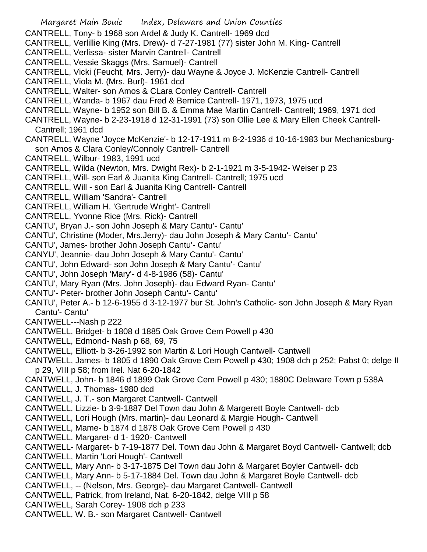Margaret Main Bouic Index, Delaware and Union Counties CANTRELL, Tony- b 1968 son Ardel & Judy K. Cantrell- 1969 dcd CANTRELL, Verlillie King (Mrs. Drew)- d 7-27-1981 (77) sister John M. King- Cantrell CANTRELL, Verlissa- sister Marvin Cantrell- Cantrell CANTRELL, Vessie Skaggs (Mrs. Samuel)- Cantrell CANTRELL, Vicki (Feucht, Mrs. Jerry)- dau Wayne & Joyce J. McKenzie Cantrell- Cantrell CANTRELL, Viola M. (Mrs. Burl)- 1961 dcd CANTRELL, Walter- son Amos & CLara Conley Cantrell- Cantrell CANTRELL, Wanda- b 1967 dau Fred & Bernice Cantrell- 1971, 1973, 1975 ucd CANTRELL, Wayne- b 1952 son Bill B. & Emma Mae Martin Cantrell- Cantrell; 1969, 1971 dcd CANTRELL, Wayne- b 2-23-1918 d 12-31-1991 (73) son Ollie Lee & Mary Ellen Cheek Cantrell-Cantrell; 1961 dcd CANTRELL, Wayne 'Joyce McKenzie'- b 12-17-1911 m 8-2-1936 d 10-16-1983 bur Mechanicsburgson Amos & Clara Conley/Connoly Cantrell- Cantrell CANTRELL, Wilbur- 1983, 1991 ucd CANTRELL, Wilda (Newton, Mrs. Dwight Rex)- b 2-1-1921 m 3-5-1942- Weiser p 23 CANTRELL, Will- son Earl & Juanita King Cantrell- Cantrell; 1975 ucd CANTRELL, Will - son Earl & Juanita King Cantrell- Cantrell CANTRELL, William 'Sandra'- Cantrell CANTRELL, William H. 'Gertrude Wright'- Cantrell CANTRELL, Yvonne Rice (Mrs. Rick)- Cantrell CANTU', Bryan J.- son John Joseph & Mary Cantu'- Cantu' CANTU', Christine (Moder, Mrs.Jerry)- dau John Joseph & Mary Cantu'- Cantu' CANTU', James- brother John Joseph Cantu'- Cantu' CANYU', Jeannie- dau John Joseph & Mary Cantu'- Cantu' CANTU', John Edward- son John Joseph & Mary Cantu'- Cantu' CANTU', John Joseph 'Mary'- d 4-8-1986 (58)- Cantu' CANTU', Mary Ryan (Mrs. John Joseph)- dau Edward Ryan- Cantu' CANTU'- Peter- brother John Joseph Cantu'- Cantu' CANTU', Peter A.- b 12-6-1955 d 3-12-1977 bur St. John's Catholic- son John Joseph & Mary Ryan Cantu'- Cantu' CANTWELL---Nash p 222 CANTWELL, Bridget- b 1808 d 1885 Oak Grove Cem Powell p 430 CANTWELL, Edmond- Nash p 68, 69, 75 CANTWELL, Elliott- b 3-26-1992 son Martin & Lori Hough Cantwell- Cantwell CANTWELL, James- b 1805 d 1890 Oak Grove Cem Powell p 430; 1908 dch p 252; Pabst 0; delge II p 29, VIII p 58; from Irel. Nat 6-20-1842 CANTWELL, John- b 1846 d 1899 Oak Grove Cem Powell p 430; 1880C Delaware Town p 538A CANTWELL, J. Thomas- 1980 dcd CANTWELL, J. T.- son Margaret Cantwell- Cantwell CANTWELL, Lizzie- b 3-9-1887 Del Town dau John & Margerett Boyle Cantwell- dcb CANTWELL, Lori Hough (Mrs. martin)- dau Leonard & Margie Hough- Cantwell CANTWELL, Mame- b 1874 d 1878 Oak Grove Cem Powell p 430 CANTWELL, Margaret- d 1- 1920- Cantwell CANTWELL- Margaret- b 7-19-1877 Del. Town dau John & Margaret Boyd Cantwell- Cantwell; dcb CANTWELL, Martin 'Lori Hough'- Cantwell CANTWELL, Mary Ann- b 3-17-1875 Del Town dau John & Margaret Boyler Cantwell- dcb CANTWELL, Mary Ann- b 5-17-1884 Del. Town dau John & Margaret Boyle Cantwell- dcb CANTWELL, -- (Nelson, Mrs. George)- dau Margaret Cantwell- Cantwell CANTWELL, Patrick, from Ireland, Nat. 6-20-1842, delge VIII p 58 CANTWELL, Sarah Corey- 1908 dch p 233 CANTWELL, W. B.- son Margaret Cantwell- Cantwell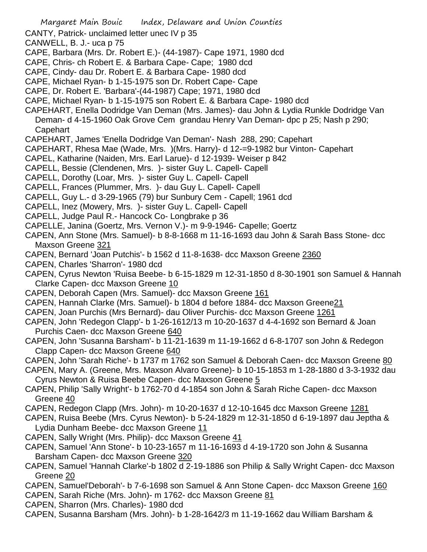- CANTY, Patrick- unclaimed letter unec IV p 35
- CANWELL, B. J.- uca p 75
- CAPE, Barbara (Mrs. Dr. Robert E.)- (44-1987)- Cape 1971, 1980 dcd
- CAPE, Chris- ch Robert E. & Barbara Cape- Cape; 1980 dcd
- CAPE, Cindy- dau Dr. Robert E. & Barbara Cape- 1980 dcd
- CAPE, Michael Ryan- b 1-15-1975 son Dr. Robert Cape- Cape
- CAPE, Dr. Robert E. 'Barbara'-(44-1987) Cape; 1971, 1980 dcd
- CAPE, Michael Ryan- b 1-15-1975 son Robert E. & Barbara Cape- 1980 dcd
- CAPEHART, Enella Dodridge Van Deman (Mrs. James)- dau John & Lydia Runkle Dodridge Van
- Deman- d 4-15-1960 Oak Grove Cem grandau Henry Van Deman- dpc p 25; Nash p 290; **Capehart**
- CAPEHART, James 'Enella Dodridge Van Deman'- Nash 288, 290; Capehart
- CAPEHART, Rhesa Mae (Wade, Mrs. )(Mrs. Harry)- d 12-=9-1982 bur Vinton- Capehart
- CAPEL, Katharine (Naiden, Mrs. Earl Larue)- d 12-1939- Weiser p 842
- CAPELL, Bessie (Clendenen, Mrs. )- sister Guy L. Capell- Capell
- CAPELL, Dorothy (Loar, Mrs. )- sister Guy L. Capell- Capell
- CAPELL, Frances (Plummer, Mrs. )- dau Guy L. Capell- Capell
- CAPELL, Guy L.- d 3-29-1965 (79) bur Sunbury Cem Capell; 1961 dcd
- CAPELL, Inez (Mowery, Mrs. )- sister Guy L. Capell- Capell
- CAPELL, Judge Paul R.- Hancock Co- Longbrake p 36
- CAPELLE, Janina (Goertz, Mrs. Vernon V.)- m 9-9-1946- Capelle; Goertz
- CAPEN, Ann Stone (Mrs. Samuel)- b 8-8-1668 m 11-16-1693 dau John & Sarah Bass Stone- dcc Maxson Greene 321
- CAPEN, Bernard 'Joan Putchis'- b 1562 d 11-8-1638- dcc Maxson Greene 2360
- CAPEN, Charles 'Sharron'- 1980 dcd
- CAPEN, Cyrus Newton 'Ruisa Beebe- b 6-15-1829 m 12-31-1850 d 8-30-1901 son Samuel & Hannah Clarke Capen- dcc Maxson Greene 10
- CAPEN, Deborah Capen (Mrs. Samuel)- dcc Maxson Greene 161
- CAPEN, Hannah Clarke (Mrs. Samuel)- b 1804 d before 1884- dcc Maxson Greene21
- CAPEN, Joan Purchis (Mrs Bernard)- dau Oliver Purchis- dcc Maxson Greene 1261
- CAPEN, John 'Redegon Clapp'- b 1-26-1612/13 m 10-20-1637 d 4-4-1692 son Bernard & Joan Purchis Caen- dcc Maxson Greene 640
- CAPEN, John 'Susanna Barsham'- b 11-21-1639 m 11-19-1662 d 6-8-1707 son John & Redegon Clapp Capen- dcc Maxson Greene 640
- CAPEN, John 'Sarah Riche'- b 1737 m 1762 son Samuel & Deborah Caen- dcc Maxson Greene 80
- CAPEN, Mary A. (Greene, Mrs. Maxson Alvaro Greene)- b 10-15-1853 m 1-28-1880 d 3-3-1932 dau Cyrus Newton & Ruisa Beebe Capen- dcc Maxson Greene 5
- CAPEN, Philip 'Sally Wright'- b 1762-70 d 4-1854 son John & Sarah Riche Capen- dcc Maxson Greene 40
- CAPEN, Redegon Clapp (Mrs. John)- m 10-20-1637 d 12-10-1645 dcc Maxson Greene 1281
- CAPEN, Ruisa Beebe (Mrs. Cyrus Newton)- b 5-24-1829 m 12-31-1850 d 6-19-1897 dau Jeptha & Lydia Dunham Beebe- dcc Maxson Greene 11
- CAPEN, Sally Wright (Mrs. Philip)- dcc Maxson Greene 41
- CAPEN, Samuel 'Ann Stone'- b 10-23-1657 m 11-16-1693 d 4-19-1720 son John & Susanna Barsham Capen- dcc Maxson Greene 320
- CAPEN, Samuel 'Hannah Clarke'-b 1802 d 2-19-1886 son Philip & Sally Wright Capen- dcc Maxson Greene 20
- CAPEN, Samuel'Deborah'- b 7-6-1698 son Samuel & Ann Stone Capen- dcc Maxson Greene 160
- CAPEN, Sarah Riche (Mrs. John)- m 1762- dcc Maxson Greene 81
- CAPEN, Sharron (Mrs. Charles)- 1980 dcd
- CAPEN, Susanna Barsham (Mrs. John)- b 1-28-1642/3 m 11-19-1662 dau William Barsham &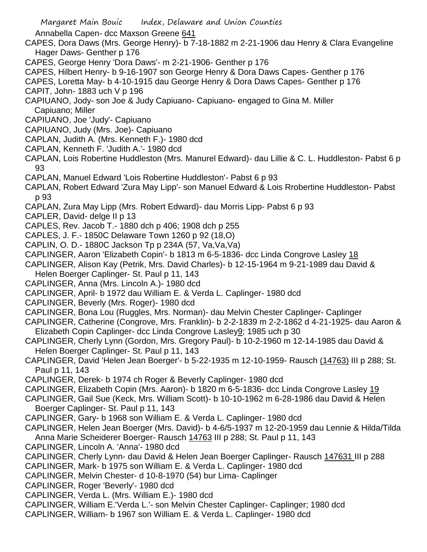Annabella Capen- dcc Maxson Greene 641

- CAPES, Dora Daws (Mrs. George Henry)- b 7-18-1882 m 2-21-1906 dau Henry & Clara Evangeline Hager Daws- Genther p 176
- CAPES, George Henry 'Dora Daws'- m 2-21-1906- Genther p 176
- CAPES, Hilbert Henry- b 9-16-1907 son George Henry & Dora Daws Capes- Genther p 176
- CAPES, Loretta May- b 4-10-1915 dau George Henry & Dora Daws Capes- Genther p 176
- CAPIT, John- 1883 uch V p 196
- CAPIUANO, Jody- son Joe & Judy Capiuano- Capiuano- engaged to Gina M. Miller Capiuano; Miller
- CAPIUANO, Joe 'Judy'- Capiuano
- CAPIUANO, Judy (Mrs. Joe)- Capiuano
- CAPLAN, Judith A. (Mrs. Kenneth F.)- 1980 dcd
- CAPLAN, Kenneth F. 'Judith A.'- 1980 dcd
- CAPLAN, Lois Robertine Huddleston (Mrs. Manurel Edward)- dau Lillie & C. L. Huddleston- Pabst 6 p 93
- CAPLAN, Manuel Edward 'Lois Robertine Huddleston'- Pabst 6 p 93
- CAPLAN, Robert Edward 'Zura May Lipp'- son Manuel Edward & Lois Rrobertine Huddleston- Pabst p 93
- CAPLAN, Zura May Lipp (Mrs. Robert Edward)- dau Morris Lipp- Pabst 6 p 93
- CAPLER, David- delge II p 13
- CAPLES, Rev. Jacob T.- 1880 dch p 406; 1908 dch p 255
- CAPLES, J. F.- 1850C Delaware Town 1260 p 92 (18,O)
- CAPLIN, O. D.- 1880C Jackson Tp p 234A (57, Va,Va,Va)
- CAPLINGER, Aaron 'Elizabeth Copin'- b 1813 m 6-5-1836- dcc Linda Congrove Lasley 18
- CAPLINGER, Alison Kay (Petrik, Mrs. David Charles)- b 12-15-1964 m 9-21-1989 dau David &
- Helen Boerger Caplinger- St. Paul p 11, 143
- CAPLINGER, Anna (Mrs. Lincoln A.)- 1980 dcd
- CAPLINGER, April- b 1972 dau William E. & Verda L. Caplinger- 1980 dcd
- CAPLINGER, Beverly (Mrs. Roger)- 1980 dcd
- CAPLINGER, Bona Lou (Ruggles, Mrs. Norman)- dau Melvin Chester Caplinger- Caplinger
- CAPLINGER, Catherine (Congrove, Mrs. Franklin)- b 2-2-1839 m 2-2-1862 d 4-21-1925- dau Aaron & Elizabeth Copin Caplinger- dcc Linda Congrove Lasley9; 1985 uch p 30
- CAPLINGER, Cherly Lynn (Gordon, Mrs. Gregory Paul)- b 10-2-1960 m 12-14-1985 dau David & Helen Boerger Caplinger- St. Paul p 11, 143
- CAPLINGER, David 'Helen Jean Boerger'- b 5-22-1935 m 12-10-1959- Rausch (14763) III p 288; St. Paul p 11, 143
- CAPLINGER, Derek- b 1974 ch Roger & Beverly Caplinger- 1980 dcd
- CAPLINGER, Elizabeth Copin (Mrs. Aaron)- b 1820 m 6-5-1836- dcc Linda Congrove Lasley 19
- CAPLINGER, Gail Sue (Keck, Mrs. William Scott)- b 10-10-1962 m 6-28-1986 dau David & Helen Boerger Caplinger- St. Paul p 11, 143
- CAPLINGER, Gary- b 1968 son William E. & Verda L. Caplinger- 1980 dcd
- CAPLINGER, Helen Jean Boerger (Mrs. David)- b 4-6/5-1937 m 12-20-1959 dau Lennie & Hilda/Tilda Anna Marie Scheiderer Boerger- Rausch 14763 III p 288; St. Paul p 11, 143
- CAPLINGER, Lincoln A. 'Anna'- 1980 dcd
- CAPLINGER, Cherly Lynn- dau David & Helen Jean Boerger Caplinger- Rausch 147631 III p 288
- CAPLINGER, Mark- b 1975 son William E. & Verda L. Caplinger- 1980 dcd
- CAPLINGER, Melvin Chester- d 10-8-1970 (54) bur Lima- Caplinger
- CAPLINGER, Roger 'Beverly'- 1980 dcd
- CAPLINGER, Verda L. (Mrs. William E.)- 1980 dcd
- CAPLINGER, William E.'Verda L.'- son Melvin Chester Caplinger- Caplinger; 1980 dcd
- CAPLINGER, William- b 1967 son William E. & Verda L. Caplinger- 1980 dcd